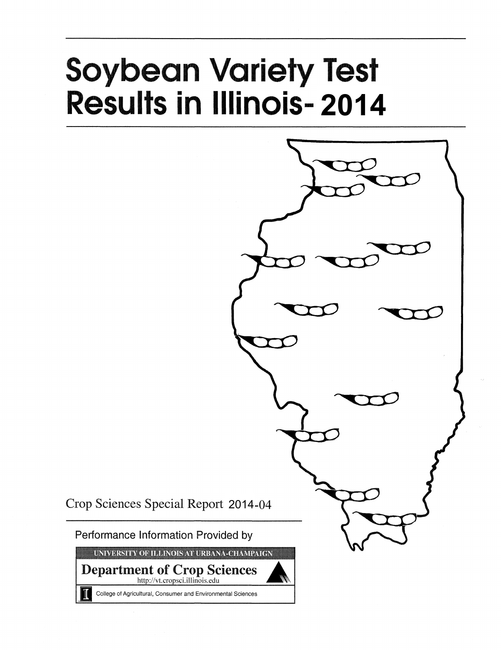# **Soybean Variety Test Results in Illinois-2014**



Crop Sciences Special Report 2014-04

Performance Information Provided by

UNIVERSITY OF ILLINOIS AT URBANA-CHAMPAIGN

**Department of Crop Sciences** http://vt.cropsci.illinois.edu

College of Agricultural, Consumer and Environmental Sciences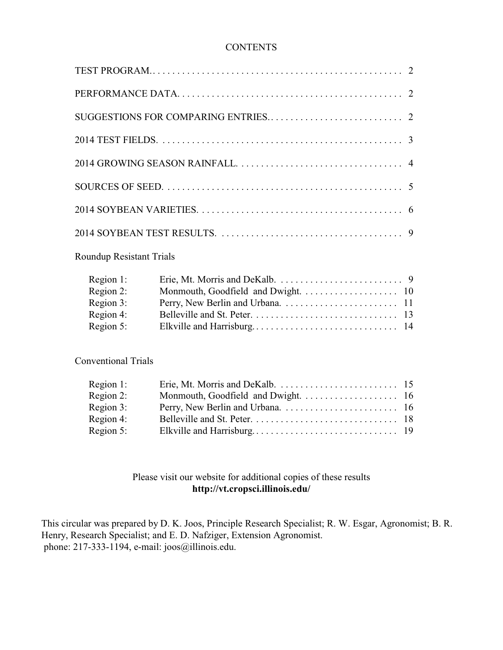## **CONTENTS**

# Roundup Resistant Trials

| Region 1: |  |
|-----------|--|
| Region 2: |  |
| Region 3: |  |
| Region 4: |  |
| Region 5: |  |

Conventional Trials

# Please visit our website for additional copies of these results **http://vt.cropsci.illinois.edu/**

This circular was prepared by D. K. Joos, Principle Research Specialist; R. W. Esgar, Agronomist; B. R. Henry, Research Specialist; and E. D. Nafziger, Extension Agronomist. phone: 217-333-1194, e-mail: joos@illinois.edu.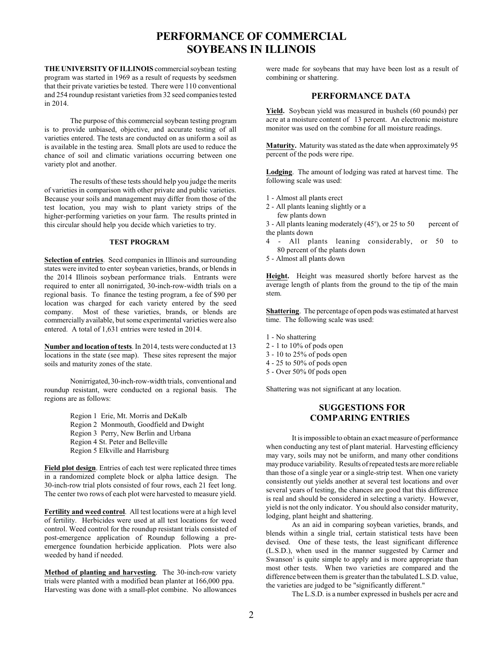# **PERFORMANCE OF COMMERCIAL SOYBEANS IN ILLINOIS**

**THE UNIVERSITY OF ILLINOIS** commercial soybean testing program was started in 1969 as a result of requests by seedsmen that their private varieties be tested. There were 110 conventional and 254 roundup resistant varieties from 32 seed companies tested in 2014.

The purpose of this commercial soybean testing program is to provide unbiased, objective, and accurate testing of all varieties entered. The tests are conducted on as uniform a soil as is available in the testing area. Small plots are used to reduce the chance of soil and climatic variations occurring between one variety plot and another.

The results of these tests should help you judge the merits of varieties in comparison with other private and public varieties. Because your soils and management may differ from those of the test location, you may wish to plant variety strips of the higher-performing varieties on your farm. The results printed in this circular should help you decide which varieties to try.

#### **TEST PROGRAM**

**Selection of entries**. Seed companies in Illinois and surrounding states were invited to enter soybean varieties, brands, or blends in the 2014 Illinois soybean performance trials. Entrants were required to enter all nonirrigated, 30-inch-row-width trials on a regional basis. To finance the testing program, a fee of \$90 per location was charged for each variety entered by the seed company. Most of these varieties, brands, or blends are commercially available, but some experimental varieties were also entered. A total of 1,631 entries were tested in 2014.

**Number and location of tests**. In 2014, tests were conducted at 13 locations in the state (see map). These sites represent the major soils and maturity zones of the state.

Nonirrigated, 30-inch-row-width trials, conventional and roundup resistant, were conducted on a regional basis. The regions are as follows:

> Region 1 Erie, Mt. Morris and DeKalb Region 2 Monmouth, Goodfield and Dwight Region 3 Perry, New Berlin and Urbana Region 4 St. Peter and Belleville Region 5 Elkville and Harrisburg

**Field plot design**. Entries of each test were replicated three times in a randomized complete block or alpha lattice design. The 30-inch-row trial plots consisted of four rows, each 21 feet long. The center two rows of each plot were harvested to measure yield.

**Fertility and weed control**. All test locations were at a high level of fertility. Herbicides were used at all test locations for weed control. Weed control for the roundup resistant trials consisted of post-emergence application of Roundup following a preemergence foundation herbicide application. Plots were also weeded by hand if needed.

**Method of planting and harvesting**. The 30-inch-row variety trials were planted with a modified bean planter at 166,000 ppa. Harvesting was done with a small-plot combine. No allowances

were made for soybeans that may have been lost as a result of combining or shattering.

## **PERFORMANCE DATA**

**Yield.** Soybean yield was measured in bushels (60 pounds) per acre at a moisture content of 13 percent. An electronic moisture monitor was used on the combine for all moisture readings.

**Maturity.** Maturity was stated as the date when approximately 95 percent of the pods were ripe.

**Lodging**. The amount of lodging was rated at harvest time. The following scale was used:

- 1 Almost all plants erect
- 2 All plants leaning slightly or a
	- few plants down

 $3$  - All plants leaning moderately (45 $\degree$ ), or 25 to 50 percent of the plants down

- 4 All plants leaning considerably, or 50 to 80 percent of the plants down
- 5 Almost all plants down

**Height.** Height was measured shortly before harvest as the average length of plants from the ground to the tip of the main stem.

**Shattering**. The percentage of open pods was estimated at harvest time. The following scale was used:

- 1 No shattering
- 2 1 to 10% of pods open
- 3 10 to 25% of pods open
- 4 25 to 50% of pods open
- 5 Over 50% 0f pods open

Shattering was not significant at any location.

## **SUGGESTIONS FOR COMPARING ENTRIES**

It is impossible to obtain an exact measure of performance when conducting any test of plant material. Harvesting efficiency may vary, soils may not be uniform, and many other conditions mayproduce variability. Results of repeated tests are more reliable than those of a single year or a single-strip test. When one variety consistently out yields another at several test locations and over several years of testing, the chances are good that this difference is real and should be considered in selecting a variety. However, yield is not the only indicator. You should also consider maturity, lodging, plant height and shattering.

As an aid in comparing soybean varieties, brands, and blends within a single trial, certain statistical tests have been devised. One of these tests, the least significant difference (L.S.D.), when used in the manner suggested by Carmer and Swanson<sup> $\frac{1}{1}$ </sup> is quite simple to apply and is more appropriate than most other tests. When two varieties are compared and the difference between them is greater than the tabulated L.S.D. value, the varieties are judged to be "significantly different."

The L.S.D. is a number expressed in bushels per acre and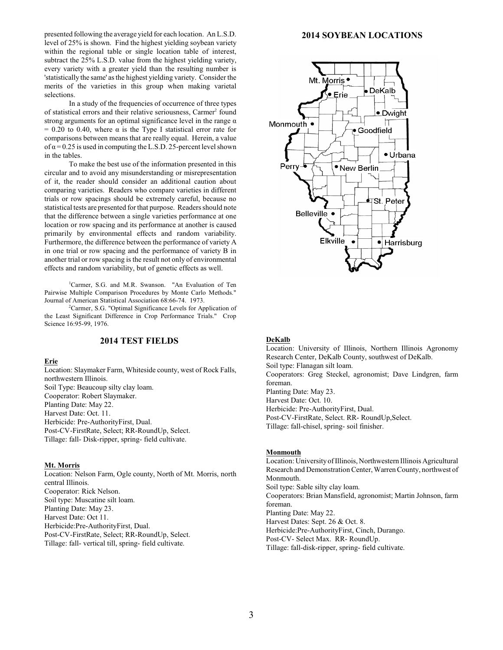presented following the average yield for each location. An L.S.D. level of 25% is shown. Find the highest yielding soybean variety within the regional table or single location table of interest, subtract the 25% L.S.D. value from the highest yielding variety, every variety with a greater yield than the resulting number is 'statistically the same' as the highest yielding variety. Consider the merits of the varieties in this group when making varietal selections.

In a study of the frequencies of occurrence of three types of statistical errors and their relative seriousness, Carmer<sup>2</sup> found strong arguments for an optimal significance level in the range  $\alpha$  $= 0.20$  to 0.40, where  $\alpha$  is the Type I statistical error rate for comparisons between means that are really equal. Herein, a value of  $\alpha$  = 0.25 is used in computing the L.S.D. 25-percent level shown in the tables.

To make the best use of the information presented in this circular and to avoid any misunderstanding or misrepresentation of it, the reader should consider an additional caution about comparing varieties. Readers who compare varieties in different trials or row spacings should be extremely careful, because no statistical tests are presented for that purpose. Readers should note that the difference between a single varieties performance at one location or row spacing and its performance at another is caused primarily by environmental effects and random variability. Furthermore, the difference between the performance of variety A in one trial or row spacing and the performance of variety B in another trial or row spacing is the result not only of environmental effects and random variability, but of genetic effects as well.

<sup>1</sup>Carmer, S.G. and M.R. Swanson. "An Evaluation of Ten Pairwise Multiple Comparison Procedures by Monte Carlo Methods." Journal of American Statistical Association 68:66-74. 1973.

 ${}^{2}$ Carmer, S.G. "Optimal Significance Levels for Application of the Least Significant Difference in Crop Performance Trials." Crop Science 16:95-99, 1976.

### **2014 TEST FIELDS**

**Erie**

Location: Slaymaker Farm, Whiteside county, west of Rock Falls, northwestern Illinois. Soil Type: Beaucoup silty clay loam. Cooperator: Robert Slaymaker. Planting Date: May 22. Harvest Date: Oct. 11. Herbicide: Pre-AuthorityFirst, Dual. Post-CV-FirstRate, Select; RR-RoundUp, Select. Tillage: fall- Disk-ripper, spring- field cultivate.

#### **Mt. Morris**

Location: Nelson Farm, Ogle county, North of Mt. Morris, north central Illinois. Cooperator: Rick Nelson. Soil type: Muscatine silt loam. Planting Date: May 23. Harvest Date: Oct 11. Herbicide:Pre-AuthorityFirst, Dual. Post-CV-FirstRate, Select; RR-RoundUp, Select. Tillage: fall- vertical till, spring- field cultivate.

#### **2014 SOYBEAN LOCATIONS**



#### **DeKalb**

Location: University of Illinois, Northern Illinois Agronomy Research Center, DeKalb County, southwest of DeKalb. Soil type: Flanagan silt loam. Cooperators: Greg Steckel, agronomist; Dave Lindgren, farm foreman. Planting Date: May 23. Harvest Date: Oct. 10. Herbicide: Pre-AuthorityFirst, Dual. Post-CV-FirstRate, Select. RR- RoundUp,Select. Tillage: fall-chisel, spring- soil finisher.

#### **Monmouth**

Location: Universityof Illinois, Northwestern Illinois Agricultural Research and Demonstration Center, Warren County, northwest of Monmouth. Soil type: Sable silty clay loam. Cooperators: Brian Mansfield, agronomist; Martin Johnson, farm foreman. Planting Date: May 22. Harvest Dates: Sept. 26 & Oct. 8. Herbicide:Pre-AuthorityFirst, Cinch, Durango. Post-CV- Select Max. RR- RoundUp. Tillage: fall-disk-ripper, spring- field cultivate.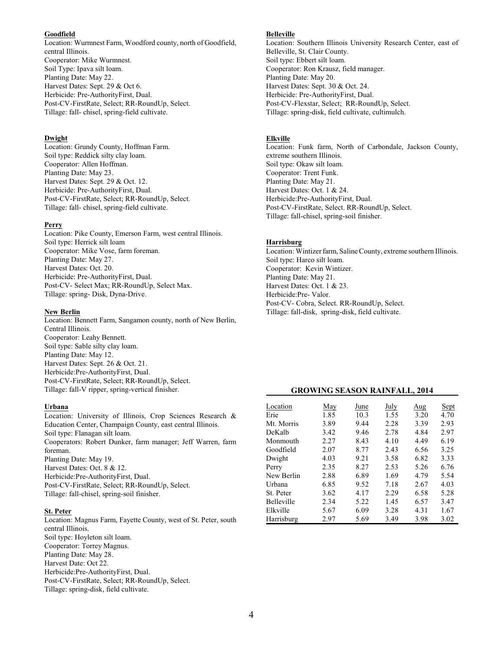#### **Goodfield**

Location: Wurmnest Farm, Woodford county, north of Goodfield, central Illinois. Cooperator: Mike Wurmnest. Soil Type: Ipava silt loam. Planting Date: May 22. Harvest Dates: Sept. 29 & Oct 6. Herbicide: Pre-AuthorityFirst, Dual. Post-CV-FirstRate, Select; RR-RoundUp, Select. Tillage: fall- chisel, spring-field cultivate.

#### **Dwight**

Location: Grundy County, Hoffman Farm. Soil type: Reddick silty clay loam. Cooperator: Allen Hoffman. Planting Date: May 23. Harvest Dates: Sept. 29 & Oct. 12. Herbicide: Pre-AuthorityFirst, Dual. Post-CV-FirstRate, Select; RR-RoundUp, Select. Tillage: fall- chisel, spring-field cultivate.

#### **Perry**

Location: Pike County, Emerson Farm, west central Illinois. Soil type: Herrick silt loam Cooperator: Mike Vose, farm foreman. Planting Date: May 27. Harvest Dates: Oct. 20. Herbicide: Pre-AuthorityFirst, Dual. Post-CV- Select Max; RR-RoundUp, Select Max. Tillage: spring- Disk, Dyna-Drive.

#### **New Berlin**

Location: Bennett Farm, Sangamon county, north of New Berlin, Central Illinois. Cooperator: Leahy Bennett. Soil type: Sable silty clay loam. Planting Date: May 12. Harvest Dates: Sept. 26 & Oct. 21. Herbicide:Pre-AuthorityFirst, Dual. Post-CV-FirstRate, Select; RR-RoundUp, Select. Tillage: fall-V ripper, spring-vertical finisher.

#### **Urbana**

Location: University of Illinois, Crop Sciences Research & Education Center, Champaign County, east central Illinois. Soil type: Flanagan silt loam. Cooperators: Robert Dunker, farm manager; Jeff Warren, farm foreman. Planting Date: May 19. Harvest Dates: Oct. 8 & 12. Herbicide:Pre-AuthorityFirst, Dual. Post-CV-FirstRate, Select; RR-RoundUp, Select. Tillage: fall-chisel, spring-soil finisher.

#### **St. Peter**

Location: Magnus Farm, Fayette County, west of St. Peter, south central Illinois. Soil type: Hoyleton silt loam. Cooperator: Torrey Magnus. Planting Date: May 28. Harvest Date: Oct 22. Herbicide:Pre-AuthorityFirst, Dual. Post-CV-FirstRate, Select; RR-RoundUp, Select. Tillage: spring-disk, field cultivate.

#### **Belleville**

Location: Southern Illinois University Research Center, east of Belleville, St. Clair County. Soil type: Ebbert silt loam. Cooperator: Ron Krausz, field manager. Planting Date: May 20. Harvest Dates: Sept. 30 & Oct. 24. Herbicide: Pre-AuthorityFirst, Dual. Post-CV-Flexstar, Select; RR-RoundUp, Select. Tillage: spring-disk, field cultivate, cultimulch.

#### **Elkville**

Location: Funk farm, North of Carbondale, Jackson County, extreme southern Illinois. Soil type: Okaw silt loam. Cooperator: Trent Funk. Planting Date: May 21. Harvest Dates: Oct. 1 & 24. Herbicide:Pre-AuthorityFirst, Dual. Post-CV-FirstRate, Select. RR-RoundUp, Select. Tillage: fall-chisel, spring-soil finisher.

#### **Harrisburg**

Location: Wintizer farm, Saline County, extreme southern Illinois. Soil type: Harco silt loam. Cooperator: Kevin Wintizer. Planting Date: May 21. Harvest Dates: Oct. 1 & 23. Herbicide:Pre- Valor. Post-CV- Cobra, Select. RR-RoundUp, Select. Tillage: fall-disk, spring-disk, field cultivate.

## **GROWING SEASON RAINFALL, 2014**

| Location          | May  | June | July | Aug  | Sept |
|-------------------|------|------|------|------|------|
| Erie              | 1.85 | 10.3 | 1.55 | 3.20 | 4.70 |
| Mt. Morris        | 3.89 | 9.44 | 2.28 | 3.39 | 2.93 |
| DeKalh            | 3.42 | 9.46 | 2.78 | 4.84 | 2.97 |
| Monmouth          | 2.27 | 8.43 | 4.10 | 4.49 | 6.19 |
| Goodfield         | 2.07 | 8.77 | 2.43 | 6.56 | 3.25 |
| Dwight            | 4.03 | 9.21 | 3.58 | 6.82 | 3.33 |
| Perry             | 2.35 | 8.27 | 2.53 | 5.26 | 6.76 |
| New Berlin        | 2.88 | 6.89 | 1.69 | 4.79 | 5.54 |
| Urbana            | 6.85 | 9.52 | 7.18 | 2.67 | 4.03 |
| St. Peter         | 3.62 | 4.17 | 2.29 | 6.58 | 5.28 |
| <b>Belleville</b> | 2.34 | 5.22 | 1.45 | 6.57 | 3.47 |
| Elkville          | 5.67 | 6.09 | 3.28 | 4.31 | 1.67 |
| Harrisburg        | 2.97 | 5.69 | 3.49 | 3.98 | 3.02 |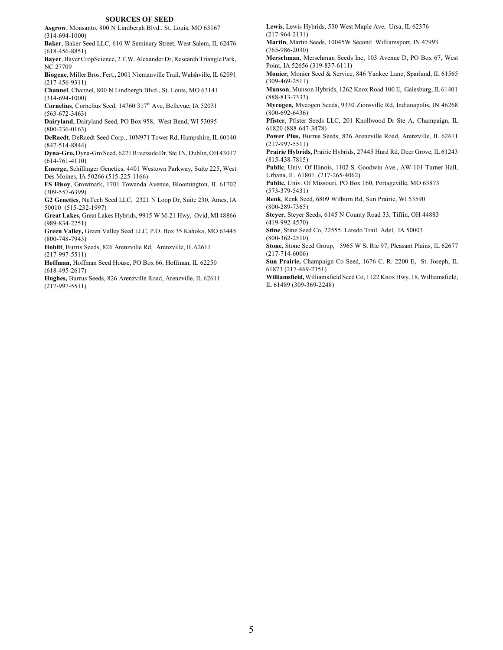#### **SOURCES OF SEED**

**Asgrow**, Monsanto, 800 N Lindbergh Blvd., St. Louis, MO 63167 (314-694-1000)

**Baker**, Baker Seed LLC, 610 W Seminary Street, West Salem, IL 62476 (618-456-8851)

**Bayer**, Bayer CropScience, 2 T.W. Alexander Dr, Research Triangle Park, NC 27709

**Biogene**, Miller Bros. Fert., 2001 Niemanville Trail, Walshville, IL62091 (217-456-9311)

**Channel**, Channel, 800 N Lindbergh Blvd., St. Louis, MO 63141 (314-694-1000)

**Cornelius**, Cornelius Seed, 14760 317<sup>th</sup> Ave, Bellevue, IA 52031 (563-672-3463)

**Dairyland**, Dairyland Seed, PO Box 958, West Bend, WI 53095 (800-236-0163)

**DeRaedt**, DeRaedt Seed Corp., 10N971 Tower Rd, Hampshire, IL 60140 (847-514-8844)

**Dyna-Gro,** Dyna-Gro Seed, 6221 Riverside Dr, Ste 1N, Dublin,OH 43017 (614-761-4110)

**Emerge,** Schillinger Genetics, 4401 Westown Parkway, Suite 225, West Des Moines, IA 50266 (515-225-1166)

**FS Hisoy**, Growmark, 1701 Towanda Avenue, Bloomington, IL 61702 (309-557-6399)

**G2 Genetics**, NuTech Seed LLC, 2321 N Loop Dr, Suite 230, Ames, IA 50010 (515-232-1997)

**Great Lakes,** Great Lakes Hybrids, 9915 W M-21 Hwy, Ovid, MI 48866 (989-834-2251)

**Green Valley,** Green Valley Seed LLC, P.O. Box 35 Kahoka, MO 63445 (800-748-7943)

**Hoblit**, Burris Seeds, 826 Arenzville Rd, Arenzville, IL 62611 (217-997-5511)

**Hoffman,** Hoffman Seed House, PO Box 66, Hoffman, IL 62250 (618-495-2617)

**Hughes,** Burrus Seeds, 826 Arenzville Road, Arenzville, IL 62611 (217-997-5511)

**Lewis**, Lewis Hybrids, 530 West Maple Ave, Ursa, IL 62376 (217-964-2131)

**Martin**, Martin Seeds, 10045W Second Williamsport, IN 47993 (765-986-2030)

**Merschman**, Merschman Seeds Inc, 103 Avenue D, PO Box 67, West Point, IA 52656 (319-837-6111)

**Monier,** Monier Seed & Service, 846 Yankee Lane, Sparland, IL 61565 (309-469-2511)

**Munson**, Munson Hybrids, 1262 Knox Road 100 E, Galesburg, IL 61401 (888-813-7333)

**Mycogen,** Mycogen Seeds, 9330 Zionsville Rd, Indianapolis, IN 46268 (800-692-6436)

**Pfister**, Pfister Seeds LLC, 201 Knollwood Dr Ste A, Champaign, IL 61820 (888-647-3478)

**Power Plus,** Burrus Seeds, 826 Arenzville Road, Arenzville, IL 62611 (217-997-5511)

**Prairie Hybrids,** Prairie Hybrids, 27445 Hurd Rd, Deer Grove, IL 61243 (815-438-7815)

**Public**, Univ. Of Illinois, 1102 S. Goodwin Ave., AW-101 Turner Hall, Urbana, IL 61801 (217-265-4062)

**Public,** Univ. Of Missouri, PO Box 160, Portageville, MO 63873 (573-379-5431)

**Renk**, Renk Seed, 6809 Wilburn Rd, Sun Prairie, WI 53590 (800-289-7365)

**Steyer,** Steyer Seeds, 6145 N County Road 33, Tiffin, OH 44883 (419-992-4570)

**Stine**, Stine Seed Co, 22555 Laredo Trail Adel, IA 50003 (800-362-2510)

**Stone,** Stone Seed Group, 5965 W St Rte 97, Pleasant Plains, IL 62677 (217-714-6006)

**Sun Prairie,** Champaign Co Seed, 1676 C. R. 2200 E, St. Joseph, IL 61873 (217-469-2351)

**Williamsfield,**Williamsfield Seed Co, 1122 Knox Hwy. 18, Williamsfield, IL 61489 (309-369-2248)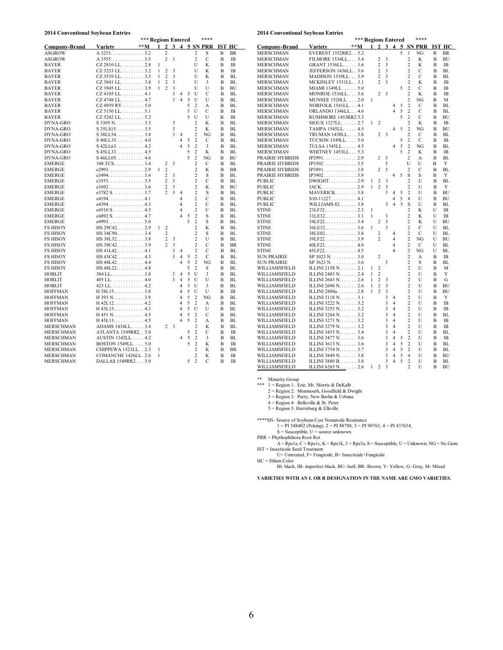#### **2014 Conventional Soybean Entries**

#### **2014 Conventional Soybean Entries**

|                                    |                                              | *** Regions Entered |              |                                  |        |                                  |        |                                  | ****        |               |                 |
|------------------------------------|----------------------------------------------|---------------------|--------------|----------------------------------|--------|----------------------------------|--------|----------------------------------|-------------|---------------|-----------------|
| <b>Company-Brand</b>               | <b>Variety</b>                               | **M                 | 1            | $\mathbf{2}$                     | 3      | $\overline{\mathbf{4}}$          |        |                                  | 5 SN PRR    | <b>IST HC</b> |                 |
| <b>ASGROW</b>                      | $A$ 3253. 3.2                                |                     |              | $\overline{c}$                   |        |                                  |        | 2                                | S           | B             | BR              |
| ASGROW                             | $A$ 3555. 3.5                                |                     |              | $\overline{c}$                   | 3      |                                  |        | $\overline{c}$                   | $\mathbf C$ | B             | IB              |
| <b>BAYER</b>                       | $CZ$ 2810 LL. $\ldots$ 2.8                   |                     | 1            |                                  |        |                                  |        | U                                | K           | B             | <b>IB</b>       |
| <b>BAYER</b>                       | CZ 3233 LL. 3.2                              |                     | $\mathbf{1}$ | $\overline{c}$                   | 3      |                                  |        | U                                | K           | B             | <b>IB</b>       |
| <b>BAYER</b>                       | $CZ$ 3539 LL,  3.5                           |                     | 1            | $\overline{c}$                   | 3      |                                  |        | U                                | K           | B             | BL              |
| <b>BAYER</b>                       | $CZ$ 3841 LL. $\ldots \ldots \ldots$ 3.8     |                     | 1            | $\overline{2}$                   | 3      |                                  |        | U                                | 3           | В             | BL              |
| <b>BAYER</b>                       | CZ 3945 LL. 3.9                              |                     | 1            | $\overline{c}$                   | 3      |                                  |        | U                                | U           | B             | BU              |
| <b>BAYER</b>                       | $CZ$ 4105 LL. $\ldots$ 4.1                   |                     |              |                                  | 3      | $\overline{4}$                   | 5      | U                                | C           | B             | BL              |
| <b>BAYER</b>                       | CZ 4748 LL. 4.7                              |                     |              |                                  | 3      | $\overline{4}$                   | 5      | U                                | U           | B             | BL              |
| <b>BAYER</b>                       | $CZ$ 4959 RY 5.0                             |                     |              |                                  |        |                                  | 5      | 2                                | А           | в             | BL              |
| <b>BAYER</b>                       | $CZ$ 5150 LL. $\ldots \ldots \ldots 5.1$     |                     |              |                                  |        |                                  | 5      | U                                | C           | B             | IB              |
| <b>BAYER</b>                       | $CZ$ 5242 LL. $\ldots \ldots \ldots 5.2$     |                     |              |                                  |        |                                  | 5      | U                                | U           | В             | IB              |
| DYNA-GRO                           | $S$ 3305 N. 3.3                              |                     |              |                                  | 3      |                                  |        | $\overline{c}$                   | K           | в             | BL              |
| DYNA-GRO                           | $S$ 35LS15. 3.5                              |                     |              |                                  | 3      |                                  |        | $\overline{\mathbf{c}}$          | K           | В             | BL              |
| DYNA-GRO                           | $S$ 38LL54 3.8                               |                     |              |                                  | 3      | $\overline{4}$                   |        | $\overline{c}$                   | NG          | в             | BL              |
| DYNA-GRO                           | $S$ 40LL35. 4.0                              |                     |              |                                  |        | $\overline{4}$                   | 5      | 2                                | C           | B             | BL              |
|                                    |                                              |                     |              |                                  |        | $\overline{4}$                   | 5      | $\overline{c}$                   | 3           |               |                 |
| DYNA-GRO                           | $S$ 42LL63. 4.2                              |                     |              |                                  |        |                                  | 5      |                                  |             | В             | BL              |
| DYNA-GRO                           | $S$ 45LL33. 4.5                              |                     |              |                                  |        |                                  | 5      | 2<br>$\overline{c}$              | K<br>NG     | в             | BL<br>BU        |
| DYNA-GRO                           | $S$ 46LL05. 4.6                              |                     |              |                                  |        |                                  |        | $\overline{c}$                   |             | в             |                 |
| <b>EMERGE</b>                      | $348. TCS. \ldots \ldots \ldots 3.4$         |                     |              | 2                                | 3      |                                  |        |                                  | C           | B             | BL              |
| <b>EMERGE</b>                      | e2993. 2.9                                   |                     | 1            | $\overline{c}$                   |        |                                  |        | $\overline{c}$                   | K           | B             | BR              |
| <b>EMERGE</b>                      |                                              |                     |              | $\overline{c}$                   | 3      |                                  |        | $\overline{c}$                   | S           | B             | BL              |
| <b>EMERGE</b>                      | e35533.5                                     |                     |              | $\overline{c}$                   | 3      |                                  |        | 2                                | C           | В             | BL              |
| <b>EMERGE</b>                      |                                              |                     |              | $\overline{c}$<br>$\mathfrak{D}$ | 3      |                                  |        | $\overline{2}$                   | K           | В             | BU              |
| <b>EMERGE</b>                      | e3782 S. 3.7                                 |                     |              |                                  | 3      | $\overline{4}$                   |        | 2                                | S           | В             | BL              |
| <b>EMERGE</b>                      |                                              |                     |              |                                  |        | $\overline{4}$<br>$\overline{4}$ |        | $\overline{c}$<br>$\overline{c}$ | C<br>C      | B             | BL              |
| EMERGE                             | e4394. 4.3                                   |                     |              |                                  |        | $\overline{4}$                   |        |                                  |             | в             | BL              |
| <b>EMERGE</b>                      | e4510 S. 4.5<br>e4892 S. 4.7                 |                     |              |                                  |        | $\overline{\mathbf{4}}$          | 5      | 2<br>$\overline{c}$              | C<br>S      | в             | BL              |
| <b>EMERGE</b>                      |                                              |                     |              |                                  |        |                                  | 5      | $\overline{c}$                   | S           | В<br>В        | BL<br>BL        |
| EMERGE                             | e4993. 5.0                                   |                     | 1            | $\overline{c}$                   |        |                                  |        | $\overline{c}$                   | K           | В             | BL              |
| <b>FS HISOY</b><br><b>FS HISOY</b> | HS 29C42 2.9<br>$HS 34C90$ 3.4               |                     |              | $\overline{c}$                   |        |                                  |        | $\overline{c}$                   | S           | B             | BL              |
|                                    |                                              |                     |              | $\overline{c}$                   |        |                                  |        | $\overline{c}$                   | U           | в             | BL              |
| <b>FS HISOY</b>                    | $HS 38L32 \ldots  3.8$                       |                     |              | $\overline{c}$                   | 3<br>3 |                                  |        | 2                                | C           |               |                 |
| <b>FS HISOY</b><br><b>FS HISOY</b> | HS 39C42 3.9                                 |                     |              |                                  | 3      | 4                                |        | 2                                | C           | В<br>В        | <b>BR</b><br>BL |
| <b>FS HISOY</b>                    | $HS 43C42$ 4.3                               |                     |              |                                  | 3      | $\overline{4}$                   | 5      | $\overline{c}$                   | $\mathbf C$ | B             | BL              |
| <b>FS HISOY</b>                    |                                              |                     |              |                                  |        | $\overline{4}$                   | 5      | $\overline{c}$                   | NG          | в             | BL.             |
| <b>FS HISOY</b>                    | $HS 44L42 \ldots  4.4$<br>$HS 48L22$ 4.8     |                     |              |                                  |        |                                  | 5      | 2                                | S           | B             | BL              |
| <b>HOBLIT</b>                      | $384$ LL 3.8                                 |                     |              |                                  | 3      | $\overline{4}$                   | 5      | U                                | 3           | В             | BL              |
| <b>HOBLIT</b>                      |                                              |                     |              |                                  | 3      | 4                                | 5      | U                                | U           | в             | BL              |
| <b>HOBLIT</b>                      | $405$ LL 4.0<br>$423$ LL 4.2                 |                     |              |                                  |        | $\overline{4}$                   | 5      | U                                | 3           | B             | BL              |
|                                    |                                              |                     |              |                                  |        | $\overline{4}$                   | 5      | U                                | U           | В             | IB              |
| <b>HOFFMAN</b><br><b>HOFFMAN</b>   | $H$ 38L15 3.8                                |                     |              |                                  |        | $\overline{4}$                   | 5      | $\overline{\mathbf{c}}$          | NG          | B             | <b>BL</b>       |
| <b>HOFFMAN</b>                     | H 393 N. 3.9<br>$H$ 42L12 4.2                |                     |              |                                  |        | $\overline{4}$                   | 5      | 2                                | А           | B             | BL              |
| <b>HOFFMAN</b>                     | $H$ 43L15 4.3                                |                     |              |                                  |        | $\overline{4}$                   | 5      | U                                | U           | В             | BL              |
| <b>HOFFMAN</b>                     | $H$ 451 N. 4.5                               |                     |              |                                  |        | $\overline{4}$                   | 5      | $\overline{c}$                   | C           | в             | BL              |
| <b>HOFFMAN</b>                     | $H$ 45L13 4.5                                |                     |              |                                  |        | $\overline{4}$                   | 5      | 2                                | А           | B             | BL              |
| <b>MERSCHMAN</b>                   | ADAMS 1434LL. 3.4                            |                     |              | $\overline{c}$                   | 3      |                                  |        | $\overline{c}$                   | K           | B             | BL              |
| MERSCHMAN                          | ATLANTA 1549RR2 5.0                          |                     |              |                                  |        |                                  |        | 2                                | C           | B             | <b>IB</b>       |
| <b>MERSCHMAN</b>                   | AUSTIN 1342LL 4.2                            |                     |              |                                  |        | $\overline{4}$                   | 5      | 2                                | 3           | B             | BL              |
|                                    |                                              |                     |              |                                  |        |                                  | 5<br>5 | $\overline{c}$                   | K           |               |                 |
| MERSCHMAN<br><b>MERSCHMAN</b>      | BOSTON 1549LL. 5.0<br>CHIPPEWA 1523LL. . 2.3 |                     | 1            |                                  |        |                                  |        | $\overline{c}$                   | K           | В<br>в        | IB<br>BR        |
| MERSCHMAN                          | COMANCHE 1426LL. 2.6                         |                     | 1            |                                  |        |                                  |        | $\overline{c}$                   | K           | в             | IB              |
| <b>MERSCHMAN</b>                   | DALLAS 1549RR2. 5.0                          |                     |              |                                  |        |                                  | 5      | $\overline{2}$                   | C           | В             | IB              |
|                                    |                                              |                     |              |                                  |        |                                  |        |                                  |             |               |                 |

|                      |                                           | *** Regions Entered |   |                 |                         |                         |        |                         | ****           |                |               |
|----------------------|-------------------------------------------|---------------------|---|-----------------|-------------------------|-------------------------|--------|-------------------------|----------------|----------------|---------------|
| <b>Company-Brand</b> | <b>Variety</b>                            | **M                 |   | $1 \t2 \t3 \t4$ |                         |                         |        |                         | 5 SN PRR       |                | <b>IST HC</b> |
| <b>MERSCHMAN</b>     | EVEREST 1552RR2. . 5.2                    |                     |   |                 |                         |                         | 5      | $\mathbf{1}$            | NG             | B              | BR            |
| MERSCHMAN            | FILMORE 1534LL 3.4                        |                     |   | 2               | 3                       |                         |        | $\overline{c}$          | K              | B              | BU            |
| MERSCHMAN            | GRANT 1536LL 3.6                          |                     |   | $\overline{c}$  | $\overline{\mathbf{3}}$ |                         |        | $\overline{c}$          | K              | B              | <b>IB</b>     |
| MERSCHMAN            | JEFFERSON 1436LL 3.6                      |                     |   | $\overline{c}$  | 3                       |                         |        | $\overline{c}$          | Ċ              | В              | BL            |
| MERSCHMAN            | MADISON 1539LL. 3.9                       |                     |   | $\overline{2}$  | 3                       |                         |        | $\overline{a}$          | C              | $\overline{B}$ | BL            |
| MERSCHMAN            | <b>MCKINLEY 1531LL. . 3.1</b>             |                     |   | $\mathfrak{D}$  | 3                       |                         |        | $\overline{c}$          | K              | $\overline{B}$ | <b>IB</b>     |
| MERSCHMAN            | MIAMI 1349LL. 5.0                         |                     |   |                 |                         |                         | 5      | $\overline{c}$          | $\overline{C}$ | B              | IB            |
| <b>MERSCHMAN</b>     | MONROE 1536LL 3.6                         |                     |   | $\overline{c}$  | 3                       |                         |        | $\overline{c}$          | K              | В              | <b>IB</b>     |
| <b>MERSCHMAN</b>     | MUNSEE 1520LL. 2.0                        |                     | 1 |                 |                         |                         |        | $\overline{c}$          | NG             | B              | M             |
| MERSCHMAN            | NORFOLK 1541LL 4.1                        |                     |   |                 |                         | 4                       | 5      | $\overline{c}$          | C              | B              | BL            |
| MERSCHMAN            | ORLANDO 1346LL 4.6                        |                     |   |                 |                         | 4                       | 5      | $\overline{c}$          | C              | B              | BL            |
| MERSCHMAN            | RUSHMORE 1453RR2.5.3                      |                     |   |                 |                         |                         | 5      | $\overline{c}$          | C              | В              | BU            |
| MERSCHMAN            | $SIOUN$ 1327LL 2.7                        |                     | 1 | 2               |                         |                         |        | $\overline{c}$          | K              | В              | IB            |
| <b>MERSCHMAN</b>     | TAMPA 1545LL. 4.5                         |                     |   |                 |                         | 4                       | 5      | $\overline{c}$          | NG             | B              | BU            |
| MERSCHMAN            | TRUMAN 1438LL 3.8                         |                     |   | 2               | 3                       |                         |        | $\overline{c}$          | C              | В              | BL            |
| MERSCHMAN            | TUCSON 1549LL. 5.0                        |                     |   |                 |                         |                         | 5      | $\overline{c}$          | $\mathcal{C}$  | B              | IB            |
| MERSCHMAN            | TULSA 1545LL 4.5                          |                     |   |                 |                         | 4                       | 5      | $\overline{c}$          | NG             | В              | BL            |
| <b>MERSCHMAN</b>     | WHITNEY 1453LL 5.3                        |                     |   |                 |                         |                         | 5      | $\overline{c}$          | K              | В              | IB            |
| PRAIRIE HYBRIDS      | $IP2991. \ldots \ldots \ldots \ldots 2.9$ |                     |   | $\overline{c}$  | 3                       |                         |        | $\overline{c}$          | A              | В              | BL            |
| PRAIRIE HYBRIDS      | $IP3502. \ldots \ldots \ldots \ldots 3.5$ |                     |   |                 | 3                       |                         |        | U                       | U              | B              | Y             |
| PRAIRIE HYBRIDS      | $IP3891. \ldots \ldots \ldots 3.8$        |                     |   | $\overline{c}$  | 3                       |                         |        | $\overline{\mathbf{c}}$ | $\mathcal{C}$  | B              | BL            |
| PRAIRIE HYBRIDS      | $IP3902. \ldots \ldots \ldots 3.9$        |                     |   |                 |                         | 4                       | 5      | S                       | S              | B              | Y             |
| <b>PUBLIC</b>        | $DWIGHT \ldots \ldots \ldots 2.9$         |                     | 1 | $\overline{2}$  | 3                       |                         |        | $\overline{2}$          | U              | B              | BL            |
| <b>PUBLIC</b>        | JACK. 2.9                                 |                     | 1 | $\overline{c}$  | 3                       |                         |        | $\overline{2}$          | U              | $\overline{B}$ | Y             |
| <b>PUBLIC</b>        | $MAVERICK$ 3.8                            |                     |   |                 | 3                       | $\overline{4}$          | 5      | $\overline{c}$          | U              | B              | BU            |
| <b>PUBLIC</b>        | $S10-11227. \ldots \ldots \ldots 4.1$     |                     |   |                 |                         | 4                       | 5      | $\overline{\mathbf{4}}$ | U              | B              | BU            |
| <b>PUBLIC</b>        | WILLIAMS 82 3.8                           |                     |   |                 | 3                       | $\overline{4}$          | 5      | S                       | U              | В              | BL            |
| <b>STINE</b>         |                                           |                     | 1 |                 |                         |                         |        | $\overline{c}$          | K              | U              | IB            |
| <b>STINE</b>         | $31LE32$ 3.1                              |                     | 1 |                 | 3                       |                         |        | $\overline{c}$          | K              | U              | <b>IB</b>     |
| <b>STINE</b>         |                                           |                     |   | 2               | 3                       |                         |        | $\overline{c}$          | K              | U              | BU            |
| <b>STINE</b>         | $36LE32 \ldots  \ldots 3.6$               |                     | 1 |                 | 3                       |                         |        | $\overline{c}$          | C              | U              | BL            |
| <b>STINE</b>         |                                           |                     |   | $\overline{c}$  |                         | $\overline{4}$          |        | $\overline{c}$          | $\overline{C}$ | U              | BL            |
| <b>STINE</b>         |                                           |                     |   | $\overline{c}$  |                         | 4                       |        | $\overline{c}$          | NG             | U              | BU            |
| <b>STINE</b>         |                                           |                     |   |                 |                         | $\overline{4}$          |        | 2                       | $\mathbf C$    | U              | BL            |
| <b>STINE</b>         |                                           |                     |   |                 |                         | $\overline{4}$          |        | $\overline{c}$          | NG             | U              | BL            |
| <b>SUN PRAIRIE</b>   | $SP$ 3023 N. 3.0                          |                     |   | 2               |                         |                         |        | $\overline{c}$          | A              | B              | <b>IB</b>     |
| <b>SUN PRAIRIE</b>   | $SP$ 3623 N. 3.6                          |                     |   |                 | 3                       |                         |        | $\overline{c}$          | S              | B              | BL            |
| WILLIAMSFIELD        | ILLINI 2158 N 2.1                         |                     | 1 | $\overline{2}$  |                         |                         |        | $\overline{c}$          | U              | B              | M             |
| WILLIAMSFIELD        | ILLINI 2403 N 2.4                         |                     | 1 | $\overline{c}$  |                         |                         |        | $\overline{2}$          | U              | B              | Y             |
| WILLIAMSFIELD        | ILLINI 2643 N 2.6                         |                     | 1 | $\overline{c}$  | 3                       |                         |        | $\overline{c}$          | U              | B              | G             |
| WILLIAMSFIELD        | ILLINI 2696 N 2.6                         |                     | 1 | $\overline{c}$  | 3                       |                         |        | $\overline{c}$          | U              | B              | BU            |
| WILLIAMSFIELD        | ILLINI 2880a. 2.8                         |                     | 1 | $\overline{2}$  | 3                       |                         |        | $\overline{2}$          | U              | B              | BU            |
| WILLIAMSFIELD        | ILLINI 3118 N 3.1                         |                     |   |                 | 3                       | $\overline{4}$          |        | $\overline{c}$          | $\mathbf{U}$   | B              | Y             |
| WILLIAMSFIELD        | ILLINI 3222 N 3.2                         |                     |   |                 | 3                       | $\overline{4}$          |        | $\overline{c}$          | U              | B              | <b>IB</b>     |
| WILLIAMSFIELD        | ILLINI 3255 $N$ 3.2                       |                     |   |                 | 3                       | $\overline{4}$          |        | $\overline{c}$          | U              | B              | IB            |
| WILLIAMSFIELD        | ILLINI 3264 N. 3.2                        |                     |   |                 | 3                       | $\overline{4}$          |        | $\overline{c}$          | U              | B              | BL            |
| WILLIAMSFIELD        | ILLINI 3271 N 3.2                         |                     |   |                 | 3                       | $\overline{4}$          |        | $\overline{c}$          | U              | B              | IB            |
| WILLIAMSFIELD        | ILLINI 3279 N $\ldots$ 3.2                |                     |   |                 | 3                       | $\overline{4}$          |        | $\overline{c}$          | U              | В              | IB            |
| WILLIAMSFIELD        | ILLINI 3455 N. 3.4                        |                     |   |                 | 3                       | $\overline{4}$          |        | $\overline{c}$          | U              | B              | BL            |
| WILLIAMSFIELD        | ILLINI 3477 N 3.6                         |                     |   |                 | 3                       | $\overline{4}$          | 5      | $\overline{c}$          | U              | В              | IB            |
| WILLIAMSFIELD        | ILLINI 3613 N 3.6                         |                     |   |                 | 3                       | $\overline{\mathbf{4}}$ | 5      | $\overline{c}$          | U              | В              | BL            |
| WILLIAMSFIELD        | ILLINI 3754 N 3.7                         |                     |   |                 | 3                       | $\overline{4}$          | 5      | $\overline{c}$          | U              | B              | BL            |
| WILLIAMSFIELD        | ILLINI 3849 N 3.8                         |                     |   |                 | $\overline{3}$          | $\overline{4}$          | 5<br>5 | $\overline{4}$          | U              | В              | BU            |
| WILLIAMSFIELD        | ILLINI 3880 B. 3.8                        |                     |   |                 | $\overline{\mathbf{3}}$ | 4                       |        | $\overline{c}$          | U              | B              | <b>BL</b>     |
| WILLIAMSFIELD        | ILLINI 6265 N 2.6                         |                     | 1 | 2               | 3                       |                         |        | $\overline{c}$          | U              | $\overline{B}$ | BU            |

\*\* Maturity Group

\*\*\* 1 = Region 1: Erie, Mt. Morris & DeKalb<br>
2 = Region 2: Monmouth, Goodfield & Dwight<br>
3 = Region 3: Perry, New Berlin & Urbana<br>
4 = Region 4: Belleville & St. Peter<br>
5 = Region 5: Harrisburg & Elkville

\*\*\*\*SN- Source of Soybean Cyst Nematode Resistance 1 = PI 548402 (Peking), 2 = PI 88788, 3 = PI 90763, 4 = PI 437654, S = Susceptible, U = source unknown.

PRR = Phythophthora Root Rot

A = Rps1a, C = Rps1c, K = Rps1k, 3 = Rps3a, S = Susceptible, U = Unknown, NG = No Gene IST = Insecticide Seed Treatment

U= Untreated, F= Fungicide, B= Insecticide+Fungicide

HC = Hilum Color Bl- black, IB- imperfect black, BU- buff, BR- Brown, Y- Yellow, G- Gray, M- Mixed

**VARIETIES WITH AN L OR R DESIGNATION IN THE NAME ARE GMO VARIETIES.**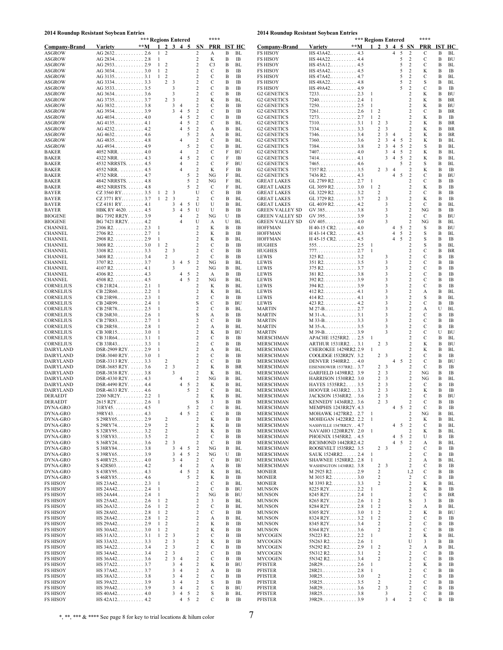#### **2014 Roundup Resistant Soybean Entries**

| 2014 Roundup Resistant Soybean Entries |                | *** Regions Entered                                       |                                                     |                                                    |                                       |                                             | ****           |        |                 | 2014 Roundup Resistant Soybean Entries             |                                                                                        |       | *** Regions Entered          |                                                         |                                  |         |                                           | ****             |        |                 |
|----------------------------------------|----------------|-----------------------------------------------------------|-----------------------------------------------------|----------------------------------------------------|---------------------------------------|---------------------------------------------|----------------|--------|-----------------|----------------------------------------------------|----------------------------------------------------------------------------------------|-------|------------------------------|---------------------------------------------------------|----------------------------------|---------|-------------------------------------------|------------------|--------|-----------------|
| Company-Brand                          | <b>Variety</b> | $**M$                                                     | $\overline{2}$                                      | 3                                                  | 4<br>5                                | <b>SN</b>                                   |                |        | PRR IST HC      | <b>Company-Brand</b>                               | <b>Variety</b>                                                                         | $**M$ |                              | $\overline{2}$<br>3                                     | $\overline{\mathbf{4}}$          |         | 5 SN                                      | <b>PRR</b>       |        | <b>IST HC</b>   |
| ASGROW                                 |                | $AG 2632 \ldots \ldots \ldots 2.6$                        | 2<br>1                                              |                                                    |                                       | 2                                           | А              | В      | BL              | <b>FS HISOY</b>                                    | $HS 43A42 \ldots  4.3$                                                                 |       |                              |                                                         | $\overline{4}$                   | 5       | 2                                         | С                | B      | BL              |
| <b>ASGROW</b>                          |                | AG 2834 2.8                                               | 1                                                   |                                                    |                                       | 2                                           | K              | В      | IB              | <b>FS HISOY</b>                                    | $HS 44A22 \ldots  4.4$                                                                 |       |                              |                                                         |                                  | 5       | $\overline{c}$                            | С                | B      | BU              |
| ASGROW                                 |                |                                                           | $\overline{c}$<br>1                                 |                                                    |                                       | 2                                           | C <sub>3</sub> | В      | BL              | <b>FS HISOY</b>                                    | $HS 45A12 \ldots 4.5$                                                                  |       |                              |                                                         |                                  | 5       | $\overline{c}$                            | С                | B      | BL              |
| ASGROW                                 |                |                                                           | $\mathbf{1}$<br>$\overline{c}$                      |                                                    |                                       | 2                                           | С              | B      | IB              | <b>FS HISOY</b>                                    | $HS 45A42 \ldots  4.5$                                                                 |       |                              |                                                         |                                  | 5       | $\overline{c}$                            | K                | B      | IB              |
| ASGROW                                 |                |                                                           | $\mathbf{1}$<br>2                                   |                                                    |                                       | 2<br>$\overline{c}$                         | С              | B      | IB              | <b>FS HISOY</b>                                    | $HS 47A42 \ldots  4.7$                                                                 |       |                              |                                                         |                                  | 5<br>5  | $\overline{c}$                            | С                | B      | BL              |
| <b>ASGROW</b><br><b>ASGROW</b>         |                |                                                           | $\overline{2}$                                      | $\overline{\mathbf{3}}$<br>3                       |                                       | $\overline{c}$                              | С<br>С         | В<br>B | IB<br>IB        | <b>FS HISOY</b><br><b>FS HISOY</b>                 | $HS 48A22 \ldots$ 4.8<br>$HS 49A42 \ldots  4.9$                                        |       |                              |                                                         |                                  | 5       | $\overline{c}$<br>$\overline{2}$          | S<br>С           | B<br>В | BL<br>IB        |
| ASGROW                                 |                |                                                           |                                                     | 3                                                  |                                       | $\overline{\mathbf{c}}$                     | С              | B      | IB              | G <sub>2</sub> GENETICS                            | $7233 \ldots \ldots \ldots \ldots 2.3$                                                 |       | -1                           |                                                         |                                  |         | 2                                         | K                | B      | BU              |
| ASGROW                                 |                |                                                           | $\overline{a}$                                      | $\overline{\mathbf{3}}$                            |                                       | $\boldsymbol{2}$                            | K              | B      | BL              | <b>G2 GENETICS</b>                                 |                                                                                        |       | 1                            |                                                         |                                  |         | $\overline{2}$                            | K                | B      | BR              |
| ASGROW                                 |                |                                                           |                                                     | 3                                                  | 4                                     | 2                                           | С              | В      | IB              | G <sub>2</sub> GENETICS                            |                                                                                        |       | 1                            |                                                         |                                  |         | $\overline{2}$                            | K                | B      | BU              |
| ASGROW                                 |                |                                                           |                                                     | 3                                                  | $\overline{4}$<br>5                   | $\overline{c}$                              | С              | B      | IB              | G <sub>2</sub> GENETICS                            | $7261. 2.6$                                                                            |       | -1                           | 2                                                       |                                  |         | $\overline{2}$                            | С                | B      | <b>BR</b>       |
| ASGROW                                 |                | $AG 4034 \ldots  \ldots 4.0$                              |                                                     |                                                    | 5<br>4                                | $\sqrt{2}$                                  | С              | B      | IB              | <b>G2 GENETICS</b>                                 |                                                                                        |       | $\mathbf{1}$                 | $\overline{2}$                                          |                                  |         | $\overline{2}$                            | K                | B      | IB              |
| <b>ASGROW</b>                          |                |                                                           |                                                     |                                                    | 5<br>4<br>5<br>4                      | $\overline{c}$                              | С              | В      | BL              | <b>G2 GENETICS</b>                                 |                                                                                        |       | -1                           | $\overline{c}$<br>3                                     |                                  |         | 2                                         | K                | B      | BR              |
| <b>ASGROW</b><br>ASGROW                |                | $AG 4232 \ldots  4.2$<br>$AG 4632 \ldots  \ldots 4.6$     |                                                     |                                                    | 5                                     | $\overline{c}$<br>$\overline{c}$            | А<br>А         | B<br>В | BL<br>BL        | G <sub>2</sub> GENETICS<br><b>G2 GENETICS</b>      |                                                                                        |       |                              | 3<br>2<br>$\overline{\mathbf{3}}$<br>2                  | $\overline{4}$                   |         | 2<br>2                                    | K<br>K           | B<br>Β | BR<br><b>BR</b> |
| ASGROW                                 |                |                                                           |                                                     |                                                    |                                       | $\overline{\mathbf{c}}$                     | С              | B      | BL              | <b>G2 GENETICS</b>                                 |                                                                                        |       |                              | 2<br>$\overline{\mathbf{3}}$                            | $\overline{4}$                   | 5       | $\overline{c}$                            | K                | B      | BL              |
| ASGROW                                 |                |                                                           |                                                     |                                                    | 5                                     | $\overline{2}$                              | С              | В      | BL              | <b>G2 GENETICS</b>                                 | 7384. 3.8                                                                              |       |                              | $\overline{\mathbf{3}}$<br>2                            | $\overline{4}$                   | 5       | $\overline{2}$                            | S                | B      | <b>BL</b>       |
| BAKER                                  |                | $4052 \text{ NRR}$ . 4.0                                  |                                                     |                                                    | 4                                     | $\overline{\mathbf{c}}$                     | С              | F      | BU              | G <sub>2</sub> GENETICS                            | $7407. \ldots \ldots \ldots \ldots \ldots 4.0$                                         |       |                              | 3                                                       | $\overline{4}$                   | 5       | $\overline{c}$                            | K                | B      | BL              |
| BAKER                                  |                | $4322 \text{ NRR}$ . 4.3                                  |                                                     |                                                    | 5<br>4                                | $\sqrt{2}$                                  | С              | F      | IB              | G <sub>2</sub> GENETICS                            |                                                                                        |       |                              | 3                                                       | 4                                | 5       | $\overline{2}$                            | K                | B      | BL              |
| BAKER                                  |                | 4532 NRRSTS. 4.5                                          |                                                     |                                                    |                                       | $\sqrt{2}$                                  | С              | F      | BU              | <b>G2 GENETICS</b>                                 |                                                                                        |       |                              |                                                         |                                  | 5       | 2                                         | S                | B      | BL              |
| BAKER<br>BAKER                         |                | $4552 \text{ NRR}$ 4.5<br>4732 NRR. 4.7                   |                                                     |                                                    | 4<br>5                                | 2<br>$\overline{c}$                         | K<br>NG        | F<br>F | IB<br>BL        | G <sub>2</sub> GENETICS<br>G <sub>2</sub> GENETICS | $7357 R2. \ldots \ldots \ldots \ldots 3.5$<br>$7436 R2.$ 4.3                           |       |                              | 2<br>$\overline{\mathbf{3}}$                            | $\overline{4}$<br>$\overline{4}$ | 5       | 2<br>$\overline{2}$                       | K<br>С           | Β<br>B | IB<br>BU        |
| BAKER                                  |                | 4842 NRRSTS. 4.8                                          |                                                     |                                                    | 5                                     | $\overline{c}$                              | NG             | F      | BL              | <b>GREAT LAKES</b>                                 | GL 2789 R2. $\ldots$ 2.7                                                               |       | -1                           |                                                         |                                  |         | $\overline{2}$                            | С                | B      | IB              |
| BAKER                                  |                | 4852 NRRSTS. 4.8                                          |                                                     |                                                    |                                       | 2                                           | С              | F      | BL              | <b>GREAT LAKES</b>                                 | GL 3059 R2. $\dots$ 3.0                                                                |       | -1                           | $\overline{c}$                                          |                                  |         | 2                                         | K                | В      | IB              |
| BAYER                                  |                | $CZ$ 3560 RY 3.5                                          | $\mathbf{1}$                                        | 2 3                                                |                                       | U                                           | С              | B      | IB              | <b>GREAT LAKES</b>                                 | GL 3229 R2. $\dots$ 3.2                                                                |       |                              | 2                                                       |                                  |         | $\overline{2}$                            | С                | Β      | IB              |
| BAYER                                  |                | CZ 3771 RY 3.7                                            | $\overline{c}$<br>1                                 | 3                                                  |                                       | 2                                           | С              | В      | BL              | <b>GREAT LAKES</b>                                 | GL 3729 R2. 3.7                                                                        |       |                              | $\boldsymbol{2}$<br>$\overline{\mathbf{3}}$             |                                  |         | $\overline{2}$                            | K                | B      | IB              |
| BAYER                                  |                | CZ 4181 RY 4.1                                            |                                                     | 3                                                  | 5<br>4                                | U                                           | U              | B      | BL              | <b>GREAT LAKES</b>                                 | GL 4039 R2. $\dots$ 4.2                                                                |       |                              | 3                                                       |                                  |         | $\overline{c}$                            | С                | B      | BL              |
| BAYER<br><b>BIOGENE</b>                |                | HBK RY $4620. \ldots 4.5$<br>BG 7392 RR2Y. 3.9            |                                                     | 3                                                  | $\overline{4}$<br>5<br>4              | U<br>$\overline{\mathbf{c}}$                | U<br>NG        | B<br>U | IB<br>IB        | <b>GREEN VALLEY SD</b><br><b>GREEN VALLEY SD</b>   | $GV 385 \ldots  \ldots 3.8$<br>$GV 395 \ldots  \ldots 3.9$                             |       |                              | 3<br>3                                                  |                                  |         | $\overline{c}$<br>2                       | NG<br>C          | B<br>B | IB<br>BU        |
| <b>BIOGENE</b>                         |                | BG 7421 RR2Y. 4.2                                         |                                                     |                                                    | 4                                     | U                                           | А              | U      | BL              | <b>GREEN VALLEY SD</b>                             | GV 405. 4.0                                                                            |       |                              |                                                         |                                  |         | $\overline{\mathbf{c}}$                   | NG               | B      | BL              |
| <b>CHANNEL</b>                         |                | $2306$ R2. 2.3                                            | 1                                                   |                                                    |                                       | $\overline{c}$                              | K              | B      | IB              | <b>HOFFMAN</b>                                     | $H$ 40-15 CR2. 4.0                                                                     |       |                              |                                                         | 4                                | 5       | $\overline{\mathbf{c}}$                   | S                | B      | BU              |
| CHANNEL                                |                | $2706$ R2. 2.7                                            | $\mathbf{1}$                                        |                                                    |                                       | $\overline{c}$                              | K              | B      | IB              | <b>HOFFMAN</b>                                     | $H$ 43-14 CR2. 4.3                                                                     |       |                              |                                                         | $\overline{4}$                   | 5       | $\overline{c}$                            | S                | B      | BL              |
| <b>CHANNEL</b>                         |                | 2908 R2. 2.9                                              | 1                                                   |                                                    |                                       | $\overline{c}$                              | K              | B      | BL              | <b>HOFFMAN</b>                                     | H 45-15 CR2. 4.5                                                                       |       |                              |                                                         | $\overline{4}$                   | 5       | $\overline{c}$                            | S                | B      | IB              |
| <b>CHANNEL</b>                         |                | $3008$ R2. 3.0                                            | $\mathbf{1}$<br>$\overline{c}$                      |                                                    |                                       | 2                                           | С              | B      | IB              | <b>HUGHES</b>                                      |                                                                                        |       | -1                           |                                                         |                                  |         | $\overline{2}$                            | S                | B      | BL              |
| <b>CHANNEL</b><br><b>CHANNEL</b>       |                | $3308$ R2. 3.3<br>$3408$ R2. 3.4                          | 2<br>2                                              | $\overline{\mathbf{3}}$                            |                                       | $\overline{c}$<br>$\overline{c}$            | С<br>С         | В<br>B | IB<br>IB        | <b>HUGHES</b><br><b>LEWIS</b>                      |                                                                                        |       | $\mathbf{1}$                 | 3                                                       |                                  |         | $\overline{2}$<br>$\overline{c}$          | С<br>С           | B<br>B | BR<br>IB        |
| <b>CHANNEL</b>                         |                | $3707 R2. \ldots \ldots \ldots 3.7$                       |                                                     | 3                                                  | 5<br>4                                | $\overline{c}$                              | NG             | B      | BL              | LEWIS                                              | $351 R2. \ldots \ldots \ldots \ldots 3.5$                                              |       |                              | 3                                                       |                                  |         | $\overline{\mathbf{c}}$                   | С                | B      | IB              |
| <b>CHANNEL</b>                         |                | $4107 R2. \ldots \ldots \ldots 4.1$                       |                                                     | 3                                                  |                                       | $\sqrt{2}$                                  | NG             | B      | BL              | LEWIS                                              | $375 R2. \ldots \ldots \ldots \ldots 3.7$                                              |       |                              | 3                                                       |                                  |         | $\overline{c}$                            | С                | B      | IB              |
| <b>CHANNEL</b>                         |                | $4306$ R2. 4.3                                            |                                                     |                                                    | 5<br>$\overline{4}$                   | 2                                           | A              | B      | IB              | <b>LEWIS</b>                                       | $381 R2. \ldots \ldots \ldots \ldots 3.8$                                              |       |                              | 3                                                       |                                  |         | $\overline{2}$                            | С                | B      | IB              |
| CHANNEL                                |                | $4508$ R2. 4.5                                            |                                                     |                                                    | 4<br>5                                | $\overline{c}$                              | NG             | В      | BL              | <b>LEWIS</b>                                       |                                                                                        |       |                              | 3                                                       |                                  |         | $\overline{2}$                            | С                | B      | IB              |
| <b>CORNELIUS</b>                       |                |                                                           | 1                                                   |                                                    |                                       | $\overline{c}$                              | K              | B      | BL              | LEWIS                                              | $394 R2. \ldots \ldots \ldots \ldots 3.9$                                              |       |                              | 3                                                       |                                  |         | $\overline{c}$                            | С                | B      | IB              |
| <b>CORNELIUS</b><br><b>CORNELIUS</b>   |                | CB 23R98 2.3                                              | 1<br>1                                              |                                                    |                                       | $\overline{c}$<br>2                         | K<br>С         | B<br>В | BL<br>IB        | <b>LEWIS</b><br><b>LEWIS</b>                       | $412 R2. \ldots \ldots \ldots \ldots 4.1$<br>$414 R2. \ldots \ldots \ldots \ldots 4.1$ |       |                              | 3<br>3                                                  |                                  |         | $\overline{\mathbf{c}}$<br>$\overline{c}$ | А<br>S           | B<br>B | BL<br>BL        |
| CORNELIUS                              |                | CB 24R99 2.4                                              | 1                                                   |                                                    |                                       | S                                           | С              | B      | BU              | LEWIS                                              | $423 R2. \ldots \ldots \ldots \ldots 4.2$                                              |       |                              | 3                                                       |                                  |         | $\overline{c}$                            | С                | B      | IB              |
| <b>CORNELIUS</b>                       |                |                                                           |                                                     |                                                    |                                       | $\overline{c}$                              | С              | B      | BL              | <b>MARTIN</b>                                      |                                                                                        |       |                              |                                                         |                                  |         | $\overline{2}$                            | А                | U      | BL              |
| <b>CORNELIUS</b>                       |                | $CB 26R30 \ldots 2.6$                                     | 1                                                   |                                                    |                                       | S                                           | А              | B      | IB              | <b>MARTIN</b>                                      |                                                                                        |       |                              | 3                                                       |                                  |         | $\overline{2}$                            | С                | B      | IB              |
| <b>CORNELIUS</b>                       |                | $CB 27R83 \ldots 2.7$                                     | 1                                                   |                                                    |                                       | $\overline{c}$                              | С              | B      | IB              | <b>MARTIN</b>                                      |                                                                                        |       |                              | $\mathbf{3}$                                            |                                  |         | $\overline{c}$                            | С                | B      | IB              |
| CORNELIUS<br>CORNELIUS                 |                | $CB 28R58 \ldots 2.8$                                     | 1<br>1                                              |                                                    |                                       | $\boldsymbol{2}$<br>$\overline{\mathbf{c}}$ | А<br>K         | В<br>B | BL<br>BU        | <b>MARTIN</b><br><b>MARTIN</b>                     |                                                                                        |       |                              | 3<br>3                                                  |                                  |         | 2<br>2                                    | С<br>С           | B<br>U | IB<br><b>BU</b> |
| <b>CORNELIUS</b>                       |                |                                                           | 1                                                   |                                                    |                                       | $\overline{c}$                              | С              | В      | IB              | MERSCHMAN                                          | APACHE 1525RR2. 2.5                                                                    |       |                              |                                                         |                                  |         | 2                                         | С                | B      | BL              |
| CORNELIUS                              |                | CB 33R43 3.3                                              | 1                                                   |                                                    |                                       | 2                                           | С              | В      | IB              | <b>MERSCHMAN</b>                                   | ARTHUR 1531RR2. 3.1                                                                    |       |                              | 2 <sup>3</sup>                                          |                                  |         | 2                                         | K                | B      | BU              |
| DAIRYLAND                              |                | DSR-2909 R2Y. 2.9                                         | 1                                                   |                                                    |                                       | $\overline{c}$                              | А              | В      | BL              | MERSCHMAN                                          | CHEROKEE 1429RR2.2.9                                                                   |       | -1                           |                                                         |                                  |         | 2                                         | K                | В      | BL              |
| DAIRYLAND                              |                | DSR-3040 R2Y. $\ldots$ . 3.0                              |                                                     |                                                    |                                       | $\overline{\mathbf{c}}$                     | С              | В      | IB              | MERSCHMAN                                          | COOLIDGE 1532RR2Y. 3.2                                                                 |       |                              | 2 <sup>3</sup>                                          |                                  |         | $\overline{2}$                            | С                | B      | IB              |
| DAIRYLAND<br>DAIRYLAND                 |                | DSR-3313 R2Y.  3.3<br>DSR-3685 R2Y.  3.6                  | 2                                                   | 2 <sup>3</sup>                                     |                                       | $\boldsymbol{2}$<br>$\sqrt{2}$              | С<br>K         | В<br>В | IB<br><b>BR</b> | MERSCHMAN<br>MERSCHMAN                             | DENVER 1540RR2. 4.0<br>EISENHOWER 1537RR2. . 3.7                                       |       |                              | 2 <sup>3</sup>                                          | 4                                | 5       | $\overline{c}$<br>$\overline{c}$          | С<br>С           | Β<br>B | BU<br>IB        |
| DAIRYLAND                              |                | DSR-3838 R2Y.  3.8                                        |                                                     | 3                                                  |                                       | $\overline{2}$                              | K              | В      | BL              | <b>MERSCHMAN</b>                                   | GARFIELD 1439RR2. 3.9                                                                  |       |                              | 2<br>3                                                  |                                  |         | $\overline{c}$                            | NG               | B      | IB              |
| DAIRYLAND                              |                | DSR-4330 R2Y. $\dots$ 4.3                                 |                                                     |                                                    |                                       | $\overline{\mathbf{c}}$                     | NG             | В      | BL              | MERSCHMAN                                          | <b>HARRISON 1530RR2. 3.0</b>                                                           |       |                              | 2<br>3                                                  |                                  |         | 2                                         | NG               | B      | BL              |
| DAIRYLAND                              |                | DSR-4490 R2Y.  4.4                                        |                                                     |                                                    | 4<br>5                                | $\overline{c}$                              | K              | Β      | BL              | MERSCHMAN                                          | HAYES 1535RR2 3.5                                                                      |       |                              | 2<br>$\overline{\mathbf{3}}$                            |                                  |         | $\overline{c}$                            | C                | B      | IB              |
| DAIRYLAND                              |                | DSR-4633 R2Y. 4.6                                         |                                                     |                                                    | 5                                     | $\overline{c}$                              | С              | В      | BL              | MERSCHMAN                                          | HOOVER 1433RR2 3.3                                                                     |       |                              | 2 <sup>3</sup>                                          |                                  |         | $\overline{c}$                            | K                | Β      | IB              |
| DERAEDT                                |                | $2200 \text{ NR2Y}. \dots \dots \dots 2.2$                |                                                     |                                                    |                                       | $\overline{c}$                              | K<br>3         | В<br>в | BL              | MERSCHMAN                                          | JACKSON 1536RR2. . 3.6                                                                 |       |                              | 2<br>$\overline{\mathbf{3}}$<br>23                      |                                  |         | $\overline{c}$                            | С<br>C           | Β<br>в | <b>BU</b><br>ΙВ |
| DERAEDT<br>DYNA-GRO                    |                | 2615 R2Y 2.6<br>$31RY45. \ldots \ldots \ldots \ldots 4.5$ |                                                     |                                                    | 5                                     | s<br>$\sqrt{2}$                             | $\mathbf C$    | В      | IB.<br>BL       | MERSCHMAN<br>MERSCHMAN                             | KENNEDY 1436RR2 3.6<br>MEMPHIS 1243RR2Y. 4.3                                           |       |                              |                                                         | 4                                | 5       | $\overline{c}$                            | $\mathbf C$      | B      | IB              |
| DYNA-GRO                               |                | 39RY4343                                                  |                                                     |                                                    | 5<br>4                                | $\sqrt{2}$                                  | С              | B      | IB              | MERSCHMAN                                          | MOHAWK 1427RR2. . 2.7                                                                  |       | -1                           |                                                         |                                  |         | 2                                         | NG               | Β      | BL              |
| DYNA-GRO                               |                |                                                           | 2                                                   |                                                    |                                       | 2                                           | K              | Β      | IB              | MERSCHMAN                                          | MOHEGAN 1422RR2. 2.2                                                                   |       | $\mathbf{1}$                 |                                                         |                                  |         | 2                                         | K                | B      | BL              |
| DYNA-GRO                               |                | S 29RY74 2.9                                              | $\boldsymbol{2}$                                    |                                                    |                                       | 2                                           | K              | В      | IB              | MERSCHMAN                                          | NASHVILLE 1547RR2Y. . 4.7                                                              |       |                              |                                                         | 4                                | 5       | $\overline{c}$                            | С                | Β      | BL              |
| DYNA-GRO                               |                | S 32RY95 3.2                                              | $\sqrt{2}$                                          |                                                    |                                       | $\sqrt{2}$<br>$\overline{c}$                | K              | В      | IB              | MERSCHMAN                                          | NAVAHO 1220RR2Y. 2.0                                                                   |       | -1                           |                                                         |                                  |         | $\overline{2}$                            | K                | B      | BL              |
| DYNA-GRO<br>DYNA-GRO                   |                |                                                           | 2<br>2                                              | $\overline{\mathbf{3}}$                            |                                       | 2                                           | C<br>С         | Β<br>B | IB<br>IB        | MERSCHMAN<br>MERSCHMAN                             | PHOENIX 1545RR2. . 4.5<br>RICHMOND 1442RR2.4.2                                         |       |                              |                                                         | 4                                | -5<br>5 | $\overline{\mathbf{c}}$<br>$\overline{c}$ | U<br>А           | B<br>Β | IB<br>BL        |
| DYNA-GRO                               |                | S 38RY84 3.8                                              |                                                     | 3                                                  | $\overline{4}$<br>5                   | $\overline{c}$                              | NG             | В      | BL              | MERSCHMAN                                          | ROOSEVELT 1535RR2. 3.5                                                                 |       |                              | 2 <sup>3</sup>                                          |                                  |         | $\overline{2}$                            | С                | B      | IB              |
| DYNA-GRO                               |                |                                                           |                                                     | 3                                                  | $\overline{4}$<br>5                   | $\overline{c}$                              | NG             | U      | IB              | <b>MERSCHMAN</b>                                   | SAUK 1524RR2 2.4                                                                       |       | 1                            |                                                         |                                  |         | 2                                         | С                | B      | IB              |
| DYNA-GRO                               |                |                                                           |                                                     | 3                                                  | $\overline{4}$                        | $\sqrt{2}$                                  | С              | В      | BU              | MERSCHMAN                                          | <b>SHAWNEE 1528RR2 2.8</b>                                                             |       | 1                            |                                                         |                                  |         | $\overline{2}$                            | А                | B      | BL              |
| DYNA-GRO                               |                | $S$ 42RS03. 4.2                                           |                                                     |                                                    | 4                                     | $\sqrt{2}$                                  | А              | B      | IB              | MERSCHMAN                                          | WASHINGTON 1438RR2. 3.8                                                                |       |                              | $2 \quad 3$                                             |                                  |         | $\overline{2}$                            | C                | B      | IB              |
| DYNA-GRO<br>DYNA-GRO                   |                |                                                           |                                                     |                                                    | 5<br>4<br>5                           | $\sqrt{2}$<br>$\sqrt{2}$                    | K<br>K         | В<br>Β | BL<br>IB        | <b>MONIER</b><br><b>MONIER</b>                     | $M$ 2925 R2. 2.9<br>$M$ 3015 R2. 3.0                                                   |       |                              | $\overline{\mathbf{c}}$<br>$\sqrt{2}$                   |                                  |         | 1,2<br>2                                  | С<br>С           | B<br>B | IB<br>IB        |
| <b>FS HISOY</b>                        |                | $HS 23A42 \ldots 2.3$                                     | 1                                                   |                                                    |                                       | 2                                           | С              | B      | BL              | <b>MONIER</b>                                      | M 3393 R2. 3.3                                                                         |       |                              | $\overline{2}$                                          |                                  |         | $\overline{\mathbf{c}}$                   | K                | B      | BL              |
| <b>FS HISOY</b>                        |                | $HS 24A42 \ldots 2.4$                                     | 1                                                   |                                                    |                                       | $\overline{c}$                              | С              | B      | BU              | <b>MUNSON</b>                                      |                                                                                        |       | $\mathbf{1}$                 |                                                         |                                  |         | 2                                         | K                | B      | IB              |
| <b>FS HISOY</b>                        |                | $HS 24A44 \ldots$ 2.4                                     | 1                                                   |                                                    |                                       | $\overline{c}$                              | NG             | B      | BU              | <b>MUNSON</b>                                      | 8245 R2Y 2.4                                                                           |       | 1                            |                                                         |                                  |         | 2                                         | С                | B      | BR              |
| <b>FS HISOY</b>                        |                | $HS 25A42 \ldots$ 2.6                                     | $\mathbf{1}$<br>2                                   |                                                    |                                       | 2                                           | 3              | B      | BL              | <b>MUNSON</b>                                      |                                                                                        |       | $\mathbf{1}$                 | 2                                                       |                                  |         | S                                         | 3                | B      | IB              |
| FS HISOY                               |                | $HS 26A32 \ldots 2.6$                                     | $\mathbf{1}$<br>$\overline{c}$<br>$\mathbf{1}$<br>2 |                                                    |                                       | 2<br>2                                      | С              | B<br>B | BL<br>IB        | <b>MUNSON</b>                                      | 8284 R2Y 2.8                                                                           |       | $\mathbf{1}$<br>$\mathbf{1}$ | $\overline{2}$<br>$\overline{c}$                        |                                  |         | 2<br>$\overline{2}$                       | А                | B<br>B | BL              |
| <b>FS HISOY</b><br>FS HISOY            |                | $HS 28A02 \ldots 2.8$<br>$HS 28A42 \ldots 2.8$            | $\overline{c}$<br>$\mathbf{1}$                      |                                                    |                                       | 2                                           | С<br>А         | B      | BL              | <b>MUNSON</b><br><b>MUNSON</b>                     | $8305 R2Y$ 3.0                                                                         |       | $\mathbf{1}$                 | $\overline{c}$                                          |                                  |         | $\overline{2}$                            | K<br>С           | B      | BU<br>IB        |
| <b>FS HISOY</b>                        |                | $HS 29A42$ 2.9                                            | 2<br>$\mathbf{1}$                                   |                                                    |                                       | 2                                           | K              | В      | IB              | <b>MUNSON</b>                                      |                                                                                        |       |                              | $\overline{\mathbf{c}}$                                 |                                  |         | $\overline{c}$                            | С                | B      | IB              |
| <b>FS HISOY</b>                        |                | HS 30A42 3.0                                              | $\overline{c}$<br>$\mathbf{1}$                      |                                                    |                                       | 2                                           | K              | B      | IB              | <b>MUNSON</b>                                      |                                                                                        |       |                              | $\overline{\mathbf{c}}$                                 |                                  |         | 2                                         | С                | B      | IB              |
| <b>FS HISOY</b>                        |                | $HS 31A32 \ldots  3.1$                                    | $\overline{2}$<br>$\mathbf{1}$                      | $\overline{\mathbf{3}}$                            |                                       | 2                                           | С              | Β      | IB              | <b>MYCOGEN</b>                                     |                                                                                        |       | $\mathbf{1}$                 |                                                         |                                  |         | $\overline{2}$                            | K                | B      | BL              |
| <b>FS HISOY</b>                        |                | HS 33A32 3.3                                              | $\overline{c}$                                      | $\overline{\mathbf{3}}$                            |                                       | 2                                           | K              | B      | IB              | <b>MYCOGEN</b>                                     |                                                                                        |       | -1                           |                                                         |                                  |         | U                                         | 3                | Β      | IB              |
| <b>FS HISOY</b>                        |                | HS 34A22 3.4                                              | $\overline{c}$                                      | $\overline{\mathbf{3}}$                            |                                       | 2                                           | С              | B      | IB              | <b>MYCOGEN</b>                                     |                                                                                        |       | $\mathbf{1}$                 | $\overline{c}$                                          |                                  |         | $\overline{2}$                            | А                | B      | BL              |
| <b>FS HISOY</b><br><b>FS HISOY</b>     |                | HS 34A42 3.4<br>$HS 36A42 \ldots  3.6$                    | $\overline{a}$<br>$\overline{c}$                    | $\overline{\mathbf{3}}$<br>$\overline{\mathbf{3}}$ | $\overline{4}$                        | $\boldsymbol{2}$<br>2                       | С<br>С         | В<br>Β | IB<br>IB        | <b>MYCOGEN</b><br><b>MYCOGEN</b>                   |                                                                                        |       |                              | $\overline{c}$<br>$\overline{\mathbf{c}}$               |                                  |         | $\overline{c}$<br>$\overline{c}$          | С<br>С           | B<br>B | IB<br>IB        |
| <b>FS HISOY</b>                        |                | HS 37A22 3.7                                              |                                                     | 3                                                  | $\overline{4}$                        | $\sqrt{2}$                                  | K              | B      | BU              | PFISTER                                            |                                                                                        |       |                              |                                                         |                                  |         | $\overline{2}$                            | K                | B      | IB              |
| <b>FS HISOY</b>                        |                | $HS 37A42 \ldots 3.7$                                     |                                                     | 3                                                  | $\overline{4}$                        | 2                                           | А              | B      | IB              | PFISTER                                            |                                                                                        |       | $\overline{1}$               |                                                         |                                  |         | $\overline{2}$                            | С                | B      | IB              |
| <b>FS HISOY</b>                        |                | HS 38A32 3.8                                              |                                                     | 3                                                  | $\overline{4}$                        | $\sqrt{2}$                                  | С              | B      | IB              | PFISTER                                            |                                                                                        |       |                              | $\overline{\mathbf{c}}$                                 |                                  |         | $\overline{c}$                            | С                | B      | IB              |
| FS HISOY                               |                | $HS 39A22 \ldots  3.9$                                    |                                                     | 3                                                  | 4                                     | $\sqrt{2}$                                  | S              | Β      | IB              | PFISTER                                            |                                                                                        |       |                              | $\boldsymbol{2}$                                        |                                  |         | $\overline{c}$                            | С                | B      | IB              |
| <b>FS HISOY</b><br><b>FS HISOY</b>     |                | HS 39A42 3.9<br>$HS 40A42 \ldots  4.0$                    |                                                     | 3<br>3                                             | $\overline{4}$<br>$\overline{4}$<br>5 | $\begin{smallmatrix}2\\2\end{smallmatrix}$  | С<br>$\rm S$   | B<br>B | BU<br>BL        | PFISTER<br>PFISTER                                 |                                                                                        |       |                              | $\overline{\mathbf{c}}$<br>$\overline{\mathbf{3}}$<br>3 |                                  |         | $\overline{c}$<br>$\overline{\mathbf{c}}$ | $\mathbf C$<br>С | B<br>B | IB<br>IB        |
| <b>FS HISOY</b>                        |                | $HS 42A12 \ldots 4.2$                                     |                                                     |                                                    | 5<br>4                                | $\sqrt{2}$                                  | С              | В      | IB              | PFISTER                                            |                                                                                        |       |                              |                                                         | $3 \quad 4$                      |         | $\overline{c}$                            | С                | B      | IB              |
|                                        |                |                                                           |                                                     |                                                    |                                       |                                             |                |        |                 |                                                    |                                                                                        |       |                              |                                                         |                                  |         |                                           |                  |        |                 |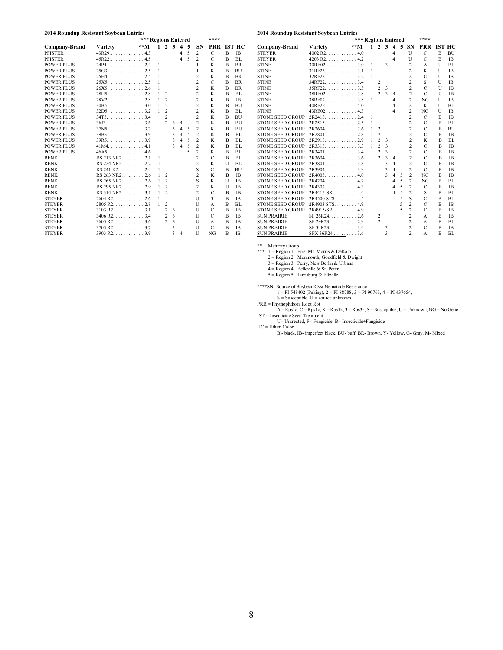#### **2014 Roundup Resistant Soybean Entries**

| 014 Roundap Resistant 503bean Entries |                                         | ****  |   |                |                                    |                         |     |                |                |                |           |
|---------------------------------------|-----------------------------------------|-------|---|----------------|------------------------------------|-------------------------|-----|----------------|----------------|----------------|-----------|
|                                       |                                         |       |   |                | *** Regions Entered<br>$2 \t3 \t4$ |                         |     |                |                |                |           |
| <b>Company-Brand</b>                  | <b>Variety</b>                          | $**M$ |   |                |                                    |                         | - 5 | <b>SN</b>      | <b>PRR</b>     |                | IST HC    |
| <b>PFISTER</b>                        | 43R29                                   | 43    |   |                |                                    | $\overline{4}$          | 5   | $\overline{c}$ | $\mathbf C$    | B              | <b>IB</b> |
| <b>PFISTER</b>                        | $45R22$ 4.5                             |       |   |                |                                    | $\overline{4}$          | 5   | $\overline{c}$ | $\mathbf C$    | B              | BL.       |
| <b>POWER PLUS</b>                     | $24P4$ 2.4                              |       | 1 |                |                                    |                         |     | 1              | K              | $\overline{B}$ | <b>BR</b> |
| <b>POWER PLUS</b>                     | $25G3.$ 2.5                             |       | 1 |                |                                    |                         |     | 1              | K              | $\overline{B}$ | BU        |
| <b>POWER PLUS</b>                     | $25H4.$ 2.5                             |       | 1 |                |                                    |                         |     | $\overline{c}$ | K              | B              | <b>BR</b> |
| <b>POWER PLUS</b>                     | $25X5.$ 2.5                             |       | 1 |                |                                    |                         |     | $\overline{2}$ | $\mathcal{C}$  | B              | <b>BR</b> |
| <b>POWER PLUS</b>                     | $26X5.$ 2.6                             |       | 1 |                |                                    |                         |     | $\overline{2}$ | K              | B              | <b>BR</b> |
| <b>POWER PLUS</b>                     | $28H5.$ 2.8                             |       | 1 | $\overline{c}$ |                                    |                         |     | $\overline{2}$ | K              | B              | BL.       |
| <b>POWER PLUS</b>                     | $28V2.$ 2.8                             |       | 1 | $\overline{c}$ |                                    |                         |     | $\overline{2}$ | K              | B              | <b>IB</b> |
| <b>POWER PLUS</b>                     | $30B5$ $3.0$                            |       | 1 | $\overline{c}$ |                                    |                         |     | $\overline{c}$ | K              | B              | <b>BU</b> |
| <b>POWER PLUS</b>                     | $32D5. \ldots \ldots \ldots \ldots 3.2$ |       | 1 | $\overline{c}$ |                                    |                         |     | $\overline{2}$ | K              | B              | BL.       |
| <b>POWER PLUS</b>                     | $34T3$ 3.4                              |       |   | $\overline{c}$ |                                    |                         |     | $\overline{2}$ | K              | B              | <b>BU</b> |
| <b>POWER PLUS</b>                     | $36J3$ 3.6                              |       |   | $\mathfrak{D}$ | 3                                  | $\overline{4}$          |     | $\overline{c}$ | K              | B              | BU        |
| <b>POWER PLUS</b>                     | $37N5.$ 3.7                             |       |   |                | 3                                  | $\overline{4}$          | 5   | $\overline{c}$ | K              | $\overline{B}$ | BU        |
| <b>POWER PLUS</b>                     |                                         |       |   |                | 3                                  | $\overline{4}$          | 5   | $\overline{c}$ | K              | $\overline{B}$ | BL        |
| <b>POWER PLUS</b>                     |                                         |       |   |                | 3                                  | $\overline{\mathbf{4}}$ | 5   | $\overline{c}$ | K              | $\overline{B}$ | <b>BL</b> |
| <b>POWER PLUS</b>                     |                                         |       |   |                | 3                                  | $\overline{4}$          | 5   | $\overline{c}$ | K              | $\overline{B}$ | BL        |
| <b>POWER PLUS</b>                     | $46A5$ $4.6$                            |       |   |                |                                    |                         | 5   | $\overline{2}$ | K              | B              | BI.       |
| <b>RENK</b>                           |                                         |       | 1 |                |                                    |                         |     | $\overline{c}$ | $\mathcal{C}$  | B              | BI.       |
| <b>RENK</b>                           | $RS$ 224 NR2 2.2                        |       | 1 |                |                                    |                         |     | $\overline{2}$ | K              | U              | BL.       |
| <b>RENK</b>                           | $RS$ 241 $R$ 2. 2.4                     |       | 1 |                |                                    |                         |     | S              | C              | $\overline{B}$ | BU        |
| <b>RENK</b>                           | RS 263 NR2 2.6                          |       | 1 | $\overline{2}$ |                                    |                         |     | $\overline{2}$ | K              | B              | <b>IB</b> |
| <b>RENK</b>                           | $RS$ 265 NR2 2.6                        |       | 1 | $\overline{c}$ |                                    |                         |     | S              | K              | U              | <b>IB</b> |
| <b>RENK</b>                           | RS 295 NR2. 2.9                         |       | 1 | $\overline{2}$ |                                    |                         |     | $\overline{2}$ | K              | U              | <b>IB</b> |
| <b>RENK</b>                           | $RS$ 314 NR2 3.1                        |       | 1 | $\overline{2}$ |                                    |                         |     | $\overline{c}$ | $\overline{C}$ | B              | <b>IB</b> |
| <b>STEYER</b>                         | $2604 R2$ 2.6                           |       | 1 |                |                                    |                         |     | $\mathbf{U}$   | 3              | $\overline{B}$ | <b>IB</b> |
| <b>STEYER</b>                         | $2805 R2$ 2.8                           |       | 1 | $\overline{2}$ |                                    |                         |     | $\mathbf{U}$   | $\overline{A}$ | B              | BI.       |
| <b>STEYER</b>                         |                                         |       |   | $\overline{c}$ | 3                                  |                         |     | $\mathbf{U}$   | $\mathcal{C}$  | $\overline{B}$ | <b>IB</b> |
| <b>STEYER</b>                         | $3406 R2.$ 3.4                          |       |   | $\overline{c}$ | 3                                  |                         |     | $\mathbf{U}$   | $\mathbf C$    | B              | <b>IB</b> |
| <b>STEYER</b>                         | $3605 R2.$ 3.6                          |       |   | $\overline{a}$ | 3                                  |                         |     | U              | A              | $\overline{B}$ | <b>IB</b> |
| <b>STEYER</b>                         | $3703$ R2. 3.7                          |       |   |                | 3                                  |                         |     | $\mathbf{U}$   | $\mathcal{C}$  | $\overline{B}$ | <b>IB</b> |
| <b>STEYER</b>                         | 3903 R2                                 |       |   |                | 3                                  | $\overline{4}$          |     | U              | NG             | $\overline{B}$ | <b>IB</b> |

|                         |                    | *** Regions Entered |   |                |                         |                         |                          |                | ****           |                |           |
|-------------------------|--------------------|---------------------|---|----------------|-------------------------|-------------------------|--------------------------|----------------|----------------|----------------|-----------|
| <b>Company-Brand</b>    | <b>Variety</b>     | $**M$               |   |                |                         |                         |                          | 1 2 3 4 5 SN   | PRR            |                | IST HC    |
| <b>STEYER</b>           | $4002$ R2. 4.0     |                     |   |                |                         | $\overline{4}$          |                          | U              | $\mathbf C$    | B              | BU        |
| <b>STEYER</b>           | 4203 R2. 4.2       |                     |   |                |                         | $\overline{\mathbf{4}}$ |                          | U              | $\mathbf C$    | B              | <b>IB</b> |
| <b>STINE</b>            | $30RE02.$ 3.0      |                     | 1 |                | 3                       |                         |                          | $\overline{c}$ | A              | U              | <b>BL</b> |
| <b>STINE</b>            |                    |                     | 1 |                |                         |                         |                          | $\overline{c}$ | K              | U              | <b>IB</b> |
| <b>STINE</b>            | $32RF23$ 3.2       |                     | 1 |                |                         |                         |                          | $\overline{c}$ | C              | U              | <b>IB</b> |
| <b>STINE</b>            | $34RF22$ 3.4       |                     |   | $\overline{c}$ |                         |                         |                          | $\overline{c}$ | S              | U              | <b>IB</b> |
| <b>STINE</b>            | $35RF22$ 3.5       |                     |   | $\overline{c}$ | 3                       |                         |                          | $\overline{c}$ | $\mathcal{C}$  | U              | <b>IB</b> |
| <b>STINE</b>            | $38RE02.$ 3.8      |                     |   | $\mathfrak{D}$ | $\mathbf{3}$            | $\overline{4}$          |                          | $\overline{c}$ | C              | $\mathbf{U}$   | <b>IB</b> |
| <b>STINE</b>            |                    |                     | 1 |                |                         | $\overline{4}$          |                          | $\overline{2}$ | NG             | U              | <b>IB</b> |
| <b>STINE</b>            |                    |                     |   |                |                         | $\overline{4}$          |                          | $\overline{c}$ | K              | U              | <b>BL</b> |
| <b>STINE</b>            | $43R E02.$ 4.3     |                     |   |                |                         | $\overline{4}$          |                          | $\overline{c}$ | NG             | U              | <b>IB</b> |
| <b>STONE SEED GROUP</b> | $2R2415$ 2.4       |                     | 1 |                |                         |                         |                          | $\overline{a}$ | $\mathbf C$    | B              | <b>IB</b> |
| <b>STONE SEED GROUP</b> |                    |                     | 1 |                |                         |                         |                          | $\overline{c}$ | C              | B              | <b>BL</b> |
| <b>STONE SEED GROUP</b> | $2R2604$ 2.6       |                     | 1 | $\overline{2}$ |                         |                         |                          | $\overline{2}$ | C              | B              | BU        |
| <b>STONE SEED GROUP</b> | $2R2801$ 2.8       |                     | 1 | $\overline{c}$ |                         |                         |                          | $\overline{c}$ | C              | $\overline{B}$ | <b>IB</b> |
| <b>STONE SEED GROUP</b> |                    |                     | 1 | $\overline{2}$ | 3                       |                         |                          | $\overline{c}$ | K              | $\overline{B}$ | BL        |
| <b>STONE SEED GROUP</b> |                    |                     | 1 | $\overline{c}$ | 3                       |                         |                          | $\overline{c}$ | $\mathbf C$    | $\overline{B}$ | <b>IB</b> |
| <b>STONE SEED GROUP</b> |                    |                     |   | $\overline{c}$ | $\overline{\mathbf{3}}$ |                         |                          | $\overline{2}$ | C              | $\overline{B}$ | <b>IB</b> |
| <b>STONE SEED GROUP</b> | $2R3604$ 3.6       |                     |   | $\mathfrak{D}$ | 3                       | $\overline{4}$          |                          | $\overline{c}$ | $\mathcal{C}$  | $\overline{B}$ | <b>IB</b> |
| <b>STONE SEED GROUP</b> | 2R38013.8          |                     |   |                | 3                       | $\overline{4}$          |                          | $\overline{c}$ | $\mathcal{C}$  | B              | <b>IB</b> |
| <b>STONE SEED GROUP</b> | $2R3904$ 3.9       |                     |   |                | 3                       | $\overline{4}$          |                          | $\overline{c}$ | $\mathcal{C}$  | $\overline{B}$ | <b>IB</b> |
| <b>STONE SEED GROUP</b> |                    |                     |   |                | $\overline{\mathbf{3}}$ | $\overline{4}$          | 5                        | $\overline{c}$ | NG             | $\overline{B}$ | <b>IB</b> |
| <b>STONE SEED GROUP</b> | $2R4204$ 4.2       |                     |   |                |                         | $\overline{4}$          | 5                        | $\overline{2}$ | NG             | B              | <b>BL</b> |
| <b>STONE SEED GROUP</b> | $2R4302$ 4.3       |                     |   |                |                         | $\overline{4}$          | 5                        | $\overline{2}$ | C              | $\overline{B}$ | <b>IB</b> |
| <b>STONE SEED GROUP</b> |                    |                     |   |                |                         | $\overline{4}$          | 5                        | $\overline{c}$ | S              | B              | BL.       |
| <b>STONE SEED GROUP</b> | $2R4500 STS$ $4.5$ |                     |   |                |                         |                         | 5                        | S              | $\mathbf C$    | B              | BL        |
| <b>STONE SEED GROUP</b> | 2R4903 STS 4.9     |                     |   |                |                         |                         | 5                        | $\overline{c}$ | C              | B              | <b>IB</b> |
| <b>STONE SEED GROUP</b> | $2R4915-SR$ 4.9    |                     |   |                |                         |                         | $\overline{\phantom{a}}$ | $\overline{2}$ | C              | B              | <b>IB</b> |
| <b>SUN PRAIRIE</b>      |                    |                     |   | $\overline{c}$ |                         |                         |                          | $\overline{2}$ | $\overline{A}$ | B              | <b>IB</b> |
| <b>SUN PRAIRIE</b>      | $SP 29R23$ 2.9     |                     |   | $\overline{c}$ |                         |                         |                          | $\overline{c}$ | A              | B              | <b>BL</b> |
| <b>SUN PRAIRIE</b>      | $SP$ 34R23 3.4     |                     |   |                | 3                       |                         |                          | $\overline{2}$ | C              | B              | <b>IB</b> |
| <b>SUN PRAIRIE</b>      | $SPX 36R24$ 3.6    |                     |   |                | 3                       |                         |                          | $\overline{a}$ | A              | B              | <b>BL</b> |

\*\* Maturity Group<br>
1 = Region 1: Erie, Mt. Morris & DeKalb<br>
2 = Region 3: Monmouth, Goodfield & Dwight<br>
3 = Region 3: Perry, New Berlin & Urbana<br>
4 = Region 4: Belleville & St. Peter<br>
5 = Region 5: Harrisburg & Elkville

\*\*\*\*SN- Source of Soybean Cyst Nematode Resistance

1 = PI 548402 (Peking), 2 = PI 88788, 3 = PI 90763, 4 = PI 437654, S = Susceptible, U = source unknown. PRR = Phythophthora Root Rot

A = Rps1a, C = Rps1c, K = Rps1k, 3 = Rps3a, S = Susceptible, U = Unknown, NG = No Gene IST = Insecticide Seed Treatment U= Untreated, F= Fungicide, B= Insecticide+Fungicide

 $HC = Hilum Color$ 

Bl- black, IB- imperfect black, BU- buff, BR- Brown, Y- Yellow, G- Gray, M- Mixed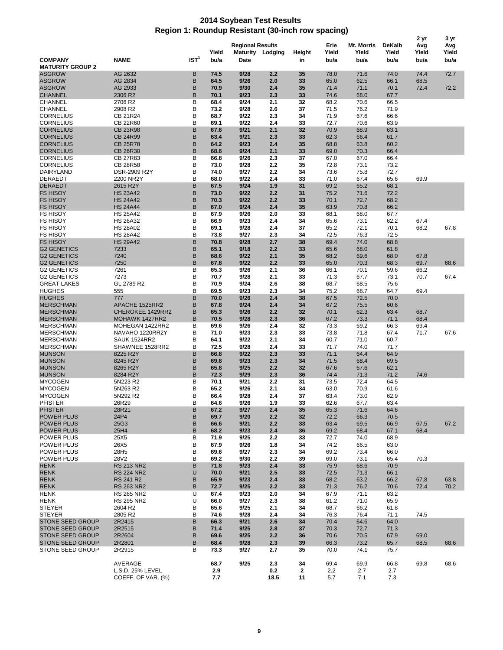## **2014 Soybean Test Results Region 1: Roundup Resistant (30-inch row spacing)**

|                                          |                                    |                  |               |                                 |                  |              |                       |                             |                                | 2 yr                 | 3 yr                 |
|------------------------------------------|------------------------------------|------------------|---------------|---------------------------------|------------------|--------------|-----------------------|-----------------------------|--------------------------------|----------------------|----------------------|
| <b>COMPANY</b>                           | <b>NAME</b>                        | IST <sup>1</sup> | Yield<br>bu/a | <b>Regional Results</b><br>Date | Maturity Lodging | Height<br>in | Erie<br>Yield<br>bu/a | Mt. Morris<br>Yield<br>bu/a | <b>DeKalb</b><br>Yield<br>bu/a | Avg<br>Yield<br>bu/a | Avg<br>Yield<br>bu/a |
| <b>MATURITY GROUP 2</b>                  |                                    |                  |               |                                 |                  |              |                       |                             |                                |                      |                      |
| <b>ASGROW</b>                            | AG 2632                            | В<br>В           | 74.5<br>64.5  | 9/28<br>9/26                    | 2.2<br>2.0       | 35           | 78.0<br>65.0          | 71.6<br>62.5                | 74.0<br>66.1                   | 74.4<br>68.5         | 72.7                 |
| <b>ASGROW</b><br><b>ASGROW</b>           | AG 2834<br>AG 2933                 | B                | 70.9          | 9/30                            | 2.4              | 33<br>35     | 71.4                  | 71.1                        | 70.1                           | 72.4                 | 72.2                 |
| <b>CHANNEL</b>                           | 2306 R2                            | B                | 70.1          | 9/23                            | 2.3              | 33           | 74.6                  | 68.0                        | 67.7                           |                      |                      |
| <b>CHANNEL</b>                           | 2706 R2                            | B                | 68.4          | 9/24                            | 2.1              | 32           | 68.2                  | 70.6                        | 66.5                           |                      |                      |
| <b>CHANNEL</b>                           | 2908 R2                            | B                | 73.2          | 9/28                            | 2.6              | 37           | 71.5                  | 76.2                        | 71.9                           |                      |                      |
| <b>CORNELIUS</b>                         | <b>CB 21R24</b>                    | B                | 68.7          | 9/22                            | 2.3              | 34           | 71.9                  | 67.6                        | 66.6                           |                      |                      |
| <b>CORNELIUS</b>                         | <b>CB 22R60</b>                    | B                | 69.1          | 9/22                            | 2.4              | 33           | 72.7                  | 70.6                        | 63.9                           |                      |                      |
| <b>CORNELIUS</b>                         | <b>CB 23R98</b>                    | B                | 67.6          | 9/21                            | 2.1              | 32           | 70.9                  | 68.9                        | 63.1                           |                      |                      |
| <b>CORNELIUS</b>                         | <b>CB 24R99</b>                    | B                | 63.4          | 9/21                            | 2.3              | 33           | 62.3                  | 66.4                        | 61.7                           |                      |                      |
| <b>CORNELIUS</b>                         | <b>CB 25R78</b>                    | B                | 64.2          | 9/23                            | 2.4              | 35           | 68.8                  | 63.8                        | 60.2                           |                      |                      |
| <b>CORNELIUS</b>                         | <b>CB 26R30</b>                    | B                | 68.6          | 9/24                            | 2.1              | 33           | 69.0                  | 70.3                        | 66.4                           |                      |                      |
| <b>CORNELIUS</b><br><b>CORNELIUS</b>     | <b>CB 27R83</b><br><b>CB 28R58</b> | B<br>B           | 66.8<br>73.0  | 9/26<br>9/28                    | 2.3<br>2.2       | 37<br>35     | 67.0<br>72.8          | 67.0<br>73.1                | 66.4                           |                      |                      |
| DAIRYLAND                                | DSR-2909 R2Y                       | B                | 74.0          | 9/27                            | 2.2              | 34           | 73.6                  | 75.8                        | 73.2<br>72.7                   |                      |                      |
| <b>DERAEDT</b>                           | 2200 NR2Y                          | B                | 68.0          | 9/22                            | 2.4              | 33           | 71.0                  | 67.4                        | 65.6                           | 69.9                 |                      |
| <b>DERAEDT</b>                           | 2615 R2Y                           | B                | 67.5          | 9/24                            | 1.9              | 31           | 69.2                  | 65.2                        | 68.1                           |                      |                      |
| <b>FS HISOY</b>                          | <b>HS 23A42</b>                    | B                | 73.0          | 9/22                            | 2.2              | 31           | 75.2                  | 71.6                        | 72.2                           |                      |                      |
| <b>FS HISOY</b>                          | <b>HS 24A42</b>                    | B                | 70.3          | 9/22                            | 2.2              | 33           | 70.1                  | 72.7                        | 68.2                           |                      |                      |
| <b>FS HISOY</b>                          | <b>HS 24A44</b>                    | B                | 67.0          | 9/24                            | 2.4              | 35           | 63.9                  | 70.8                        | 66.2                           |                      |                      |
| <b>FS HISOY</b>                          | <b>HS 25A42</b>                    | B                | 67.9          | 9/26                            | 2.0              | 33           | 68.1                  | 68.0                        | 67.7                           |                      |                      |
| <b>FS HISOY</b>                          | <b>HS 26A32</b>                    | B                | 66.9          | 9/23                            | 2.4              | 34           | 65.6                  | 73.1                        | 62.2                           | 67.4                 |                      |
| <b>FS HISOY</b>                          | <b>HS 28A02</b>                    | B                | 69.1          | 9/28                            | 2.4              | 37           | 65.2                  | 72.1                        | 70.1                           | 68.2                 | 67.8                 |
| <b>FS HISOY</b>                          | <b>HS 28A42</b>                    | B                | 73.8          | 9/27                            | 2.3              | 34           | 72.5                  | 76.3                        | 72.5                           |                      |                      |
| <b>FS HISOY</b>                          | <b>HS 29A42</b>                    | B                | 70.8          | 9/28                            | 2.7              | 38           | 69.4                  | 74.0                        | 68.8                           |                      |                      |
| <b>G2 GENETICS</b><br><b>G2 GENETICS</b> | 7233                               | B<br>B           | 65.1          | 9/18                            | 2.2              | 33           | 65.6                  | 68.0                        | 61.8                           |                      |                      |
| <b>G2 GENETICS</b>                       | 7240<br>7250                       | B                | 68.6<br>67.8  | 9/22<br>9/22                    | 2.1<br>2.2       | 35<br>33     | 68.2<br>65.0          | 69.6<br>70.3                | 68.0<br>68.3                   | 67.8<br>69.7         | 68.6                 |
| <b>G2 GENETICS</b>                       | 7261                               | B                | 65.3          | 9/26                            | 2.1              | 36           | 66.1                  | 70.1                        | 59.6                           | 66.2                 |                      |
| <b>G2 GENETICS</b>                       | 7273                               | B                | 70.7          | 9/28                            | 2.1              | 33           | 71.3                  | 67.7                        | 73.1                           | 70.7                 | 67.4                 |
| <b>GREAT LAKES</b>                       | GL 2789 R2                         | B                | 70.9          | 9/24                            | 2.6              | 38           | 68.7                  | 68.5                        | 75.6                           |                      |                      |
| <b>HUGHES</b>                            | 555                                | B                | 69.5          | 9/23                            | 2.3              | 34           | 75.2                  | 68.7                        | 64.7                           | 69.4                 |                      |
| <b>HUGHES</b>                            | 777                                | B                | 70.0          | 9/26                            | 2.4              | 38           | 67.5                  | 72.5                        | 70.0                           |                      |                      |
| <b>MERSCHMAN</b>                         | APACHE 1525RR2                     | B                | 67.8          | 9/24                            | 2.4              | 34           | 67.2                  | 75.5                        | 60.6                           |                      |                      |
| <b>MERSCHMAN</b>                         | CHEROKEE 1429RR2                   | B                | 65.3          | 9/26                            | 2.2              | 32           | 70.1                  | 62.3                        | 63.4                           | 68.7                 |                      |
| <b>MERSCHMAN</b>                         | MOHAWK 1427RR2                     | B                | 70.5          | 9/28                            | 2.3              | 36           | 67.2                  | 73.3                        | 71.1                           | 68.4                 |                      |
| <b>MERSCHMAN</b>                         | MOHEGAN 1422RR2                    | B                | 69.6          | 9/26                            | 2.4              | 32           | 73.3                  | 69.2                        | 66.3                           | 69.4                 |                      |
| <b>MERSCHMAN</b>                         | NAVAHO 1220RR2Y                    | B                | 71.0          | 9/23                            | 2.3              | 33           | 73.8                  | 71.8                        | 67.4                           | 71.7                 | 67.6                 |
| <b>MERSCHMAN</b>                         | <b>SAUK 1524RR2</b>                | B<br>B           | 64.1          | 9/22                            | 2.1              | 34           | 60.7                  | 71.0                        | 60.7                           |                      |                      |
| <b>MERSCHMAN</b><br><b>MUNSON</b>        | SHAWNEE 1528RR2<br>8225 R2Y        | B                | 72.5<br>66.8  | 9/28<br>9/22                    | 2.4<br>2.3       | 33<br>33     | 71.7<br>71.1          | 74.0<br>64.4                | 71.7<br>64.9                   |                      |                      |
| <b>MUNSON</b>                            | 8245 R2Y                           | B                | 69.8          | 9/23                            | 2.3              | 34           | 71.5                  | 68.4                        | 69.5                           |                      |                      |
| <b>MUNSON</b>                            | 8265 R2Y                           | B                | 65.8          | 9/25                            | 2.2              | 32           | 67.6                  | 67.6                        | 62.1                           |                      |                      |
| <b>MUNSON</b>                            | 8284 R2Y                           | B                | 72.3          | 9/29                            | 2.3              | 36           | 74.4                  | 71.3                        | 71.2                           | 74.6                 |                      |
| <b>MYCOGEN</b>                           | 5N223 R2                           | B                | 70.1          | 9/21                            | 2.2              | 31           | 73.5                  | 72.4                        | 64.5                           |                      |                      |
| <b>MYCOGEN</b>                           | 5N263 R2                           | В                | 65.2          | 9/26                            | 2.1              | 34           | 63.0                  | 70.9                        | 61.6                           |                      |                      |
| <b>MYCOGEN</b>                           | 5N292 R2                           | B                | 66.4          | 9/28                            | 2.4              | 37           | 63.4                  | 73.0                        | 62.9                           |                      |                      |
| PFISTER                                  | 26R29                              | в                | 64.6          | 9/26                            | 1.9              | 33           | 62.6                  | 67.7                        | 63.4                           |                      |                      |
| <b>PFISTER</b>                           | 28R21                              | В                | 67.2          | 9/27                            | 2.4              | 35           | 65.3                  | 71.6                        | 64.6                           |                      |                      |
| POWER PLUS                               | 24P4                               | B                | 69.7          | 9/20                            | 2.2              | 32           | 72.2                  | 66.3                        | 70.5                           |                      |                      |
| <b>POWER PLUS</b>                        | 25G3                               | B                | 66.6          | 9/21                            | 2.2              | 33           | 63.4                  | 69.5                        | 66.9                           | 67.5                 | 67.2                 |
| POWER PLUS                               | 25H4                               | B                | 68.2          | 9/23                            | 2.4              | 36           | 69.2                  | 68.4                        | 67.1                           | 68.4                 |                      |
| POWER PLUS                               | 25X5                               | B                | 71.9          | 9/25                            | 2.2              | 33           | 72.7                  | 74.0                        | 68.9                           |                      |                      |
| <b>POWER PLUS</b><br>POWER PLUS          | 26X5<br>28H <sub>5</sub>           | B<br>в           | 67.9<br>69.6  | 9/26<br>9/27                    | 1.8<br>2.3       | 34<br>34     | 74.2<br>69.2          | 66.5<br>73.4                | 63.0<br>66.0                   |                      |                      |
| POWER PLUS                               | 28V2                               | B                | 69.2          | 9/30                            | 2.2              | 39           | 69.0                  | 73.1                        | 65.4                           | 70.3                 |                      |
| <b>RENK</b>                              | <b>RS 213 NR2</b>                  | B                | 71.8          | 9/23                            | 2.4              | 33           | 75.9                  | 68.6                        | 70.9                           |                      |                      |
| <b>RENK</b>                              | <b>RS 224 NR2</b>                  | U                | 70.0          | 9/21                            | 2.5              | 33           | 72.5                  | 71.3                        | 66.1                           |                      |                      |
| <b>RENK</b>                              | RS 241 R2                          | B                | 65.9          | 9/23                            | 2.4              | 33           | 68.2                  | 63.2                        | 66.2                           | 67.8                 | 63.8                 |
| <b>RENK</b>                              | <b>RS 263 NR2</b>                  | B                | 72.7          | 9/25                            | 2.2              | 33           | 71.3                  | 76.2                        | 70.6                           | 72.4                 | 70.2                 |
| <b>RENK</b>                              | RS 265 NR2                         | U                | 67.4          | 9/23                            | 2.0              | 34           | 67.9                  | 71.1                        | 63.2                           |                      |                      |
| <b>RENK</b>                              | RS 295 NR2                         | U                | 66.0          | 9/27                            | 2.3              | 38           | 61.2                  | 71.0                        | 65.9                           |                      |                      |
| <b>STEYER</b>                            | 2604 R2                            | B                | 65.6          | 9/25                            | 2.1              | 34           | 68.7                  | 66.2                        | 61.8                           |                      |                      |
| <b>STEYER</b>                            | 2805 R2                            | B                | 74.6          | 9/28                            | 2.4              | 34           | 76.3                  | 76.4                        | 71.1                           | 74.5                 |                      |
| STONE SEED GROUP                         | 2R2415                             | В                | 66.3          | 9/21                            | 2.6              | 34           | 70.4                  | 64.6                        | 64.0                           |                      |                      |
| STONE SEED GROUP                         | 2R2515                             | B                | 71.4          | 9/25                            | 2.8              | 37           | 70.3                  | 72.7                        | 71.3                           |                      |                      |
| <b>STONE SEED GROUP</b>                  | 2R2604                             | B                | 69.6          | 9/25                            | 2.2              | 36           | 70.6                  | 70.5                        | 67.9                           | 69.0                 |                      |
| STONE SEED GROUP                         | 2R2801                             | B                | 68.4          | 9/28                            | 2.3              | 39           | 66.3                  | 73.2                        | 65.7                           | 68.5                 | 68.6                 |
| STONE SEED GROUP                         | 2R2915                             | B                | 73.3          | 9/27                            | 2.7              | 35           | 70.0                  | 74.1                        | 75.7                           |                      |                      |
|                                          | AVERAGE                            |                  | 68.7          | 9/25                            | 2.3              | 34           | 69.4                  | 69.9                        | 66.8                           | 69.8                 | 68.6                 |
|                                          | L.S.D. 25% LEVEL                   |                  | 2.9           |                                 | 0.2              | $\mathbf{2}$ | 2.2                   | 2.7                         | 2.7                            |                      |                      |
|                                          | COEFF. OF VAR. (%)                 |                  | 7.7           |                                 | 18.5             | 11           | 5.7                   | 7.1                         | 7.3                            |                      |                      |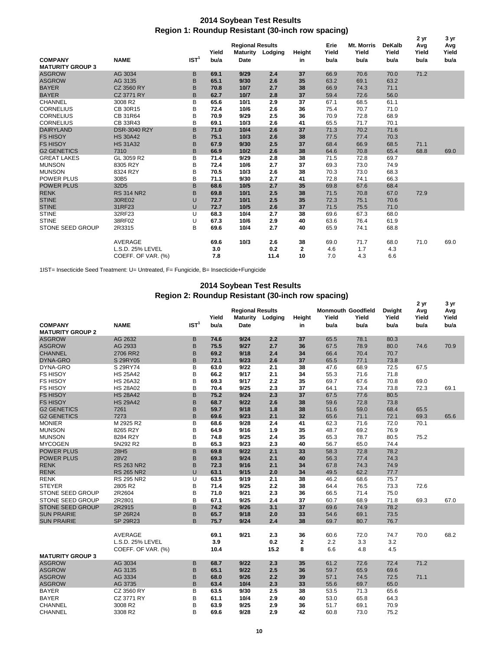## **2014 Soybean Test Results Region 1: Roundup Resistant (30-inch row spacing)**

|                         |                     |                  |       | <b>Regional Results</b> |         |        | Erie  | <b>Mt. Morris</b> | <b>DeKalb</b> | 2 yr         | 3 yr<br>Avg |
|-------------------------|---------------------|------------------|-------|-------------------------|---------|--------|-------|-------------------|---------------|--------------|-------------|
|                         |                     |                  | Yield | <b>Maturity</b>         | Lodging | Height | Yield | Yield             | Yield         | Avg<br>Yield | Yield       |
| <b>COMPANY</b>          | <b>NAME</b>         | IST <sup>1</sup> | bu/a  | <b>Date</b>             |         | in     | bu/a  | bu/a              | bu/a          | bu/a         | bu/a        |
| <b>MATURITY GROUP 3</b> |                     |                  |       |                         |         |        |       |                   |               |              |             |
| <b>ASGROW</b>           | AG 3034             | B                | 69.1  | 9/29                    | 2.4     | 37     | 66.9  | 70.6              | 70.0          | 71.2         |             |
| <b>ASGROW</b>           | AG 3135             | B                | 65.1  | 9/30                    | 2.6     | 35     | 63.2  | 69.1              | 63.2          |              |             |
| <b>BAYER</b>            | CZ 3560 RY          | B                | 70.8  | 10/7                    | 2.7     | 38     | 66.9  | 74.3              | 71.1          |              |             |
| <b>BAYER</b>            | CZ 3771 RY          | B                | 62.7  | 10/7                    | 2.8     | 37     | 59.4  | 72.6              | 56.0          |              |             |
| <b>CHANNEL</b>          | 3008 R2             | B                | 65.6  | 10/1                    | 2.9     | 37     | 67.1  | 68.5              | 61.1          |              |             |
| <b>CORNELIUS</b>        | CB 30R15            | B                | 72.4  | 10/6                    | 2.6     | 36     | 75.4  | 70.7              | 71.0          |              |             |
| <b>CORNELIUS</b>        | CB 31R64            | B                | 70.9  | 9/29                    | 2.5     | 36     | 70.9  | 72.8              | 68.9          |              |             |
| <b>CORNELIUS</b>        | CB 33R43            | В                | 69.1  | 10/3                    | 2.6     | 41     | 65.5  | 71.7              | 70.1          |              |             |
| <b>DAIRYLAND</b>        | <b>DSR-3040 R2Y</b> | B                | 71.0  | 10/4                    | 2.6     | 37     | 71.3  | 70.2              | 71.6          |              |             |
| <b>FS HISOY</b>         | <b>HS 30A42</b>     | B                | 75.1  | 10/3                    | 2.6     | 38     | 77.5  | 77.4              | 70.3          |              |             |
| <b>FS HISOY</b>         | <b>HS 31A32</b>     | B                | 67.9  | 9/30                    | 2.5     | 37     | 68.4  | 66.9              | 68.5          | 71.1         |             |
| <b>G2 GENETICS</b>      | 7310                | B                | 66.9  | 10/2                    | 2.6     | 38     | 64.6  | 70.8              | 65.4          | 68.8         | 69.0        |
| <b>GREAT LAKES</b>      | GL 3059 R2          | B                | 71.4  | 9/29                    | 2.8     | 38     | 71.5  | 72.8              | 69.7          |              |             |
| <b>MUNSON</b>           | 8305 R2Y            | B                | 72.4  | 10/6                    | 2.7     | 37     | 69.3  | 73.0              | 74.9          |              |             |
| <b>MUNSON</b>           | 8324 R2Y            | B                | 70.5  | 10/3                    | 2.6     | 38     | 70.3  | 73.0              | 68.3          |              |             |
| <b>POWER PLUS</b>       | 30B5                | B                | 71.1  | 9/30                    | 2.7     | 41     | 72.8  | 74.1              | 66.3          |              |             |
| <b>POWER PLUS</b>       | 32D <sub>5</sub>    | B                | 68.6  | 10/5                    | 2.7     | 35     | 69.8  | 67.6              | 68.4          |              |             |
| <b>RENK</b>             | <b>RS 314 NR2</b>   | B                | 69.8  | 10/1                    | 2.5     | 38     | 71.5  | 70.8              | 67.0          | 72.9         |             |
| <b>STINE</b>            | 30RE02              | U                | 72.7  | 10/1                    | 2.5     | 35     | 72.3  | 75.1              | 70.6          |              |             |
| <b>STINE</b>            | 31RF23              | U                | 72.7  | 10/5                    | 2.6     | 37     | 71.5  | 75.5              | 71.0          |              |             |
| <b>STINE</b>            | 32RF23              | U                | 68.3  | 10/4                    | 2.7     | 38     | 69.6  | 67.3              | 68.0          |              |             |
| <b>STINE</b>            | 38RF02              | U                | 67.3  | 10/6                    | 2.9     | 40     | 63.6  | 76.4              | 61.9          |              |             |
| <b>STONE SEED GROUP</b> | 2R3315              | В                | 69.6  | 10/4                    | 2.7     | 40     | 65.9  | 74.1              | 68.8          |              |             |
|                         | <b>AVERAGE</b>      |                  | 69.6  | 10/3                    | 2.6     | 38     | 69.0  | 71.7              | 68.0          | 71.0         | 69.0        |
|                         | L.S.D. 25% LEVEL    |                  | 3.0   |                         | 0.2     | 2      | 4.6   | 1.7               | 4.3           |              |             |
|                         | COEFF. OF VAR. (%)  |                  | 7.8   |                         | 11.4    | 10     | 7.0   | 4.3               | 6.6           |              |             |

1IST= Insecticide Seed Treatment: U= Untreated, F= Fungicide, B= Insecticide+Fungicide

## **2014 Soybean Test Results Region 2: Roundup Resistant (30-inch row spacing)**

|                                   |                      |                  |               |                                                    |            |              |                                            |               |                                | 2 yr                 | 3 yr                 |
|-----------------------------------|----------------------|------------------|---------------|----------------------------------------------------|------------|--------------|--------------------------------------------|---------------|--------------------------------|----------------------|----------------------|
| <b>COMPANY</b>                    | <b>NAME</b>          | IST <sup>1</sup> | Yield<br>bu/a | <b>Regional Results</b><br><b>Maturity</b><br>Date | Lodging    | Height<br>in | <b>Monmouth Goodfield</b><br>Yield<br>bu/a | Yield<br>bu/a | <b>Dwight</b><br>Yield<br>bu/a | Avg<br>Yield<br>bu/a | Avg<br>Yield<br>bu/a |
| <b>MATURITY GROUP 2</b>           |                      |                  |               | 9/24                                               | 2.2        | 37           | 65.5                                       |               |                                |                      |                      |
| <b>ASGROW</b>                     | AG 2632              | B                | 74.6          | 9/27                                               |            |              |                                            | 78.1          | 80.3                           |                      |                      |
| <b>ASGROW</b>                     | AG 2933              | B                | 75.5<br>69.2  | 9/18                                               | 2.7<br>2.4 | 36           | 67.5<br>66.4                               | 78.9          | 80.0                           | 74.6                 | 70.9                 |
| <b>CHANNEL</b><br><b>DYNA-GRO</b> | 2706 RR2<br>S 29RY05 | B<br>B           | 72.1          | 9/23                                               | 2.6        | 34<br>37     | 65.5                                       | 70.4<br>77.1  | 70.7<br>73.8                   |                      |                      |
| DYNA-GRO                          | S 29RY74             | B                | 63.0          | 9/22                                               | 2.1        | 38           | 47.6                                       | 68.9          | 72.5                           | 67.5                 |                      |
| <b>FS HISOY</b>                   |                      | B                | 66.2          | 9/17                                               | 2.1        |              | 55.3                                       |               |                                |                      |                      |
|                                   | <b>HS 25A42</b>      |                  |               |                                                    |            | 34           |                                            | 71.6          | 71.8                           |                      |                      |
| <b>FS HISOY</b>                   | <b>HS 26A32</b>      | B<br>B           | 69.3<br>70.4  | 9/17<br>9/25                                       | 2.2<br>2.3 | 35           | 69.7                                       | 67.6          | 70.8<br>73.8                   | 69.0<br>72.3         | 69.1                 |
| <b>FS HISOY</b>                   | <b>HS 28A02</b>      |                  |               |                                                    |            | 37           | 64.1                                       | 73.4          |                                |                      |                      |
| <b>FS HISOY</b>                   | <b>HS 28A42</b>      | B                | 75.2          | 9/24                                               | 2.3        | 37           | 67.5                                       | 77.6          | 80.5                           |                      |                      |
| <b>FS HISOY</b>                   | <b>HS 29A42</b>      | B                | 68.7          | 9/22                                               | 2.6        | 38           | 59.6                                       | 72.8          | 73.8                           |                      |                      |
| <b>G2 GENETICS</b>                | 7261                 | B                | 59.7          | 9/18                                               | 1.8        | 38           | 51.6                                       | 59.0          | 68.4                           | 65.5                 |                      |
| <b>G2 GENETICS</b>                | 7273                 | B                | 69.6          | 9/23                                               | 2.1        | 32           | 65.6                                       | 71.1          | 72.1                           | 69.3                 | 65.6                 |
| <b>MONIER</b>                     | M 2925 R2            | B                | 68.6          | 9/28                                               | 2.4        | 41           | 62.3                                       | 71.6          | 72.0                           | 70.1                 |                      |
| <b>MUNSON</b>                     | 8265 R2Y             | B                | 64.9          | 9/16                                               | 1.9        | 35           | 48.7                                       | 69.2          | 76.9                           |                      |                      |
| <b>MUNSON</b>                     | 8284 R2Y             | B                | 74.8          | 9/25                                               | 2.4        | 35           | 65.3                                       | 78.7          | 80.5                           | 75.2                 |                      |
| <b>MYCOGEN</b>                    | 5N292 R2             | B                | 65.3          | 9/23                                               | 2.3        | 40           | 56.7                                       | 65.0          | 74.4                           |                      |                      |
| <b>POWER PLUS</b>                 | 28H <sub>5</sub>     | B                | 69.8          | 9/22                                               | 2.1        | 33           | 58.3                                       | 72.8          | 78.2                           |                      |                      |
| <b>POWER PLUS</b>                 | <b>28V2</b>          | B                | 69.3          | 9/24                                               | 2.1        | 40           | 56.3                                       | 77.4          | 74.3                           |                      |                      |
| <b>RENK</b>                       | <b>RS 263 NR2</b>    | B                | 72.3          | 9/16                                               | 2.1        | 34           | 67.8                                       | 74.3          | 74.9                           |                      |                      |
| <b>RENK</b>                       | <b>RS 265 NR2</b>    | U                | 63.1          | 9/15                                               | 2.0        | 34           | 49.5                                       | 62.2          | 77.7                           |                      |                      |
| <b>RENK</b>                       | <b>RS 295 NR2</b>    | U                | 63.5          | 9/19                                               | 2.1        | 38           | 46.2                                       | 68.6          | 75.7                           |                      |                      |
| <b>STEYER</b>                     | 2805 R2              | B                | 71.4          | 9/25                                               | 2.2        | 38           | 64.4                                       | 76.5          | 73.3                           | 72.6                 |                      |
| STONE SEED GROUP                  | 2R2604               | B                | 71.0          | 9/21                                               | 2.3        | 36           | 66.5                                       | 71.4          | 75.0                           |                      |                      |
| STONE SEED GROUP                  | 2R2801               | B                | 67.1          | 9/25                                               | 2.4        | 37           | 60.7                                       | 68.9          | 71.8                           | 69.3                 | 67.0                 |
| <b>STONE SEED GROUP</b>           | 2R2915               | B                | 74.2          | 9/26                                               | 3.1        | 37           | 69.6                                       | 74.9          | 78.2                           |                      |                      |
| <b>SUN PRAIRIE</b>                | SP 26R24             | B                | 65.7          | 9/18                                               | 2.0        | 33           | 54.6                                       | 69.1          | 73.5                           |                      |                      |
| <b>SUN PRAIRIE</b>                | SP 29R23             | B                | 75.7          | 9/24                                               | 2.4        | 38           | 69.7                                       | 80.7          | 76.7                           |                      |                      |
|                                   | AVERAGE              |                  | 69.1          | 9/21                                               | 2.3        | 36           | 60.6                                       | 72.0          | 74.7                           | 70.0                 | 68.2                 |
|                                   | L.S.D. 25% LEVEL     |                  | 3.9           |                                                    | 0.2        | 2            | 2.2                                        | 3.3           | 3.2                            |                      |                      |
|                                   | COEFF. OF VAR. (%)   |                  | 10.4          |                                                    | 15.2       | 8            | 6.6                                        | 4.8           | 4.5                            |                      |                      |
| <b>MATURITY GROUP 3</b>           |                      |                  |               |                                                    |            |              |                                            |               |                                |                      |                      |
| <b>ASGROW</b>                     | AG 3034              | B                | 68.7          | 9/22                                               | 2.3        | 35           | 61.2                                       | 72.6          | 72.4                           | 71.2                 |                      |
| <b>ASGROW</b>                     | AG 3135              | B                | 65.1          | 9/22                                               | 2.5        | 36           | 59.7                                       | 65.9          | 69.6                           |                      |                      |
| <b>ASGROW</b>                     | AG 3334              | B                | 68.0          | 9/26                                               | 2.2        | 39           | 57.1                                       | 74.5          | 72.5                           | 71.1                 |                      |
| <b>ASGROW</b>                     | AG 3735              | B                | 63.4          | 10/4                                               | 2.3        | 33           | 55.6                                       | 69.7          | 65.0                           |                      |                      |
| <b>BAYER</b>                      | CZ 3560 RY           | B                | 63.5          | 9/30                                               | 2.5        | 38           | 53.5                                       | 71.3          | 65.6                           |                      |                      |
| <b>BAYER</b>                      | CZ 3771 RY           | B                | 61.1          | 10/4                                               | 2.9        | 40           | 53.0                                       | 65.8          | 64.3                           |                      |                      |
| <b>CHANNEL</b>                    | 3008 R2              | B                | 63.9          | 9/25                                               | 2.9        | 36           | 51.7                                       | 69.1          | 70.9                           |                      |                      |
| CHANNEL                           | 3308 R2              | B                | 69.6          | 9/28                                               | 2.9        | 42           | 60.8                                       | 73.0          | 75.2                           |                      |                      |
|                                   |                      |                  |               |                                                    |            |              |                                            |               |                                |                      |                      |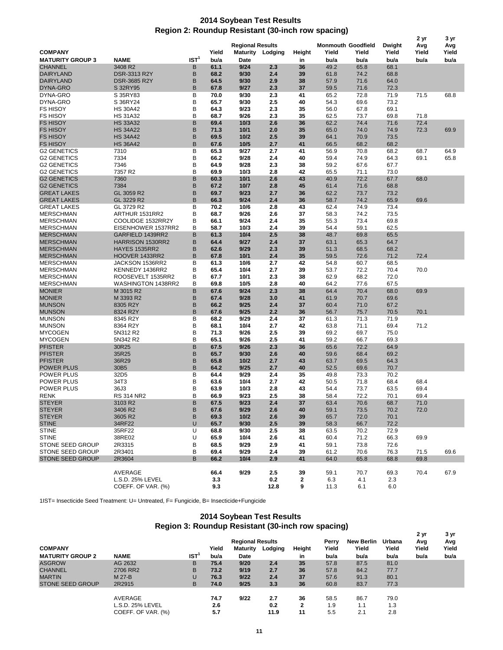## **2014 Soybean Test Results Region 2: Roundup Resistant (30-inch row spacing)**

|                         |                         |                  |       |                         |         |              |                           |       |        | 2 yr  | 3 yr  |
|-------------------------|-------------------------|------------------|-------|-------------------------|---------|--------------|---------------------------|-------|--------|-------|-------|
|                         |                         |                  |       | <b>Regional Results</b> |         |              | <b>Monmouth Goodfield</b> |       | Dwight | Avg   | Avg   |
| <b>COMPANY</b>          |                         |                  | Yield | Maturity                | Lodging | Height       | Yield                     | Yield | Yield  | Yield | Yield |
| <b>MATURITY GROUP 3</b> | <b>NAME</b>             | IST <sup>1</sup> | bu/a  | Date                    |         | in           | bu/a                      | bu/a  | bu/a   | bu/a  | bu/a  |
| <b>CHANNEL</b>          | 3408 R2                 | B                | 61.1  | 9/24                    | 2.3     | 36           | 49.2                      | 65.8  | 68.1   |       |       |
| <b>DAIRYLAND</b>        | DSR-3313 R2Y            | В                | 68.2  | 9/30                    | 2.4     | 39           | 61.8                      | 74.2  | 68.8   |       |       |
| <b>DAIRYLAND</b>        | <b>DSR-3685 R2Y</b>     | B                | 64.5  | 9/30                    | 2.9     | 38           | 57.9                      | 71.6  | 64.0   |       |       |
| <b>DYNA-GRO</b>         | S 32RY95                | B                | 67.8  | 9/27                    | 2.3     | 37           | 59.5                      | 71.6  | 72.3   |       |       |
| DYNA-GRO                | S 35RY83                | B                | 70.0  | 9/30                    | 2.3     | 41           | 65.2                      | 72.8  | 71.9   | 71.5  | 68.8  |
| DYNA-GRO                | S 36RY24                | B                | 65.7  | 9/30                    | 2.5     | 40           | 54.3                      | 69.6  | 73.2   |       |       |
| <b>FS HISOY</b>         | <b>HS 30A42</b>         | B                | 64.3  | 9/23                    | 2.3     | 35           | 56.0                      | 67.8  | 69.1   |       |       |
| <b>FS HISOY</b>         | <b>HS 31A32</b>         | B                | 68.7  | 9/26                    | 2.3     | 35           | 62.5                      | 73.7  | 69.8   | 71.8  |       |
| <b>FS HISOY</b>         | <b>HS 33A32</b>         | B                | 69.4  | 10/3                    | 2.6     | 36           | 62.2                      | 74.4  | 71.6   | 72.4  |       |
| <b>FS HISOY</b>         | <b>HS 34A22</b>         | B                | 71.3  | 10/1                    | 2.0     | 35           | 65.0                      | 74.0  | 74.9   | 72.3  | 69.9  |
| <b>FS HISOY</b>         | <b>HS 34A42</b>         | B                | 69.5  | 10/2                    | 2.5     | 39           | 64.1                      | 70.9  | 73.5   |       |       |
| <b>FS HISOY</b>         | <b>HS 36A42</b>         | B                | 67.6  | 10/5                    | 2.7     | 41           | 66.5                      | 68.2  | 68.2   |       |       |
| <b>G2 GENETICS</b>      | 7310                    | B                | 65.3  | 9/27                    | 2.7     | 41           | 56.9                      | 70.8  | 68.2   | 68.7  | 64.9  |
|                         |                         | B                |       |                         |         |              | 59.4                      |       |        |       |       |
| <b>G2 GENETICS</b>      | 7334                    |                  | 66.2  | 9/28                    | 2.4     | 40           |                           | 74.9  | 64.3   | 69.1  | 65.8  |
| <b>G2 GENETICS</b>      | 7346                    | B                | 64.9  | 9/28                    | 2.3     | 38           | 59.2                      | 67.6  | 67.7   |       |       |
| <b>G2 GENETICS</b>      | 7357 R2                 | B                | 69.9  | 10/3                    | 2.8     | 42           | 65.5                      | 71.1  | 73.0   |       |       |
| <b>G2 GENETICS</b>      | 7360                    | B                | 60.3  | 10/1                    | 2.6     | 43           | 40.9                      | 72.2  | 67.7   | 68.0  |       |
| <b>G2 GENETICS</b>      | 7384                    | B                | 67.2  | 10/7                    | 2.8     | 45           | 61.4                      | 71.6  | 68.8   |       |       |
| <b>GREAT LAKES</b>      | GL 3059 R2              | B                | 69.7  | 9/23                    | 2.7     | 36           | 62.2                      | 73.7  | 73.2   |       |       |
| <b>GREAT LAKES</b>      | GL 3229 R2              | B                | 66.3  | 9/24                    | 2.4     | 36           | 58.7                      | 74.2  | 65.9   | 69.6  |       |
| <b>GREAT LAKES</b>      | GL 3729 R2              | B                | 70.2  | 10/6                    | 2.8     | 43           | 62.4                      | 74.9  | 73.4   |       |       |
| <b>MERSCHMAN</b>        | ARTHUR 1531RR2          | B                | 68.7  | 9/26                    | 2.6     | 37           | 58.3                      | 74.2  | 73.5   |       |       |
| <b>MERSCHMAN</b>        | COOLIDGE 1532RR2Y       | B                | 66.1  | 9/24                    | 2.4     | 35           | 55.3                      | 73.4  | 69.8   |       |       |
| <b>MERSCHMAN</b>        | EISENHOWER 1537RR2      | в                | 58.7  | 10/3                    | 2.4     | 39           | 54.4                      | 59.1  | 62.5   |       |       |
| <b>MERSCHMAN</b>        | GARFIELD 1439RR2        | B                | 61.3  | 10/4                    | 2.5     | 38           | 48.7                      | 69.8  | 65.5   |       |       |
| <b>MERSCHMAN</b>        | <b>HARRISON 1530RR2</b> | B                | 64.4  | 9/27                    | 2.4     | 37           | 63.1                      | 65.3  | 64.7   |       |       |
| <b>MERSCHMAN</b>        | <b>HAYES 1535RR2</b>    | B                | 62.6  | 9/29                    | 2.3     | 39           | 51.3                      | 68.5  | 68.2   |       |       |
| <b>MERSCHMAN</b>        | HOOVER 1433RR2          | B                | 67.8  | 10/1                    | 2.4     | 35           | 59.5                      | 72.6  | 71.2   | 72.4  |       |
| <b>MERSCHMAN</b>        | JACKSON 1536RR2         | B                | 61.3  | 10/6                    | 2.7     | 42           | 54.8                      | 60.7  | 68.5   |       |       |
| <b>MERSCHMAN</b>        | KENNEDY 1436RR2         | В                | 65.4  | 10/4                    | 2.7     | 39           | 53.7                      | 72.2  | 70.4   | 70.0  |       |
| <b>MERSCHMAN</b>        | ROOSEVELT 1535RR2       | в                | 67.7  | 10/1                    | 2.3     | 38           | 62.9                      | 68.2  | 72.0   |       |       |
| <b>MERSCHMAN</b>        | WASHINGTON 1438RR2      | в                | 69.8  | 10/5                    | 2.8     | 40           | 64.2                      | 77.6  | 67.5   |       |       |
| <b>MONIER</b>           | M 3015 R2               | B                | 67.6  | 9/24                    | 2.3     | 38           | 64.4                      | 70.4  | 68.0   | 69.9  |       |
| <b>MONIER</b>           | M 3393 R2               | B                | 67.4  | 9/28                    | 3.0     | 41           | 61.9                      | 70.7  | 69.6   |       |       |
| <b>MUNSON</b>           | 8305 R2Y                | B                | 66.2  | 9/25                    | 2.4     | 37           | 60.4                      | 71.0  | 67.2   |       |       |
| <b>MUNSON</b>           | 8324 R2Y                | B                | 67.6  | 9/25                    | 2.2     | 36           | 56.7                      | 75.7  | 70.5   | 70.1  |       |
| <b>MUNSON</b>           | 8345 R2Y                | B                | 68.2  | 9/29                    | 2.4     | 37           | 61.3                      | 71.3  | 71.9   |       |       |
| <b>MUNSON</b>           | 8364 R2Y                | В                | 68.1  | 10/4                    | 2.7     | 42           | 63.8                      | 71.1  | 69.4   | 71.2  |       |
| <b>MYCOGEN</b>          | 5N312 R2                | B                | 71.3  | 9/26                    | 2.5     | 39           | 69.2                      | 69.7  | 75.0   |       |       |
| <b>MYCOGEN</b>          | 5N342 R2                | B                | 65.1  | 9/26                    | 2.5     | 41           | 59.2                      | 66.7  | 69.3   |       |       |
| <b>PFISTER</b>          | 30R25                   | B                | 67.5  | 9/26                    | 2.3     | 36           | 65.6                      | 72.2  | 64.9   |       |       |
| <b>PFISTER</b>          | 35R25                   | B                | 65.7  | 9/30                    | 2.6     | 40           | 59.6                      | 68.4  | 69.2   |       |       |
| <b>PFISTER</b>          | 36R29                   | B                | 65.8  | 10/2                    | 2.7     | 43           | 63.7                      | 69.5  | 64.3   |       |       |
| <b>POWER PLUS</b>       | 30B5                    | B                | 64.2  | 9/25                    | 2.7     | 40           | 52.5                      | 69.6  | 70.7   |       |       |
| <b>POWER PLUS</b>       |                         |                  |       |                         |         |              |                           |       |        |       |       |
|                         | 32D <sub>5</sub>        | B                | 64.4  | 9/29                    | 2.4     | 35           | 49.8                      | 73.3  | 70.2   |       |       |
| POWER PLUS              | 34T3                    | В                | 63.6  | 10/4                    | 2.7     | 42           | 50.5                      | 71.8  | 68.4   | 68.4  |       |
| <b>POWER PLUS</b>       | 36J3                    | B                | 63.9  | 10/3                    | 2.8     | 43           | 54.4                      | 73.7  | 63.5   | 69.4  |       |
| <b>RENK</b>             | <b>RS 314 NR2</b>       | B                | 66.9  | 9/23                    | 2.5     | 38           | 58.4                      | 72.2  | 70.1   | 69.4  |       |
| <b>STEYER</b>           | 3103 R2                 | B                | 67.5  | 9/23                    | 2.4     | 37           | 63.4                      | 70.6  | 68.7   | 71.0  |       |
| <b>STEYER</b>           | 3406 R2                 | В                | 67.6  | 9/29                    | 2.6     | 40           | 59.1                      | 73.5  | 70.2   | 72.0  |       |
| <b>STEYER</b>           | 3605 R2                 | В                | 69.3  | 10/2                    | 2.6     | 39           | 65.7                      | 72.0  | 70.1   |       |       |
| <b>STINE</b>            | 34RF22                  | U                | 65.7  | 9/30                    | 2.5     | 39           | 58.3                      | 66.7  | 72.2   |       |       |
| <b>STINE</b>            | 35RF22                  | U                | 68.8  | 9/30                    | 2.5     | 38           | 63.5                      | 70.2  | 72.9   |       |       |
| <b>STINE</b>            | 38RE02                  | U                | 65.9  | 10/4                    | 2.6     | 41           | 60.4                      | 71.2  | 66.3   | 69.9  |       |
| STONE SEED GROUP        | 2R3315                  | в                | 68.5  | 9/29                    | 2.9     | 41           | 59.1                      | 73.8  | 72.6   |       |       |
| STONE SEED GROUP        | 2R3401                  | B                | 69.4  | 9/29                    | 2.4     | 39           | 61.2                      | 70.6  | 76.3   | 71.5  | 69.6  |
| <b>STONE SEED GROUP</b> | 2R3604                  | B                | 66.2  | 10/4                    | 2.9     | 41           | 64.0                      | 65.8  | 68.8   | 69.8  |       |
|                         |                         |                  |       |                         |         |              |                           |       |        |       |       |
|                         | AVERAGE                 |                  | 66.4  | 9/29                    | 2.5     | 39           | 59.1                      | 70.7  | 69.3   | 70.4  | 67.9  |
|                         | L.S.D. 25% LEVEL        |                  | 3.3   |                         | 0.2     | $\mathbf{2}$ | 6.3                       | 4.1   | 2.3    |       |       |
|                         | COEFF. OF VAR. (%)      |                  | 9.3   |                         | 12.8    | 9            | 11.3                      | 6.1   | 6.0    |       |       |

1IST= Insecticide Seed Treatment: U= Untreated, F= Fungicide, B= Insecticide+Fungicide

## **Region 3: Roundup Resistant (30-inch row spacing) 2014 Soybean Test Results**

|                         |                    |            |       | <b>Regional Results</b> |         |        | Perry | <b>New Berlin</b> | Urbana | 2 yr<br>Avg | 3 yr<br>Avg |
|-------------------------|--------------------|------------|-------|-------------------------|---------|--------|-------|-------------------|--------|-------------|-------------|
| <b>COMPANY</b>          |                    |            | Yield | Maturity                | Lodging | Height | Yield | Yield             | Yield  | Yield       | Yield       |
| <b>MATURITY GROUP 2</b> | <b>NAME</b>        | <b>IST</b> | bu/a  | Date                    |         | in     | bu/a  | bu/a              | bu/a   | bu/a        | bu/a        |
| <b>ASGROW</b>           | AG 2632            | B          | 75.4  | 9/20                    | 2.4     | 35     | 57.8  | 87.5              | 81.0   |             |             |
| <b>CHANNEL</b>          | 2706 RR2           | B          | 73.2  | 9/19                    | 2.7     | 36     | 57.8  | 84.2              | 77.7   |             |             |
| <b>MARTIN</b>           | M 27-B             | υ          | 76.3  | 9/22                    | 2.4     | 37     | 57.6  | 91.3              | 80.1   |             |             |
| STONE SEED GROUP        | 2R2915             | B          | 74.0  | 9/25                    | 3.3     | 36     | 60.8  | 83.7              | 77.3   |             |             |
|                         |                    |            |       |                         |         |        |       |                   |        |             |             |
|                         | AVERAGE            |            | 74.7  | 9/22                    | 2.7     | 36     | 58.5  | 86.7              | 79.0   |             |             |
|                         | L.S.D. 25% LEVEL   |            | 2.6   |                         | 0.2     | 2      | 1.9   | 1.1               | 1.3    |             |             |
|                         | COEFF. OF VAR. (%) |            | 5.7   |                         | 11.9    | 11     | 5.5   | 2.1               | 2.8    |             |             |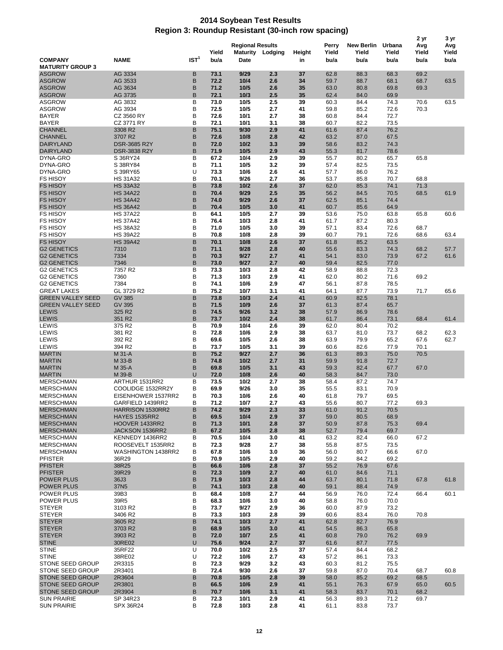## **2014 Soybean Test Results Region 3: Roundup Resistant (30-inch row spacing)**

|                                                    | 2 yr                                    |                  |               |                                 |                  |              |                        |                                    |                         | 3 yr                 |                      |
|----------------------------------------------------|-----------------------------------------|------------------|---------------|---------------------------------|------------------|--------------|------------------------|------------------------------------|-------------------------|----------------------|----------------------|
| <b>COMPANY</b>                                     | <b>NAME</b>                             | IST <sup>1</sup> | Yield<br>bu/a | <b>Regional Results</b><br>Date | Maturity Lodging | Height<br>in | Perry<br>Yield<br>bu/a | <b>New Berlin</b><br>Yield<br>bu/a | Urbana<br>Yield<br>bu/a | Avg<br>Yield<br>bu/a | Avg<br>Yield<br>bu/a |
| <b>MATURITY GROUP 3</b><br><b>ASGROW</b>           | AG 3334                                 | в                | 73.1          | 9/29                            | 2.3              | 37           | 62.8                   | 88.3                               | 68.3                    | 69.2                 |                      |
| <b>ASGROW</b>                                      | AG 3533                                 | B                | 72.2          | 10/4                            | 2.6              | 34           | 59.7                   | 88.7                               | 68.1                    | 68.7                 | 63.5                 |
| <b>ASGROW</b>                                      | AG 3634                                 | B                | 71.2          | 10/5                            | 2.6              | 35           | 63.0                   | 80.8                               | 69.8                    | 69.3                 |                      |
| <b>ASGROW</b>                                      | AG 3735                                 | B                | 72.1          | 10/3                            | 2.5              | 35           | 62.4                   | 84.0                               | 69.9                    |                      |                      |
| <b>ASGROW</b><br><b>ASGROW</b>                     | AG 3832<br>AG 3934                      | В<br>B           | 73.0<br>72.5  | 10/5<br>10/5                    | 2.5<br>2.7       | 39<br>41     | 60.3<br>59.8           | 84.4<br>85.2                       | 74.3<br>72.6            | 70.6<br>70.3         | 63.5                 |
| <b>BAYER</b>                                       | CZ 3560 RY                              | B                | 72.6          | 10/1                            | 2.7              | 38           | 60.8                   | 84.4                               | 72.7                    |                      |                      |
| <b>BAYER</b>                                       | CZ 3771 RY                              | B                | 72.1          | 10/1                            | 3.1              | 38           | 60.7                   | 82.2                               | 73.5                    |                      |                      |
| <b>CHANNEL</b>                                     | 3308 R2                                 | B                | 75.1          | 9/30                            | 2.9              | 41           | 61.6                   | 87.4                               | 76.2                    |                      |                      |
| <b>CHANNEL</b>                                     | 3707 R2                                 | B                | 72.6          | 10/8                            | 2.8              | 42           | 63.2                   | 87.0                               | 67.5                    |                      |                      |
| <b>DAIRYLAND</b><br><b>DAIRYLAND</b>               | <b>DSR-3685 R2Y</b><br>DSR-3838 R2Y     | B<br>B           | 72.0<br>71.9  | 10/2<br>10/5                    | 3.3<br>2.9       | 39<br>43     | 58.6<br>55.3           | 83.2<br>81.7                       | 74.3<br>78.6            |                      |                      |
| DYNA-GRO                                           | S 36RY24                                | B                | 67.2          | 10/4                            | 2.9              | 39           | 55.7                   | 80.2                               | 65.7                    | 65.8                 |                      |
| DYNA-GRO                                           | S 38RY84                                | В                | 71.1          | 10/5                            | 3.2              | 39           | 57.4                   | 82.5                               | 73.5                    |                      |                      |
| DYNA-GRO                                           | S 39RY65                                | U                | 73.3          | 10/6                            | 2.6              | 41           | 57.7                   | 86.0                               | 76.2                    |                      |                      |
| <b>FS HISOY</b>                                    | <b>HS 31A32</b>                         | B                | 70.1          | 9/26                            | 2.7              | 36           | 53.7                   | 85.8                               | 70.7                    | 68.8                 |                      |
| <b>FS HISOY</b><br><b>FS HISOY</b>                 | <b>HS 33A32</b><br><b>HS 34A22</b>      | B<br>B           | 73.8<br>70.4  | 10/2<br>9/29                    | 2.6<br>2.5       | 37<br>35     | 62.0<br>56.2           | 85.3<br>84.5                       | 74.1<br>70.5            | 71.3<br>68.5         |                      |
| <b>FS HISOY</b>                                    | <b>HS 34A42</b>                         | B                | 74.0          | 9/29                            | 2.6              | 37           | 62.5                   | 85.1                               | 74.4                    |                      | 61.9                 |
| <b>FS HISOY</b>                                    | <b>HS 36A42</b>                         | B                | 70.4          | 10/5                            | 3.0              | 41           | 60.7                   | 85.6                               | 64.9                    |                      |                      |
| <b>FS HISOY</b>                                    | <b>HS 37A22</b>                         | B                | 64.1          | 10/5                            | 2.7              | 39           | 53.6                   | 75.0                               | 63.8                    | 65.8                 | 60.6                 |
| <b>FS HISOY</b>                                    | <b>HS 37A42</b>                         | B                | 76.4          | 10/3                            | 2.8              | 41           | 61.7                   | 87.2                               | 80.3                    |                      |                      |
| <b>FS HISOY</b>                                    | <b>HS 38A32</b>                         | B                | 71.0          | 10/5                            | 3.0              | 39           | 57.1                   | 83.4                               | 72.6                    | 68.7                 |                      |
| <b>FS HISOY</b>                                    | <b>HS 39A22</b>                         | В                | 70.8          | 10/8                            | 2.8              | 39           | 60.7                   | 79.1                               | 72.6                    | 68.6                 | 63.4                 |
| <b>FS HISOY</b><br><b>G2 GENETICS</b>              | <b>HS 39A42</b><br>7310                 | B<br>B           | 70.1<br>71.1  | 10/8<br>9/28                    | 2.6<br>2.8       | 37<br>40     | 61.8<br>55.6           | 85.2<br>83.3                       | 63.5<br>74.3            | 68.2                 | 57.7                 |
| <b>G2 GENETICS</b>                                 | 7334                                    | B                | 70.3          | 9/27                            | 2.7              | 41           | 54.1                   | 83.0                               | 73.9                    | 67.2                 | 61.6                 |
| <b>G2 GENETICS</b>                                 | 7346                                    | B                | 73.0          | 9/27                            | 2.7              | 40           | 59.4                   | 82.5                               | 77.0                    |                      |                      |
| <b>G2 GENETICS</b>                                 | 7357 R2                                 | B                | 73.3          | 10/3                            | 2.8              | 42           | 58.9                   | 88.8                               | 72.3                    |                      |                      |
| <b>G2 GENETICS</b>                                 | 7360                                    | B                | 71.3          | 10/3                            | 2.9              | 41           | 62.0                   | 80.2                               | 71.6                    | 69.2                 |                      |
| <b>G2 GENETICS</b>                                 | 7384                                    | B                | 74.1          | 10/6                            | 2.9              | 47           | 56.1                   | 87.8                               | 78.5                    |                      |                      |
| <b>GREAT LAKES</b><br><b>GREEN VALLEY SEED</b>     | GL 3729 R2<br><b>GV 385</b>             | B<br>B           | 75.2<br>73.8  | 10/7<br>10/3                    | 3.1<br>2.4       | 41<br>41     | 64.1<br>60.9           | 87.7<br>82.5                       | 73.9<br>78.1            | 71.7                 | 65.6                 |
| <b>GREEN VALLEY SEED</b>                           | GV 395                                  | B                | 71.5          | 10/9                            | 2.6              | 37           | 61.3                   | 87.4                               | 65.7                    |                      |                      |
| <b>LEWIS</b>                                       | 325 R2                                  | B                | 74.5          | 9/26                            | 3.2              | 38           | 57.9                   | 86.9                               | 78.6                    |                      |                      |
| <b>LEWIS</b>                                       | 351 R2                                  | B                | 73.7          | 10/2                            | 2.4              | 38           | 61.7                   | 86.4                               | 73.1                    | 68.4                 | 61.4                 |
| LEWIS                                              | 375 R2                                  | B                | 70.9          | 10/4                            | 2.6              | 39           | 62.0                   | 80.4                               | 70.2                    |                      |                      |
| LEWIS                                              | 381 R2                                  | B                | 72.8          | 10/6                            | 2.9              | 38           | 63.7                   | 81.0                               | 73.7                    | 68.2                 | 62.3                 |
| LEWIS<br>LEWIS                                     | 392 R2<br>394 R2                        | B<br>B           | 69.6<br>73.7  | 10/5<br>10/5                    | 2.6<br>3.1       | 38<br>39     | 63.9<br>60.6           | 79.9<br>82.6                       | 65.2<br>77.9            | 67.6<br>70.1         | 62.7                 |
| <b>MARTIN</b>                                      | M 31-A                                  | B                | 75.2          | 9/27                            | 2.7              | 36           | 61.3                   | 89.3                               | 75.0                    | 70.5                 |                      |
| <b>MARTIN</b>                                      | M 33-B                                  | B                | 74.8          | 10/2                            | 2.7              | 31           | 59.9                   | 91.8                               | 72.7                    |                      |                      |
| <b>MARTIN</b>                                      | M 35-A                                  | B                | 69.8          | 10/5                            | 3.1              | 43           | 59.3                   | 82.4                               | 67.7                    | 67.0                 |                      |
| <b>MARTIN</b>                                      | M 39-B                                  | U                | 72.0          | 10/8                            | 2.6              | 40           | 58.3                   | 84.7                               | 73.0                    |                      |                      |
| <b>MERSCHMAN</b>                                   | ARTHUR 1531RR2                          | в                | 73.5          | 10/2                            | 2.7              | 38           | 58.4                   | 87.2                               | 74.7                    |                      |                      |
| <b>MERSCHMAN</b><br><b>MERSCHMAN</b>               | COOLIDGE 1532RR2Y<br>EISENHOWER 1537RR2 | В<br>в           | 69.9<br>70.3  | 9/26<br>10/6                    | 3.0<br>2.6       | 35<br>40     | 55.5<br>61.8           | 83.1<br>79.7                       | 70.9<br>69.5            |                      |                      |
| <b>MERSCHMAN</b>                                   | GARFIELD 1439RR2                        | в                | 71.2          | 10/7                            | 2.7              | 43           | 55.6                   | 80.7                               | 77.2                    | 69.3                 |                      |
| <b>MERSCHMAN</b>                                   | HARRISON 1530RR2                        | в                | 74.2          | 9/29                            | 2.3              | 33           | 61.0                   | 91.2                               | 70.5                    |                      |                      |
| <b>MERSCHMAN</b>                                   | <b>HAYES 1535RR2</b>                    | B                | 69.5          | 10/4                            | 2.9              | 37           | 59.0                   | 80.5                               | 68.9                    |                      |                      |
| <b>MERSCHMAN</b>                                   | HOOVER 1433RR2                          | B                | 71.3          | 10/1                            | 2.8              | 37           | 50.9                   | 87.8                               | 75.3                    | 69.4                 |                      |
| <b>MERSCHMAN</b>                                   | JACKSON 1536RR2                         | B                | 67.2          | 10/5                            | 2.8              | 38           | 52.7                   | 79.4                               | 69.7                    |                      |                      |
| <b>MERSCHMAN</b><br><b>MERSCHMAN</b>               | KENNEDY 1436RR2<br>ROOSEVELT 1535RR2    | В<br>в           | 70.5<br>72.3  | 10/4<br>9/28                    | 3.0<br>2.7       | 41<br>38     | 63.2<br>55.8           | 82.4<br>87.5                       | 66.0<br>73.5            | 67.2                 |                      |
| <b>MERSCHMAN</b>                                   | WASHINGTON 1438RR2                      | В                | 67.8          | 10/6                            | 3.0              | 36           | 56.0                   | 80.7                               | 66.6                    | 67.0                 |                      |
| <b>PFISTER</b>                                     | 36R29                                   | B                | 70.9          | 10/5                            | 2.9              | 40           | 59.2                   | 84.2                               | 69.2                    |                      |                      |
| <b>PFISTER</b>                                     | 38R25                                   | B                | 66.6          | 10/6                            | 2.8              | 37           | 55.2                   | 76.9                               | 67.6                    |                      |                      |
| <b>PFISTER</b>                                     | 39R29                                   | B                | 72.3          | 10/9                            | 2.7              | 40           | 61.0                   | 84.6                               | 71.1                    |                      |                      |
| <b>POWER PLUS</b>                                  | 36J3                                    | В                | 71.9          | 10/3                            | 2.8              | 44           | 63.7                   | 80.1                               | 71.8                    | 67.8                 | 61.8                 |
| <b>POWER PLUS</b><br>POWER PLUS                    | 37N <sub>5</sub><br>39B3                | B<br>В           | 74.1<br>68.4  | 10/3<br>10/8                    | 2.8<br>2.7       | 40<br>44     | 59.1<br>56.9           | 88.4<br>76.0                       | 74.9<br>72.4            | 66.4                 | 60.1                 |
| <b>POWER PLUS</b>                                  | 39R5                                    | В                | 68.3          | 10/6                            | 3.0              | 40           | 58.8                   | 76.0                               | 70.0                    |                      |                      |
| <b>STEYER</b>                                      | 3103 R2                                 | B                | 73.7          | 9/27                            | 2.9              | 36           | 60.0                   | 87.9                               | 73.2                    |                      |                      |
| <b>STEYER</b>                                      | 3406 R2                                 | B                | 73.3          | 10/3                            | 2.8              | 39           | 60.6                   | 83.4                               | 76.0                    | 70.8                 |                      |
| <b>STEYER</b>                                      | 3605 R2                                 | B                | 74.1          | 10/3                            | 2.7              | 41           | 62.8                   | 82.7                               | 76.9                    |                      |                      |
| <b>STEYER</b>                                      | 3703 R2                                 | B                | 68.9          | $10/5$                          | 3.0              | 41           | 54.5                   | 86.3                               | 65.8                    |                      |                      |
| <b>STEYER</b>                                      | 3903 R2                                 | B                | 72.0<br>75.6  | 10/7                            | 2.5<br>2.7       | 41           | 60.8                   | 79.0                               | 76.2                    | 69.9                 |                      |
| <b>STINE</b><br><b>STINE</b>                       | 30RE02<br>35RF22                        | U<br>U           | 70.0          | 9/24<br>10/2                    | 2.5              | 37<br>37     | 61.6<br>57.4           | 87.7<br>84.4                       | 77.5<br>68.2            |                      |                      |
| <b>STINE</b>                                       | 38RE02                                  | U                | 72.2          | 10/6                            | 2.7              | 43           | 57.2                   | 86.1                               | 73.3                    |                      |                      |
| STONE SEED GROUP                                   | 2R3315                                  | В                | 72.3          | 9/29                            | 3.2              | 43           | 60.3                   | 81.2                               | 75.5                    |                      |                      |
| <b>STONE SEED GROUP</b>                            | 2R3401                                  | В                | 72.4          | 9/30                            | 2.6              | 37           | 59.8                   | 87.0                               | 70.4                    | 68.7                 | 60.8                 |
| <b>STONE SEED GROUP</b>                            | 2R3604                                  | B                | 70.8          | 10/5                            | 2.8              | 39           | 58.0                   | 85.2                               | 69.2                    | 68.5                 |                      |
| <b>STONE SEED GROUP</b><br><b>STONE SEED GROUP</b> | 2R3801<br>2R3904                        | В<br>B           | 66.5<br>70.7  | 10/6                            | 2.9<br>3.1       | 41<br>41     | 55.1<br>58.3           | 76.3<br>83.7                       | 67.9                    | 65.0<br>68.2         | 60.5                 |
| <b>SUN PRAIRIE</b>                                 | SP 34R23                                | B                | 72.3          | 10/6<br>10/1                    | 2.9              | 41           | 56.3                   | 89.3                               | 70.1<br>71.2            | 69.7                 |                      |
| <b>SUN PRAIRIE</b>                                 | SPX 36R24                               | B                | 72.8          | 10/3                            | 2.8              | 41           | 61.1                   | 83.8                               | 73.7                    |                      |                      |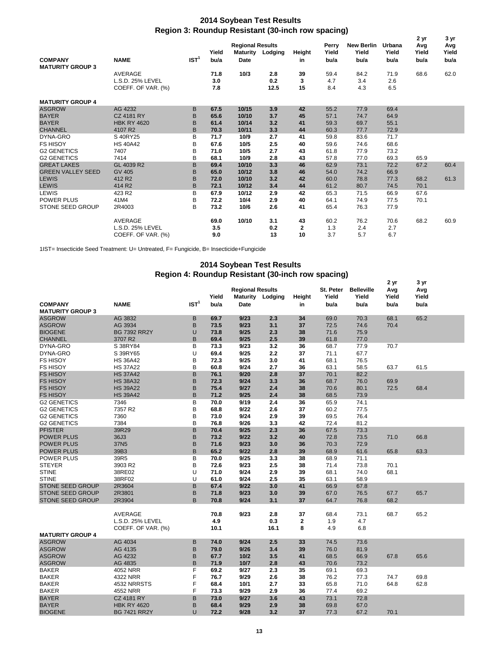## **2014 Soybean Test Results Region 3: Roundup Resistant (30-inch row spacing)**

|                          |                    | <b>Regional Results</b> |       |                 |         |              |                |                            | 2 yr            | 3 yr         |              |
|--------------------------|--------------------|-------------------------|-------|-----------------|---------|--------------|----------------|----------------------------|-----------------|--------------|--------------|
|                          |                    |                         | Yield | <b>Maturity</b> | Lodging | Height       | Perry<br>Yield | <b>New Berlin</b><br>Yield | Urbana<br>Yield | Avg<br>Yield | Avg<br>Yield |
| <b>COMPANY</b>           | <b>NAME</b>        | IST <sup>1</sup>        | bu/a  | <b>Date</b>     |         | in           | bu/a           | bu/a                       | bu/a            | bu/a         | bu/a         |
| <b>MATURITY GROUP 3</b>  |                    |                         |       |                 |         |              |                |                            |                 |              |              |
|                          | <b>AVERAGE</b>     |                         | 71.8  | 10/3            | 2.8     | 39           | 59.4           | 84.2                       | 71.9            | 68.6         | 62.0         |
|                          | L.S.D. 25% LEVEL   |                         | 3.0   |                 | 0.2     | 3            | 4.7            | 3.4                        | 2.6             |              |              |
|                          | COEFF. OF VAR. (%) |                         | 7.8   |                 | 12.5    | 15           | 8.4            | 4.3                        | 6.5             |              |              |
| <b>MATURITY GROUP 4</b>  |                    |                         |       |                 |         |              |                |                            |                 |              |              |
| <b>ASGROW</b>            | AG 4232            | B                       | 67.5  | 10/15           | 3.9     | 42           | 55.2           | 77.9                       | 69.4            |              |              |
| <b>BAYER</b>             | <b>CZ 4181 RY</b>  | B                       | 65.6  | 10/10           | 3.7     | 45           | 57.1           | 74.7                       | 64.9            |              |              |
| <b>BAYER</b>             | <b>HBK RY 4620</b> | B                       | 61.4  | 10/14           | 3.2     | 41           | 59.3           | 69.7                       | 55.1            |              |              |
| <b>CHANNEL</b>           | 4107 R2            | B                       | 70.3  | 10/11           | 3.3     | 44           | 60.3           | 77.7                       | 72.9            |              |              |
| DYNA-GRO                 | S 40RY25           | B                       | 71.7  | 10/9            | 2.7     | 41           | 59.8           | 83.6                       | 71.7            |              |              |
| <b>FS HISOY</b>          | <b>HS 40A42</b>    | B                       | 67.6  | 10/5            | 2.5     | 40           | 59.6           | 74.6                       | 68.6            |              |              |
| <b>G2 GENETICS</b>       | 7407               | B                       | 71.0  | 10/5            | 2.7     | 43           | 61.8           | 77.9                       | 73.2            |              |              |
| <b>G2 GENETICS</b>       | 7414               | B                       | 68.1  | 10/9            | 2.8     | 43           | 57.8           | 77.0                       | 69.3            | 65.9         |              |
| <b>GREAT LAKES</b>       | GL 4039 R2         | B                       | 69.4  | 10/10           | 3.3     | 46           | 62.9           | 73.1                       | 72.2            | 67.2         | 60.4         |
| <b>GREEN VALLEY SEED</b> | <b>GV 405</b>      | B                       | 65.0  | 10/12           | 3.8     | 46           | 54.0           | 74.2                       | 66.9            |              |              |
| <b>LEWIS</b>             | 412 R2             | B                       | 72.0  | 10/10           | 3.2     | 42           | 60.0           | 78.8                       | 77.3            | 68.2         | 61.3         |
| <b>LEWIS</b>             | 414 R2             | B                       | 72.1  | 10/12           | 3.4     | 44           | 61.2           | 80.7                       | 74.5            | 70.1         |              |
| LEWIS                    | 423 R2             | B                       | 67.9  | 10/12           | 2.9     | 42           | 65.3           | 71.5                       | 66.9            | 67.6         |              |
| <b>POWER PLUS</b>        | 41M4               | B                       | 72.2  | 10/4            | 2.9     | 40           | 64.1           | 74.9                       | 77.5            | 70.1         |              |
| <b>STONE SEED GROUP</b>  | 2R4003             | B                       | 73.2  | 10/6            | 2.6     | 41           | 65.4           | 76.3                       | 77.9            |              |              |
|                          | AVERAGE            |                         | 69.0  | 10/10           | 3.1     | 43           | 60.2           | 76.2                       | 70.6            | 68.2         | 60.9         |
|                          | L.S.D. 25% LEVEL   |                         | 3.5   |                 | 0.2     | $\mathbf{2}$ | 1.3            | 2.4                        | 2.7             |              |              |
|                          | COEFF. OF VAR. (%) |                         | 9.0   |                 | 13      | 10           | 3.7            | 5.7                        | 6.7             |              |              |

1IST= Insecticide Seed Treatment: U= Untreated, F= Fungicide, B= Insecticide+Fungicide

## **2014 Soybean Test Results Region 4: Roundup Resistant (30-inch row spacing)**

|                                           |                     |                  |               |                                 |                  |              |                            |                                    | 2 yr                 | 3 yr                 |  |
|-------------------------------------------|---------------------|------------------|---------------|---------------------------------|------------------|--------------|----------------------------|------------------------------------|----------------------|----------------------|--|
| <b>COMPANY</b><br><b>MATURITY GROUP 3</b> | <b>NAME</b>         | IST <sup>1</sup> | Yield<br>bu/a | <b>Regional Results</b><br>Date | Maturity Lodging | Height<br>in | St. Peter<br>Yield<br>bu/a | <b>Belleville</b><br>Yield<br>bu/a | Avg<br>Yield<br>bu/a | Avg<br>Yield<br>bu/a |  |
| <b>ASGROW</b>                             | AG 3832             | B                | 69.7          | 9/23                            | 2.3              | 34           | 69.0                       | 70.3                               | 68.1                 | 65.2                 |  |
| <b>ASGROW</b>                             | AG 3934             | B                | 73.5          | 9/23                            | 3.1              | 37           | 72.5                       | 74.6                               | 70.4                 |                      |  |
| <b>BIOGENE</b>                            | <b>BG 7392 RR2Y</b> | U                | 73.8          | 9/25                            | 2.3              | 38           | 71.6                       | 75.9                               |                      |                      |  |
| <b>CHANNEL</b>                            | 3707 R2             | B                | 69.4          | 9/25                            | 2.5              | 39           | 61.8                       | 77.0                               |                      |                      |  |
| DYNA-GRO                                  | S 38RY84            | в                | 73.3          | 9/23                            | 3.2              | 36           | 68.7                       | 77.9                               | 70.7                 |                      |  |
| DYNA-GRO                                  | S 39RY65            | U                | 69.4          | 9/25                            | 2.2              | 37           | 71.1                       | 67.7                               |                      |                      |  |
| <b>FS HISOY</b>                           | <b>HS 36A42</b>     | B                | 72.3          | 9/25                            | 3.0              | 41           | 68.1                       | 76.5                               |                      |                      |  |
| <b>FS HISOY</b>                           | <b>HS 37A22</b>     | B                | 60.8          | 9/24                            | 2.7              | 36           | 63.1                       | 58.5                               | 63.7                 | 61.5                 |  |
| <b>FS HISOY</b>                           | <b>HS 37A42</b>     | B                | 76.1          | 9/20                            | 2.8              | 37           | 70.1                       | 82.2                               |                      |                      |  |
| <b>FS HISOY</b>                           |                     |                  |               | 9/24                            | 3.3              |              | 68.7                       |                                    |                      |                      |  |
|                                           | <b>HS 38A32</b>     | B                | 72.3          |                                 |                  | 36           |                            | 76.0                               | 69.9                 |                      |  |
| <b>FS HISOY</b>                           | <b>HS 39A22</b>     | B                | 75.4          | 9/27                            | 2.4              | 38           | 70.6                       | 80.1                               | 72.5                 | 68.4                 |  |
| <b>FS HISOY</b>                           | <b>HS 39A42</b>     | B                | 71.2          | 9/25                            | 2.4              | 38           | 68.5                       | 73.9                               |                      |                      |  |
| <b>G2 GENETICS</b>                        | 7346                | B                | 70.0          | 9/19                            | 2.4              | 36           | 65.9                       | 74.1                               |                      |                      |  |
| <b>G2 GENETICS</b>                        | 7357 R2             | B                | 68.8          | 9/22                            | 2.6              | 37           | 60.2                       | 77.5                               |                      |                      |  |
| <b>G2 GENETICS</b>                        | 7360                | B                | 73.0          | 9/24                            | 2.9              | 39           | 69.5                       | 76.4                               |                      |                      |  |
| <b>G2 GENETICS</b>                        | 7384                | B                | 76.8          | 9/26                            | 3.3              | 42           | 72.4                       | 81.2                               |                      |                      |  |
| <b>PFISTER</b>                            | 39R29               | B                | 70.4          | 9/25                            | 2.3              | 36           | 67.5                       | 73.3                               |                      |                      |  |
| <b>POWER PLUS</b>                         | 36J3                | B                | 73.2          | 9/22                            | 3.2              | 40           | 72.8                       | 73.5                               | 71.0                 | 66.8                 |  |
| <b>POWER PLUS</b>                         | 37N <sub>5</sub>    | B                | 71.6          | 9/23                            | 3.0              | 36           | 70.3                       | 72.9                               |                      |                      |  |
| <b>POWER PLUS</b>                         | 39B3                | B                | 65.2          | 9/22                            | 2.8              | 39           | 68.9                       | 61.6                               | 65.8                 | 63.3                 |  |
| POWER PLUS                                | 39R5                | B                | 70.0          | 9/25                            | 3.3              | 38           | 68.9                       | 71.1                               |                      |                      |  |
| <b>STEYER</b>                             | 3903 R2             | B                | 72.6          | 9/23                            | 2.5              | 38           | 71.4                       | 73.8                               | 70.1                 |                      |  |
| <b>STINE</b>                              | 38RE02              | U                | 71.0          | 9/24                            | 2.9              | 39           | 68.1                       | 74.0                               | 68.1                 |                      |  |
| <b>STINE</b>                              | 38RF02              | U                | 61.0          | 9/24                            | 2.5              | 35           | 63.1                       | 58.9                               |                      |                      |  |
| <b>STONE SEED GROUP</b>                   | 2R3604              | B                | 67.4          | 9/22                            | 3.0              | 41           | 66.9                       | 67.8                               |                      |                      |  |
| <b>STONE SEED GROUP</b>                   | 2R3801              | B                | 71.8          | 9/23                            | 3.0              | 39           | 67.0                       | 76.5                               | 67.7                 | 65.7                 |  |
| <b>STONE SEED GROUP</b>                   | 2R3904              | B                | 70.8          | 9/24                            | 3.1              | 37           | 64.7                       | 76.8                               | 68.2                 |                      |  |
|                                           |                     |                  |               |                                 |                  |              |                            |                                    |                      |                      |  |
|                                           | AVERAGE             |                  | 70.8          | 9/23                            | 2.8              | 37           | 68.4                       | 73.1                               | 68.7                 | 65.2                 |  |
|                                           | L.S.D. 25% LEVEL    |                  | 4.9           |                                 | 0.3              | $\mathbf{2}$ | 1.9                        | 4.7                                |                      |                      |  |
|                                           | COEFF. OF VAR. (%)  |                  | 10.1          |                                 | 16.1             | 8            | 4.9                        | 6.8                                |                      |                      |  |
| <b>MATURITY GROUP 4</b>                   |                     |                  |               |                                 |                  |              |                            |                                    |                      |                      |  |
| <b>ASGROW</b>                             | AG 4034             | B                | 74.0          | 9/24                            | 2.5              | 33           | 74.5                       | 73.6                               |                      |                      |  |
| <b>ASGROW</b>                             | AG 4135             | B                | 79.0          | 9/26                            | 3.4              | 39           | 76.0                       | 81.9                               |                      |                      |  |
| <b>ASGROW</b>                             | AG 4232             | B                | 67.7          | 10/2                            | 3.5              | 41           | 68.5                       | 66.9                               | 67.8                 | 65.6                 |  |
| <b>ASGROW</b>                             | AG 4835             | B                | 71.9          | 10/7                            | 2.8              | 43           | 70.6                       | 73.2                               |                      |                      |  |
| <b>BAKER</b>                              | 4052 NRR            | F                | 69.2          | 9/27                            | 2.3              | 35           | 69.1                       | 69.3                               |                      |                      |  |
| <b>BAKER</b>                              | 4322 NRR            | F                | 76.7          | 9/29                            | 2.6              | 38           | 76.2                       | 77.3                               | 74.7                 | 69.8                 |  |
| <b>BAKER</b>                              | 4532 NRRSTS         | F                | 68.4          | 10/1                            | 2.7              | 33           | 65.8                       | 71.0                               | 64.8                 | 62.8                 |  |
| <b>BAKER</b>                              | 4552 NRR            | F                | 73.3          | 9/29                            | 2.9              | 36           | 77.4                       | 69.2                               |                      |                      |  |
| <b>BAYER</b>                              | <b>CZ 4181 RY</b>   | B                | 73.0          | 9/27                            | 3.6              | 43           | 73.1                       | 72.8                               |                      |                      |  |
| <b>BAYER</b>                              | <b>HBK RY 4620</b>  | B                | 68.4          | 9/29                            | 2.9              | 38           | 69.8                       | 67.0                               |                      |                      |  |
| <b>BIOGENE</b>                            | <b>BG 7421 RR2Y</b> | U                | 72.2          | 9/28                            | 3.2              | 37           | 77.3                       | 67.2                               | 70.1                 |                      |  |
|                                           |                     |                  |               |                                 |                  |              |                            |                                    |                      |                      |  |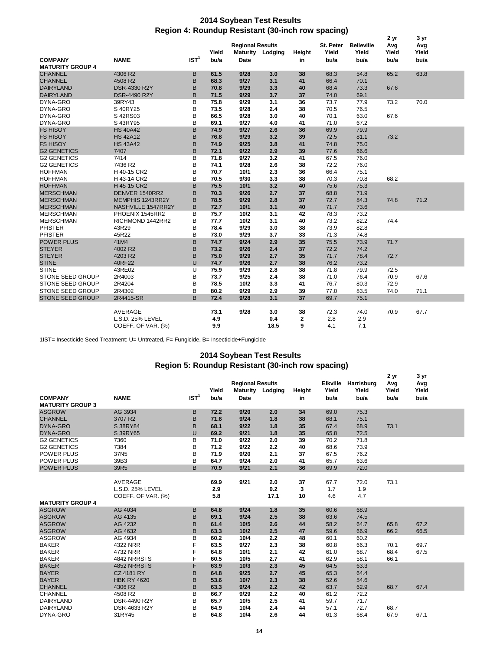## **Region 4: Roundup Resistant (30-inch row spacing) 2014 Soybean Test Results**

|                         |                    |                  |       |                         |         |        |           |                   | 2 yr  | 3 yr  |  |
|-------------------------|--------------------|------------------|-------|-------------------------|---------|--------|-----------|-------------------|-------|-------|--|
|                         |                    |                  |       | <b>Regional Results</b> |         |        | St. Peter | <b>Belleville</b> | Avg   | Avg   |  |
|                         |                    |                  | Yield | <b>Maturity</b>         | Lodging | Height | Yield     | Yield             | Yield | Yield |  |
| <b>COMPANY</b>          | <b>NAME</b>        | IST <sup>1</sup> | bu/a  | Date                    |         | in     | bu/a      | bu/a              | bu/a  | bu/a  |  |
| <b>MATURITY GROUP 4</b> |                    |                  |       |                         |         |        |           |                   |       |       |  |
| <b>CHANNEL</b>          | 4306 R2            | B                | 61.5  | 9/28                    | 3.0     | 38     | 68.3      | 54.8              | 65.2  | 63.8  |  |
| <b>CHANNEL</b>          | 4508 R2            | B                | 68.3  | 9/27                    | 3.1     | 41     | 66.4      | 70.1              |       |       |  |
| <b>DAIRYLAND</b>        | DSR-4330 R2Y       | B                | 70.8  | 9/29                    | 3.3     | 40     | 68.4      | 73.3              | 67.6  |       |  |
| <b>DAIRYLAND</b>        | DSR-4490 R2Y       | B                | 71.5  | 9/29                    | 3.7     | 37     | 74.0      | 69.1              |       |       |  |
| DYNA-GRO                | 39RY43             | B                | 75.8  | 9/29                    | 3.1     | 36     | 73.7      | 77.9              | 73.2  | 70.0  |  |
| DYNA-GRO                | S 40RY25           | B                | 73.5  | 9/28                    | 2.4     | 38     | 70.5      | 76.5              |       |       |  |
| DYNA-GRO                | S 42RS03           | B                | 66.5  | 9/28                    | 3.0     | 40     | 70.1      | 63.0              | 67.6  |       |  |
| DYNA-GRO                | S 43RY95           | B                | 69.1  | 9/27                    | 4.0     | 41     | 71.0      | 67.2              |       |       |  |
| <b>FS HISOY</b>         | <b>HS 40A42</b>    | B                | 74.9  | 9/27                    | 2.6     | 36     | 69.9      | 79.9              |       |       |  |
| <b>FS HISOY</b>         | <b>HS 42A12</b>    | B                | 76.8  | 9/29                    | 3.2     | 39     | 72.5      | 81.1              | 73.2  |       |  |
| <b>FS HISOY</b>         | <b>HS 43A42</b>    | B                | 74.9  | 9/25                    | 3.8     | 41     | 74.8      | 75.0              |       |       |  |
| <b>G2 GENETICS</b>      | 7407               | B                | 72.1  | 9/22                    | 2.9     | 39     | 77.6      | 66.6              |       |       |  |
| <b>G2 GENETICS</b>      | 7414               | B                | 71.8  | 9/27                    | 3.2     | 41     | 67.5      | 76.0              |       |       |  |
| <b>G2 GENETICS</b>      | 7436 R2            | B                | 74.1  | 9/28                    | 2.6     | 38     | 72.2      | 76.0              |       |       |  |
| <b>HOFFMAN</b>          | H 40-15 CR2        | B                | 70.7  | 10/1                    | 2.3     | 36     | 66.4      | 75.1              |       |       |  |
| <b>HOFFMAN</b>          | H 43-14 CR2        | B                | 70.5  | 9/30                    | 3.3     | 38     | 70.3      | 70.8              | 68.2  |       |  |
| <b>HOFFMAN</b>          | H 45-15 CR2        | B                | 75.5  | 10/1                    | 3.2     | 40     | 75.6      | 75.3              |       |       |  |
| <b>MERSCHMAN</b>        | DENVER 1540RR2     | B                | 70.3  | 9/26                    | 2.7     | 37     | 68.8      | 71.9              |       |       |  |
| <b>MERSCHMAN</b>        | MEMPHIS 1243RR2Y   | B                | 78.5  | 9/29                    | 2.8     | 37     | 72.7      | 84.3              | 74.8  | 71.2  |  |
| <b>MERSCHMAN</b>        | NASHVILLE 1547RR2Y | B                | 72.7  | 10/1                    | 3.1     | 40     | 71.7      | 73.6              |       |       |  |
| <b>MERSCHMAN</b>        | PHOENIX 1545RR2    | B                | 75.7  | 10/2                    | 3.1     | 42     | 78.3      | 73.2              |       |       |  |
| <b>MERSCHMAN</b>        | RICHMOND 1442RR2   | B                | 77.7  | 10/2                    | 3.1     | 40     | 73.2      | 82.2              | 74.4  |       |  |
| <b>PFISTER</b>          | 43R29              | B                | 78.4  | 9/29                    | 3.0     | 38     | 73.9      | 82.8              |       |       |  |
| <b>PFISTER</b>          | 45R22              | B                | 73.0  | 9/29                    | 3.7     | 33     | 71.3      | 74.8              |       |       |  |
| <b>POWER PLUS</b>       | 41M4               | B                | 74.7  | 9/24                    | 2.9     | 35     | 75.5      | 73.9              | 71.7  |       |  |
| <b>STEYER</b>           | 4002 R2            | B                | 73.2  | 9/26                    | 2.4     | 37     | 72.2      | 74.2              |       |       |  |
| <b>STEYER</b>           | 4203 R2            | B                | 75.0  | 9/29                    | 2.7     | 35     | 71.7      | 78.4              | 72.7  |       |  |
| <b>STINE</b>            | 40RF22             | U                | 74.7  | 9/26                    | 2.7     | 38     | 76.2      | 73.2              |       |       |  |
| <b>STINE</b>            | 43RE02             | U                | 75.9  | 9/29                    | 2.8     | 38     | 71.8      | 79.9              | 72.5  |       |  |
| STONE SEED GROUP        | 2R4003             | B                | 73.7  | 9/25                    | 2.4     | 38     | 71.0      | 76.4              | 70.9  | 67.6  |  |
| <b>STONE SEED GROUP</b> | 2R4204             | B                | 78.5  | 10/2                    | 3.3     | 41     | 76.7      | 80.3              | 72.9  |       |  |
| <b>STONE SEED GROUP</b> | 2R4302             | B                | 80.2  | 9/29                    | 2.9     | 39     | 77.0      | 83.5              | 74.0  | 71.1  |  |
| <b>STONE SEED GROUP</b> | 2R4415-SR          | B                | 72.4  | 9/28                    | 3.1     | 37     | 69.7      | 75.1              |       |       |  |
|                         |                    |                  |       |                         |         |        |           |                   |       |       |  |
|                         | AVERAGE            |                  | 73.1  | 9/28                    | 3.0     | 38     | 72.3      | 74.0              | 70.9  | 67.7  |  |
|                         | L.S.D. 25% LEVEL   |                  | 4.9   |                         | 0.4     | 2      | 2.8       | 2.9               |       |       |  |
|                         | COEFF. OF VAR. (%) |                  | 9.9   |                         | 18.5    | 9      | 4.1       | 7.1               |       |       |  |

1IST= Insecticide Seed Treatment: U= Untreated, F= Fungicide, B= Insecticide+Fungicide

## **2014 Soybean Test Results Region 5: Roundup Resistant (30-inch row spacing)**

|                            |                    |                  |              |                         |            |          |                 |              | 2 yr  | 3 yr  |
|----------------------------|--------------------|------------------|--------------|-------------------------|------------|----------|-----------------|--------------|-------|-------|
|                            |                    |                  |              | <b>Regional Results</b> |            |          | <b>Elkville</b> | Harrisburg   | Avg   | Avg   |
|                            |                    |                  | Yield        | <b>Maturity Lodging</b> |            | Height   | Yield           | Yield        | Yield | Yield |
| <b>COMPANY</b>             | <b>NAME</b>        | IST <sup>1</sup> | bu/a         | Date                    |            | in       | bu/a            | bu/a         | bu/a  | bu/a  |
| <b>MATURITY GROUP 3</b>    |                    |                  |              |                         |            |          |                 |              |       |       |
| <b>ASGROW</b>              | AG 3934            | B                | 72.2         | 9/20                    | 2.0        | 34       | 69.0            | 75.3         |       |       |
| <b>CHANNEL</b><br>DYNA-GRO | 3707 R2            | B<br>B           | 71.6<br>68.1 | 9/24<br>9/22            | 1.8<br>1.8 | 38       | 68.1<br>67.4    | 75.1         |       |       |
| <b>DYNA-GRO</b>            | S 38RY84           | U                | 69.2         | 9/21                    | 1.8        | 35       | 65.8            | 68.9<br>72.5 | 73.1  |       |
| <b>G2 GENETICS</b>         | S 39RY65<br>7360   |                  | 71.0         | 9/22                    | 2.0        | 35<br>39 | 70.2            | 71.8         |       |       |
| <b>G2 GENETICS</b>         | 7384               | B<br>B           | 71.2         | 9/22                    | 2.2        | 40       | 68.6            | 73.9         |       |       |
| POWER PLUS                 | 37N <sub>5</sub>   | B                | 71.9         | 9/20                    | 2.1        | 37       | 67.5            | 76.2         |       |       |
| POWER PLUS                 | 39B3               | B                | 64.7         | 9/24                    | 2.0        | 41       | 65.7            | 63.6         |       |       |
| <b>POWER PLUS</b>          | 39R5               | B                | 70.9         | 9/21                    | 2.1        | 36       | 69.9            | 72.0         |       |       |
|                            |                    |                  |              |                         |            |          |                 |              |       |       |
|                            | AVERAGE            |                  | 69.9         | 9/21                    | 2.0        | 37       | 67.7            | 72.0         | 73.1  |       |
|                            | L.S.D. 25% LEVEL   |                  | 2.9          |                         | 0.2        | 3        | 1.7             | 1.9          |       |       |
|                            | COEFF. OF VAR. (%) |                  | 5.8          |                         | 17.1       | 10       | 4.6             | 4.7          |       |       |
| <b>MATURITY GROUP 4</b>    |                    |                  |              |                         |            |          |                 |              |       |       |
| <b>ASGROW</b>              | AG 4034            | B                | 64.8         | 9/24                    | 1.8        | 35       | 60.6            | 68.9         |       |       |
| <b>ASGROW</b>              | AG 4135            | B                | 69.1         | 9/24                    | 2.5        | 38       | 63.6            | 74.5         |       |       |
| <b>ASGROW</b>              | AG 4232            | B                | 61.4         | 10/5                    | 2.6        | 44       | 58.2            | 64.7         | 65.8  | 67.2  |
| <b>ASGROW</b>              | AG 4632            | B                | 63.3         | $10/2$                  | 2.5        | 47       | 59.6            | 66.9         | 66.2  | 66.5  |
| <b>ASGROW</b>              | AG 4934            | B                | 60.2         | 10/4                    | 2.2        | 48       | 60.1            | 60.2         |       |       |
| <b>BAKER</b>               | 4322 NRR           | F                | 63.5         | 9/27                    | 2.3        | 38       | 60.8            | 66.3         | 70.1  | 69.7  |
| <b>BAKER</b>               | 4732 NRR           | F                | 64.8         | 10/1                    | 2.1        | 42       | 61.0            | 68.7         | 68.4  | 67.5  |
| <b>BAKER</b>               | 4842 NRRSTS        | F                | 60.5         | 10/5                    | 2.7        | 41       | 62.9            | 58.1         | 66.1  |       |
| <b>BAKER</b>               | 4852 NRRSTS        | F                | 63.9         | 10/3                    | 2.3        | 45       | 64.5            | 63.3         |       |       |
| <b>BAYER</b>               | <b>CZ 4181 RY</b>  | B                | 64.8         | 9/25                    | 2.7        | 45       | 65.3            | 64.4         |       |       |
| <b>BAYER</b>               | <b>HBK RY 4620</b> | B                | 53.6         | 10/7                    | 2.3        | 38       | 52.6            | 54.6         |       |       |
| <b>CHANNEL</b>             | 4306 R2            | B                | 63.3         | 9/24                    | 2.2        | 42       | 63.7            | 62.9         | 68.7  | 67.4  |
| CHANNEL                    | 4508 R2            | B                | 66.7         | 9/29                    | 2.2        | 40       | 61.2            | 72.2         |       |       |
| DAIRYLAND                  | DSR-4490 R2Y       | B                | 65.7         | 10/5                    | 2.5        | 41       | 59.7            | 71.7         |       |       |
| <b>DAIRYLAND</b>           | DSR-4633 R2Y       | B                | 64.9         | 10/4                    | 2.4        | 44       | 57.1            | 72.7         | 68.7  |       |
| DYNA-GRO                   | 31RY45             | B                | 64.8         | 10/4                    | 2.6        | 44       | 61.3            | 68.4         | 67.9  | 67.1  |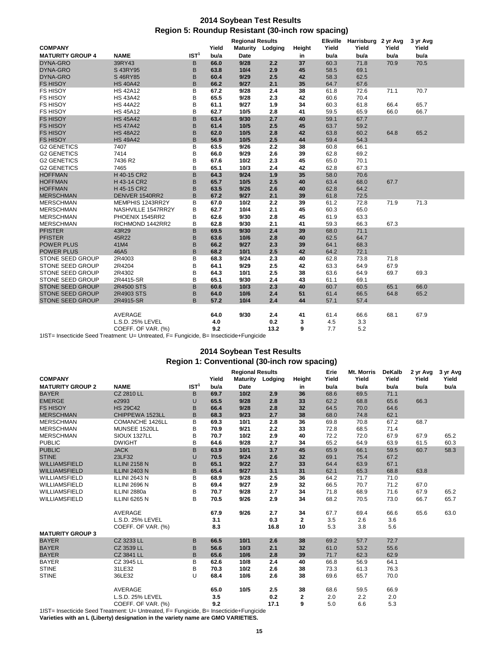## **2014 Soybean Test Results Region 5: Roundup Resistant (30-inch row spacing)**

|                         |                    |                  | <b>Regional Results</b> |                 |         | <b>Elkville</b> | Harrisburg 2 yr Avg |       | 3 yr Avg |       |  |
|-------------------------|--------------------|------------------|-------------------------|-----------------|---------|-----------------|---------------------|-------|----------|-------|--|
| <b>COMPANY</b>          |                    |                  | Yield                   | <b>Maturity</b> | Lodging | Height          | Yield               | Yield | Yield    | Yield |  |
| <b>MATURITY GROUP 4</b> | <b>NAME</b>        | IST <sup>1</sup> | bu/a                    | Date            |         | in              | bu/a                | bu/a  | bu/a     | bu/a  |  |
| <b>DYNA-GRO</b>         | 39RY43             | B                | 66.0                    | 9/28            | 2.2     | 37              | 60.3                | 71.8  | 70.9     | 70.5  |  |
| DYNA-GRO                | S 43RY95           | B                | 63.8                    | 10/4            | 2.9     | 45              | 58.5                | 69.1  |          |       |  |
| <b>DYNA-GRO</b>         | S 46RY85           | B                | 60.4                    | 9/29            | 2.5     | 42              | 58.3                | 62.5  |          |       |  |
| <b>FS HISOY</b>         | <b>HS 40A42</b>    | B                | 66.2                    | 9/27            | 2.1     | 35              | 64.7                | 67.6  |          |       |  |
| <b>FS HISOY</b>         | <b>HS 42A12</b>    | B                | 67.2                    | 9/28            | 2.4     | 38              | 61.8                | 72.6  | 71.1     | 70.7  |  |
| <b>FS HISOY</b>         | <b>HS 43A42</b>    | B                | 65.5                    | 9/28            | 2.3     | 42              | 60.6                | 70.4  |          |       |  |
| <b>FS HISOY</b>         | <b>HS 44A22</b>    | B                | 61.1                    | 9/27            | 1.9     | 34              | 60.3                | 61.8  | 66.4     | 65.7  |  |
| <b>FS HISOY</b>         | <b>HS 45A12</b>    | B                | 62.7                    | 10/5            | 2.8     | 41              | 59.5                | 65.9  | 66.0     | 66.7  |  |
| <b>FS HISOY</b>         | <b>HS 45A42</b>    | B                | 63.4                    | 9/30            | 2.7     | 40              | 59.1                | 67.7  |          |       |  |
| <b>FS HISOY</b>         | <b>HS 47A42</b>    | B                | 61.4                    | 10/5            | 2.5     | 45              | 63.7                | 59.2  |          |       |  |
| <b>FS HISOY</b>         | <b>HS 48A22</b>    | B                | 62.0                    | 10/5            | 2.8     | 42              | 63.8                | 60.2  | 64.8     | 65.2  |  |
| <b>FS HISOY</b>         | <b>HS 49A42</b>    | B                | 56.9                    | 10/5            | 2.5     | 44              | 59.4                | 54.3  |          |       |  |
| <b>G2 GENETICS</b>      | 7407               | B                | 63.5                    | 9/26            | 2.2     | 38              | 60.8                | 66.1  |          |       |  |
| <b>G2 GENETICS</b>      | 7414               | B                | 66.0                    | 9/29            | 2.6     | 39              | 62.8                | 69.2  |          |       |  |
| <b>G2 GENETICS</b>      | 7436 R2            | B                | 67.6                    | 10/2            | 2.3     | 45              | 65.0                | 70.1  |          |       |  |
| <b>G2 GENETICS</b>      | 7465               | B                | 65.1                    | 10/3            | 2.4     | 42              | 62.8                | 67.3  |          |       |  |
| <b>HOFFMAN</b>          | H 40-15 CR2        | B                | 64.3                    | 9/24            | 1.9     | 35              | 58.0                | 70.6  |          |       |  |
| <b>HOFFMAN</b>          | H 43-14 CR2        | B                | 65.7                    | 10/5            | 2.5     | 40              | 63.4                | 68.0  | 67.7     |       |  |
| <b>HOFFMAN</b>          | H 45-15 CR2        | B                | 63.5                    | 9/26            | 2.6     | 40              | 62.8                | 64.2  |          |       |  |
| <b>MERSCHMAN</b>        | DENVER 1540RR2     | B                | 67.2                    | 9/27            | 2.1     | 39              | 61.8                | 72.5  |          |       |  |
| <b>MERSCHMAN</b>        | MEMPHIS 1243RR2Y   | B                | 67.0                    | 10/2            | 2.2     | 39              | 61.2                | 72.8  | 71.9     | 71.3  |  |
| <b>MERSCHMAN</b>        | NASHVILLE 1547RR2Y | B                | 62.7                    | 10/4            | 2.1     | 45              | 60.3                | 65.0  |          |       |  |
| <b>MERSCHMAN</b>        | PHOENIX 1545RR2    | B                | 62.6                    | 9/30            | 2.8     | 45              | 61.9                | 63.3  |          |       |  |
| <b>MERSCHMAN</b>        | RICHMOND 1442RR2   | B                | 62.8                    | 9/30            | 2.1     | 41              | 59.3                | 66.3  | 67.3     |       |  |
| <b>PFISTER</b>          | 43R29              | B                | 69.5                    | 9/30            | 2.4     | 39              | 68.0                | 71.1  |          |       |  |
| <b>PFISTER</b>          | 45R22              | B                | 63.6                    | 10/6            | 2.8     | 40              | 62.5                | 64.7  |          |       |  |
| <b>POWER PLUS</b>       | 41M4               | B                | 66.2                    | 9/27            | 2.3     | 39              | 64.1                | 68.3  |          |       |  |
| <b>POWER PLUS</b>       | 46A5               | B                | 68.2                    | 10/1            | 2.5     | 42              | 64.2                | 72.1  |          |       |  |
| STONE SEED GROUP        | 2R4003             | B                | 68.3                    | 9/24            | 2.3     | 40              | 62.8                | 73.8  | 71.8     |       |  |
| <b>STONE SEED GROUP</b> | 2R4204             | B                | 64.1                    | 9/29            | 2.5     | 42              | 63.3                | 64.9  | 67.9     |       |  |
| STONE SEED GROUP        | 2R4302             | B                | 64.3                    | 10/1            | 2.5     | 38              | 63.6                | 64.9  | 69.7     | 69.3  |  |
| <b>STONE SEED GROUP</b> | 2R4415-SR          | B                | 65.1                    | 9/30            | 2.4     | 43              | 61.1                | 69.1  |          |       |  |
| <b>STONE SEED GROUP</b> | 2R4500 STS         | B                | 60.6                    | 10/3            | 2.3     | 40              | 60.7                | 60.5  | 65.1     | 66.0  |  |
| <b>STONE SEED GROUP</b> | 2R4903 STS         | B                | 64.0                    | 10/6            | 2.4     | 51              | 61.4                | 66.5  | 64.8     | 65.2  |  |
| STONE SEED GROUP        | 2R4915-SR          | B                | 57.2                    | 10/4            | 2.4     | 44              | 57.1                | 57.4  |          |       |  |
|                         |                    |                  |                         |                 |         |                 |                     |       |          |       |  |
|                         | AVERAGE            |                  | 64.0                    | 9/30            | 2.4     | 41              | 61.4                | 66.6  | 68.1     | 67.9  |  |
|                         | L.S.D. 25% LEVEL   |                  | 4.0                     |                 | 0.2     | 3               | 4.5                 | 3.3   |          |       |  |
|                         |                    |                  | 9.2                     |                 | 13.2    |                 | 7.7                 | 5.2   |          |       |  |
|                         | COEFF. OF VAR. (%) |                  |                         |                 |         | 9               |                     |       |          |       |  |

1IST= Insecticide Seed Treatment: U= Untreated, F= Fungicide, B= Insecticide+Fungicide

## **2014 Soybean Test Results Region 1: Conventional (30-inch row spacing)**

|                         | <b>Regional Results</b> |                  |       |             | Erie    | Mt. Morris   | <b>DeKalb</b> | 2 yr Avg | 3 yr Avg |       |       |
|-------------------------|-------------------------|------------------|-------|-------------|---------|--------------|---------------|----------|----------|-------|-------|
| <b>COMPANY</b>          |                         |                  | Yield | Maturity    | Lodging | Height       | Yield         | Yield    | Yield    | Yield | Yield |
| <b>MATURITY GROUP 2</b> | <b>NAME</b>             | IST <sup>1</sup> | bu/a  | <b>Date</b> |         | in           | bu/a          | bu/a     | bu/a     | bu/a  | bu/a  |
| <b>BAYER</b>            | <b>CZ 2810 LL</b>       | В                | 69.7  | $10/2$      | 2.9     | 36           | 68.6          | 69.5     | 71.1     |       |       |
| <b>EMERGE</b>           | e2993                   | U                | 65.5  | 9/28        | 2.8     | 33           | 62.2          | 68.8     | 65.6     | 66.3  |       |
| <b>FS HISOY</b>         | <b>HS 29C42</b>         | B                | 66.4  | 9/28        | 2.8     | 32           | 64.5          | 70.0     | 64.6     |       |       |
| <b>MERSCHMAN</b>        | CHIPPEWA 1523LL         | B                | 68.3  | 9/23        | 2.7     | 38           | 68.0          | 74.8     | 62.1     |       |       |
| <b>MERSCHMAN</b>        | COMANCHE 1426LL         | B                | 69.3  | 10/1        | 2.8     | 36           | 69.8          | 70.8     | 67.2     | 68.7  |       |
| <b>MERSCHMAN</b>        | MUNSEE 1520LL           | B                | 70.9  | 9/21        | 2.2     | 33           | 72.8          | 68.5     | 71.4     |       |       |
| <b>MERSCHMAN</b>        | SIOUX 1327LL            | B                | 70.7  | 10/2        | 2.9     | 40           | 72.2          | 72.0     | 67.9     | 67.9  | 65.2  |
| <b>PUBLIC</b>           | <b>DWIGHT</b>           | B                | 64.6  | 9/28        | 2.7     | 34           | 65.2          | 64.9     | 63.9     | 61.5  | 60.3  |
| <b>PUBLIC</b>           | <b>JACK</b>             | B                | 63.9  | 10/1        | 3.7     | 45           | 65.9          | 66.1     | 59.5     | 60.7  | 58.3  |
| <b>STINE</b>            | 23LF32                  | U                | 70.5  | 9/24        | 2.6     | 32           | 69.1          | 75.4     | 67.2     |       |       |
| <b>WILLIAMSFIELD</b>    | <b>ILLINI 2158 N</b>    | B                | 65.1  | 9/22        | 2.7     | 33           | 64.4          | 63.9     | 67.1     |       |       |
| <b>WILLIAMSFIELD</b>    | <b>ILLINI 2403 N</b>    | B                | 65.4  | 9/27        | 3.1     | 31           | 62.1          | 65.3     | 68.8     | 63.8  |       |
| <b>WILLIAMSFIELD</b>    | ILLINI 2643 N           | B                | 68.9  | 9/28        | 2.5     | 36           | 64.2          | 71.7     | 71.0     |       |       |
| WILLIAMSFIELD           | ILLINI 2696 N           | B                | 69.4  | 9/27        | 2.9     | 32           | 66.5          | 70.7     | 71.2     | 67.0  |       |
| <b>WILLIAMSFIELD</b>    | ILLINI 2880a            | B                | 70.7  | 9/28        | 2.7     | 34           | 71.8          | 68.9     | 71.6     | 67.9  | 65.2  |
| WILLIAMSFIELD           | ILLINI 6265 N           | B                | 70.5  | 9/26        | 2.9     | 34           | 68.2          | 70.5     | 73.0     | 66.7  | 65.7  |
|                         | AVERAGE                 |                  | 67.9  | 9/26        | 2.7     | 34           | 67.7          | 69.4     | 66.6     | 65.6  | 63.0  |
|                         | L.S.D. 25% LEVEL        |                  | 3.1   |             | 0.3     | $\mathbf{2}$ | 3.5           | 2.6      | 3.6      |       |       |
|                         | COEFF. OF VAR. (%)      |                  | 8.3   |             | 16.8    | 10           | 5.3           | 3.8      | 5.6      |       |       |
| <b>MATURITY GROUP 3</b> |                         |                  |       |             |         |              |               |          |          |       |       |
| <b>BAYER</b>            | CZ 3233 LL              | B                | 66.5  | 10/1        | 2.6     | 38           | 69.2          | 57.7     | 72.7     |       |       |
| <b>BAYER</b>            | CZ 3539 LL              | B                | 56.6  | 10/3        | 2.1     | 32           | 61.0          | 53.2     | 55.6     |       |       |
| <b>BAYER</b>            | CZ 3841 LL              | B                | 65.6  | 10/6        | 2.8     | 39           | 71.7          | 62.3     | 62.9     |       |       |
| <b>BAYER</b>            | CZ 3945 LL              | B                | 62.6  | 10/8        | 2.4     | 40           | 66.8          | 56.9     | 64.1     |       |       |
| <b>STINE</b>            | 31LE32                  | B                | 70.3  | 10/2        | 2.6     | 38           | 73.3          | 61.3     | 76.3     |       |       |
| <b>STINE</b>            | 36LE32                  | U                | 68.4  | 10/6        | 2.6     | 38           | 69.6          | 65.7     | 70.0     |       |       |
|                         | AVERAGE                 |                  | 65.0  | 10/5        | 2.5     | 38           | 68.6          | 59.5     | 66.9     |       |       |
|                         | L.S.D. 25% LEVEL        |                  | 3.5   |             | 0.2     | $\mathbf{2}$ | 2.0           | 2.2      | 2.0      |       |       |
|                         | COEFF. OF VAR. (%)      |                  | 9.2   |             | 17.1    | 9            | 5.0           | 6.6      | 5.3      |       |       |

1IST= Insecticide Seed Treatment: U= Untreated, F= Fungicide, B= Insecticide+Fungicide

**Varieties with an L (Liberty) designation in the variety name are GMO VARIETIES.**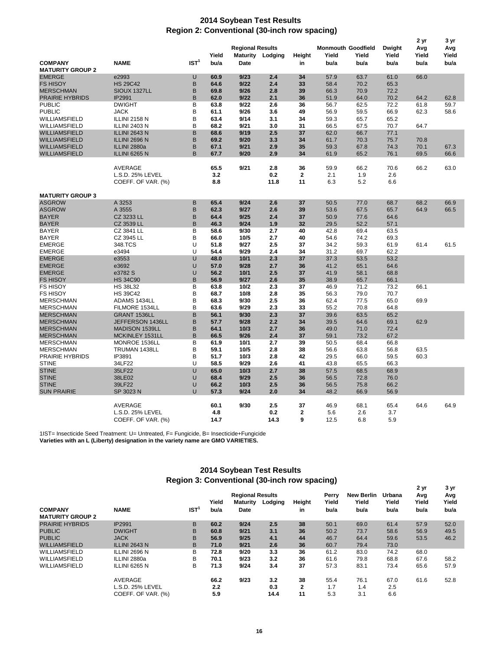## **2014 Soybean Test Results Region 2: Conventional (30-inch row spacing)**

|                                           |                      |                  |       |                         |                  |              |                           |       |        | 2 yr  | 3 yr  |
|-------------------------------------------|----------------------|------------------|-------|-------------------------|------------------|--------------|---------------------------|-------|--------|-------|-------|
|                                           |                      |                  | Yield | <b>Regional Results</b> |                  |              | <b>Monmouth Goodfield</b> |       | Dwight | Avg   | Avg   |
|                                           |                      | IST <sup>1</sup> |       |                         | Maturity Lodging | Height       | Yield                     | Yield | Yield  | Yield | Yield |
| <b>COMPANY</b><br><b>MATURITY GROUP 2</b> | <b>NAME</b>          |                  | bu/a  | <b>Date</b>             |                  | in           | bu/a                      | bu/a  | bu/a   | bu/a  | bu/a  |
| <b>EMERGE</b>                             | e2993                | U                | 60.9  | 9/23                    | 2.4              | 34           | 57.9                      | 63.7  | 61.0   | 66.0  |       |
| <b>FS HISOY</b>                           | <b>HS 29C42</b>      | B                | 64.6  | 9/22                    | 2.4              | 33           | 58.4                      | 70.2  | 65.3   |       |       |
| <b>MERSCHMAN</b>                          | SIOUX 1327LL         | B                | 69.8  | 9/26                    | 2.8              | 39           | 66.3                      | 70.9  | 72.2   |       |       |
| <b>PRAIRIE HYBRIDS</b>                    | IP2991               | B                | 62.0  | 9/22                    | 2.1              | 36           | 51.9                      | 64.0  | 70.2   | 64.2  | 62.8  |
| <b>PUBLIC</b>                             | <b>DWIGHT</b>        | B                | 63.8  | 9/22                    | 2.6              | 36           | 56.7                      | 62.5  | 72.2   | 61.8  | 59.7  |
| <b>PUBLIC</b>                             | <b>JACK</b>          | B                | 61.1  | 9/26                    | 3.6              | 49           | 56.9                      | 59.5  | 66.9   | 62.3  | 58.6  |
| WILLIAMSFIELD                             | ILLINI 2158 N        | B                | 63.4  | 9/14                    | 3.1              | 34           | 59.3                      | 65.7  | 65.2   |       |       |
| WILLIAMSFIELD                             | <b>ILLINI 2403 N</b> | B                | 68.2  | 9/21                    | 3.0              | 31           | 66.5                      | 67.5  | 70.7   | 64.7  |       |
| WILLIAMSFIELD                             | ILLINI 2643 N        | B                | 68.6  | 9/19                    | 2.5              | 37           | 62.0                      | 66.7  | 77.1   |       |       |
| <b>WILLIAMSFIELD</b>                      | ILLINI 2696 N        | B                | 69.2  | 9/20                    | 3.3              | 34           | 61.7                      | 70.3  | 75.7   | 70.8  |       |
| WILLIAMSFIELD                             | ILLINI 2880a         | B                | 67.1  | 9/21                    | 2.9              | 35           | 59.3                      | 67.8  | 74.3   | 70.1  | 67.3  |
| WILLIAMSFIELD                             | ILLINI 6265 N        | B                | 67.7  | 9/20                    | 2.9              | 34           | 61.9                      | 65.2  | 76.1   | 69.5  | 66.6  |
|                                           | AVERAGE              |                  | 65.5  | 9/21                    | 2.8              | 36           | 59.9                      | 66.2  | 70.6   | 66.2  | 63.0  |
|                                           | L.S.D. 25% LEVEL     |                  | 3.2   |                         | 0.2              | $\mathbf 2$  | 2.1                       | 1.9   | 2.6    |       |       |
|                                           | COEFF. OF VAR. (%)   |                  | 8.8   |                         | 11.8             | 11           | 6.3                       | 5.2   | 6.6    |       |       |
|                                           |                      |                  |       |                         |                  |              |                           |       |        |       |       |
| <b>MATURITY GROUP 3</b>                   |                      |                  |       |                         |                  |              |                           |       |        |       |       |
| <b>ASGROW</b>                             | A 3253               | B                | 65.4  | 9/24                    | 2.6              | 37           | 50.5                      | 77.0  | 68.7   | 68.2  | 66.9  |
| <b>ASGROW</b>                             | A 3555               | B                | 62.3  | 9/27                    | 2.6              | 39           | 53.6                      | 67.5  | 65.7   | 64.9  | 66.5  |
| <b>BAYER</b>                              | CZ 3233 LL           | B                | 64.4  | 9/25                    | 2.4              | 37           | 50.9                      | 77.6  | 64.6   |       |       |
| <b>BAYER</b>                              | CZ 3539 LL           | B                | 46.3  | 9/24                    | 1.9              | 32           | 29.5                      | 52.2  | 57.1   |       |       |
| <b>BAYER</b>                              | CZ 3841 LL           | B                | 58.6  | 9/30                    | 2.7              | 40           | 42.8                      | 69.4  | 63.5   |       |       |
| <b>BAYER</b>                              | CZ 3945 LL           | в                | 66.0  | 10/5                    | 2.7              | 40           | 54.6                      | 74.2  | 69.3   |       |       |
| <b>EMERGE</b>                             | 348.TCS              | U                | 51.8  | 9/27                    | 2.5              | 37           | 34.2                      | 59.3  | 61.9   | 61.4  | 61.5  |
| <b>EMERGE</b>                             | e3494                | U                | 54.4  | 9/29                    | 2.4              | 34           | 31.2                      | 69.7  | 62.2   |       |       |
| <b>EMERGE</b>                             | e3553                | U                | 48.0  | 10/1                    | 2.3              | 37           | 37.3                      | 53.5  | 53.2   |       |       |
| <b>EMERGE</b>                             | e3692                | U                | 57.0  | 9/28                    | 2.7              | 36           | 41.2                      | 65.1  | 64.6   |       |       |
| <b>EMERGE</b>                             | e3782 S              | U                | 56.2  | 10/1                    | 2.5              | 37           | 41.9                      | 58.1  | 68.8   |       |       |
| <b>FS HISOY</b>                           | <b>HS 34C90</b>      | B                | 56.9  | 9/27                    | 2.6              | 35           | 38.9                      | 65.7  | 66.1   |       |       |
| <b>FS HISOY</b>                           | <b>HS 38L32</b>      | B                | 63.8  | 10/2                    | 2.3              | 37           | 46.9                      | 71.2  | 73.2   | 66.1  |       |
| <b>FS HISOY</b>                           | <b>HS 39C42</b>      | B                | 68.7  | 10/8                    | 2.8              | 35           | 56.3                      | 79.0  | 70.7   |       |       |
| <b>MERSCHMAN</b>                          | ADAMS 1434LL         | B                | 68.3  | 9/30                    | 2.5              | 36           | 62.4                      | 77.5  | 65.0   | 69.9  |       |
| <b>MERSCHMAN</b>                          | FILMORE 1534LL       | B                | 63.6  | 9/29                    | 2.3              | 33           | 55.2                      | 70.8  | 64.8   |       |       |
| <b>MERSCHMAN</b>                          | GRANT 1536LL         | B                | 56.1  | 9/30                    | 2.3              | 37           | 39.6                      | 63.5  | 65.2   |       |       |
| <b>MERSCHMAN</b>                          | JEFFERSON 1436LL     | B                | 57.7  | 9/28                    | 2.2              | 34           | 39.5                      | 64.6  | 69.1   | 62.9  |       |
| <b>MERSCHMAN</b>                          | MADISON 1539LL       | B                | 64.1  | 10/3                    | 2.7              | 36           | 49.0                      | 71.0  | 72.4   |       |       |
| <b>MERSCHMAN</b>                          | MCKINLEY 1531LL      | B                | 66.5  | 9/26                    | 2.4              | 37           | 59.1                      | 73.2  | 67.2   |       |       |
| <b>MERSCHMAN</b>                          | MONROE 1536LL        | B                | 61.9  | 10/1                    | 2.7              | 39           | 50.5                      | 68.4  | 66.8   |       |       |
| <b>MERSCHMAN</b>                          | TRUMAN 1438LL        | B                | 59.1  | 10/5                    | 2.8              | 38           | 56.6                      | 63.8  | 56.8   | 63.5  |       |
| PRAIRIE HYBRIDS                           | IP3891               | B                | 51.7  | 10/3                    | 2.8              | 42           | 29.5                      | 66.0  | 59.5   | 60.3  |       |
| <b>STINE</b>                              | 34LF22               | U                | 58.5  | 9/29                    | 2.6              | 41           | 43.8                      | 65.5  | 66.3   |       |       |
| <b>STINE</b>                              | 35LF22               | U                | 65.0  | 10/3                    | 2.7              | 38           | 57.5                      | 68.5  | 68.9   |       |       |
| <b>STINE</b>                              | 38LE02               | U                | 68.4  | 9/29                    | 2.5              | 36           | 56.5                      | 72.8  | 76.0   |       |       |
| <b>STINE</b>                              | 39LF22               | U                | 66.2  | 10/3                    | 2.5              | 36           | 56.5                      | 75.8  | 66.2   |       |       |
| <b>SUN PRAIRIE</b>                        | SP 3023 N            | U                | 57.3  | 9/24                    | 2.0              | 34           | 48.2                      | 66.9  | 56.9   |       |       |
|                                           | AVERAGE              |                  | 60.1  | 9/30                    | 2.5              | 37           | 46.9                      | 68.1  | 65.4   | 64.6  | 64.9  |
|                                           | L.S.D. 25% LEVEL     |                  | 4.8   |                         | 0.2              | $\mathbf{2}$ | 5.6                       | 2.6   | 3.7    |       |       |
|                                           | COEFF. OF VAR. (%)   |                  | 14.7  |                         | 14.3             | 9            | 12.5                      | 6.8   | 5.9    |       |       |
|                                           |                      |                  |       |                         |                  |              |                           |       |        |       |       |

1IST= Insecticide Seed Treatment: U= Untreated, F= Fungicide, B= Insecticide+Fungicide **Varieties with an L (Liberty) designation in the variety name are GMO VARIETIES.**

## **2014 Soybean Test Results Region 3: Conventional (30-inch row spacing)**

|                         |                    |                  |       |                         |         | <u>.</u>     |       |                   | 2 yr   | 3 yr  |       |
|-------------------------|--------------------|------------------|-------|-------------------------|---------|--------------|-------|-------------------|--------|-------|-------|
|                         |                    |                  |       | <b>Regional Results</b> |         |              | Perry | <b>New Berlin</b> | Urbana | Avg   | Avg   |
|                         |                    |                  | Yield | <b>Maturity</b>         | Lodging | Height       | Yield | Yield             | Yield  | Yield | Yield |
| <b>COMPANY</b>          | <b>NAME</b>        | IST <sup>1</sup> | bu/a  | Date                    |         | in           | bu/a  | bu/a              | bu/a   | bu/a  | bu/a  |
| <b>MATURITY GROUP 2</b> |                    |                  |       |                         |         |              |       |                   |        |       |       |
| <b>PRAIRIE HYBRIDS</b>  | <b>IP2991</b>      | B                | 60.2  | 9/24                    | 2.5     | 38           | 50.1  | 69.0              | 61.4   | 57.9  | 52.0  |
| <b>PUBLIC</b>           | <b>DWIGHT</b>      | B                | 60.8  | 9/21                    | 3.1     | 36           | 50.2  | 73.7              | 58.6   | 56.9  | 49.5  |
| <b>PUBLIC</b>           | <b>JACK</b>        | B                | 56.9  | 9/25                    | 4.1     | 44           | 46.7  | 64.4              | 59.6   | 53.5  | 46.2  |
| <b>WILLIAMSFIELD</b>    | ILLINI 2643 N      | B                | 71.0  | 9/21                    | 2.6     | 36           | 60.7  | 79.4              | 73.0   |       |       |
| <b>WILLIAMSFIELD</b>    | ILLINI 2696 N      | в                | 72.8  | 9/20                    | 3.3     | 36           | 61.2  | 83.0              | 74.2   | 68.0  |       |
| <b>WILLIAMSFIELD</b>    | ILLINI 2880a       | В                | 70.1  | 9/23                    | 3.2     | 36           | 61.6  | 79.8              | 68.8   | 67.6  | 58.2  |
| <b>WILLIAMSFIELD</b>    | ILLINI 6265 N      | в                | 71.3  | 9/24                    | 3.4     | 37           | 57.3  | 83.1              | 73.4   | 65.6  | 57.9  |
|                         | AVERAGE            |                  | 66.2  | 9/23                    | 3.2     | 38           | 55.4  | 76.1              | 67.0   | 61.6  | 52.8  |
|                         | L.S.D. 25% LEVEL   |                  | 2.2   |                         | 0.3     | $\mathbf{2}$ | 1.7   | 1.4               | 2.5    |       |       |
|                         | COEFF. OF VAR. (%) |                  | 5.9   |                         | 14.4    | 11           | 5.3   | 3.1               | 6.6    |       |       |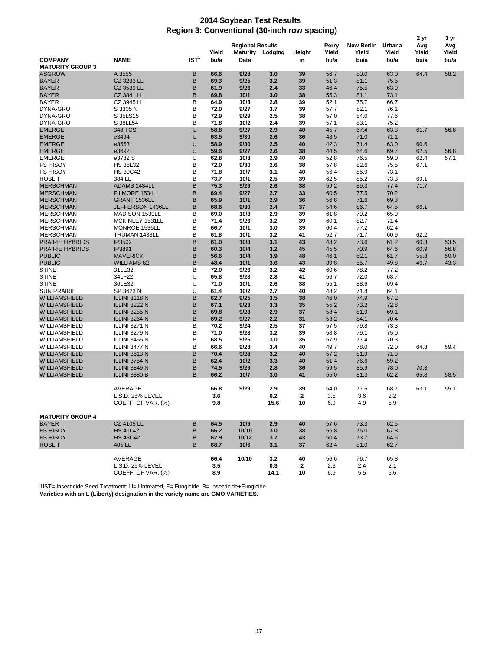## **2014 Soybean Test Results Region 3: Conventional (30-inch row spacing)**

| 2 yr                    |                      |                  |              |                         |                  |              |              | 3 yr              |        |       |       |
|-------------------------|----------------------|------------------|--------------|-------------------------|------------------|--------------|--------------|-------------------|--------|-------|-------|
|                         |                      |                  |              | <b>Regional Results</b> |                  |              | Perry        | <b>New Berlin</b> | Urbana | Avg   | Avg   |
|                         |                      |                  | Yield        |                         | Maturity Lodging | Height       | Yield        | Yield             | Yield  | Yield | Yield |
| <b>COMPANY</b>          | <b>NAME</b>          | IST <sup>1</sup> | bu/a         | <b>Date</b>             |                  | in           | bu/a         | bu/a              | bu/a   | bu/a  | bu/a  |
| <b>MATURITY GROUP 3</b> |                      |                  |              |                         |                  |              |              |                   |        |       |       |
| <b>ASGROW</b>           | A 3555               | в                | 66.6         | 9/28                    | 3.0              | 39           | 56.7         | 80.0              | 63.0   | 64.4  | 58.2  |
| <b>BAYER</b>            | CZ 3233 LL           | B                | 69.3         | 9/25                    | 3.2              | 39           | 51.3         | 81.1              | 75.5   |       |       |
| <b>BAYER</b>            | CZ 3539 LL           | B                | 61.9         | 9/26                    | 2.4              | 33           | 46.4         | 75.5              | 63.9   |       |       |
| <b>BAYER</b>            | CZ 3841 LL           | B                | 69.8         | 10/1                    | 3.0              | 38           | 55.3         | 81.1              | 73.1   |       |       |
| <b>BAYER</b>            | CZ 3945 LL           | В                | 64.9         | 10/3                    | 2.8              | 39           | 52.1         | 75.7              | 66.7   |       |       |
| DYNA-GRO                | S 3305 N             | B                | 72.0         | 9/27                    | 3.7              | 39           | 57.7         | 82.1              | 76.1   |       |       |
| DYNA-GRO                | S 35LS15             | B                | 72.9         | 9/29                    | 2.5              | 38           | 57.0         | 84.0              | 77.6   |       |       |
| DYNA-GRO                | S 38LL54             | B                | 71.8         | 10/2                    | 2.4              | 39           | 57.1         | 83.1              | 75.2   |       |       |
| <b>EMERGE</b>           | 348.TCS              | U                | 58.8         | 9/27                    | 2.9              | 40           | 45.7         | 67.4              | 63.3   | 61.7  | 56.8  |
| <b>EMERGE</b>           | e3494                | U                | 63.5         | 9/30                    | 2.6              | 36           | 48.5         | 71.0              | 71.1   |       |       |
| <b>EMERGE</b>           | e3553                | U                | 58.9         | 9/30                    | 2.5              | 40           | 42.3         | 71.4              | 63.0   | 60.6  |       |
| <b>EMERGE</b>           | e3692                | U                | 59.6         | 9/27                    | 2.6              | 38           | 44.5         | 64.6              | 69.7   | 62.5  | 56.8  |
| <b>EMERGE</b>           | e3782 S              | U                | 62.8         | 10/3                    | 2.9              | 40           | 52.8         | 76.5              | 59.0   | 62.4  | 57.1  |
| <b>FS HISOY</b>         | <b>HS 38L32</b>      | B                | 72.0         | 9/30                    | 2.6              | 38           | 57.8         | 82.6              | 75.5   | 67.1  |       |
| <b>FS HISOY</b>         | <b>HS 39C42</b>      | B                | 71.8         | 10/7                    | 3.1              | 40           | 56.4         | 85.9              | 73.1   |       |       |
| <b>HOBLIT</b>           | 384 LL               | B                | 73.7         | 10/1                    | 2.5              | 39           | 62.5         | 85.2              | 73.3   | 69.1  |       |
| <b>MERSCHMAN</b>        | ADAMS 1434LL         | B                | 75.3         | 9/29                    | 2.6              | 38           | 59.2         | 89.3              | 77.4   | 71.7  |       |
| <b>MERSCHMAN</b>        | FILMORE 1534LL       | B                | 69.4         | 9/27                    | 2.7              | 33           | 60.5         | 77.5              | 70.2   |       |       |
| <b>MERSCHMAN</b>        | GRANT 1536LL         | B                | 65.9         | 10/1                    | 2.9              | 36           | 56.8         | 71.6              | 69.3   |       |       |
| <b>MERSCHMAN</b>        | JEFFERSON 1436LL     | B                | 68.6         | 9/30                    | 2.4              | 37           | 54.6         | 86.7              | 64.5   | 66.1  |       |
|                         |                      | B                |              | 10/3                    | 2.9              | 39           |              |                   |        |       |       |
| <b>MERSCHMAN</b>        | MADISON 1539LL       | B                | 69.0<br>71.4 |                         | 3.2              |              | 61.8         | 79.2              | 65.9   |       |       |
| <b>MERSCHMAN</b>        | MCKINLEY 1531LL      | B                | 66.7         | 9/26<br>10/1            | 3.0              | 39           | 60.1<br>60.4 | 82.7              | 71.4   |       |       |
| <b>MERSCHMAN</b>        | MONROE 1536LL        |                  |              |                         |                  | 39           |              | 77.2              | 62.4   |       |       |
| <b>MERSCHMAN</b>        | TRUMAN 1438LL        | В                | 61.8         | 10/1                    | 3.2              | 41           | 52.7         | 71.7              | 60.9   | 62.2  |       |
| <b>PRAIRIE HYBRIDS</b>  | IP3502               | B<br>B           | 61.0         | 10/3                    | 3.1              | 43           | 48.2         | 73.6              | 61.2   | 60.3  | 53.5  |
| <b>PRAIRIE HYBRIDS</b>  | IP3891               |                  | 60.3         | 10/4                    | 3.2              | 45           | 45.5         | 70.9              | 64.6   | 60.9  | 56.8  |
| <b>PUBLIC</b>           | <b>MAVERICK</b>      | B                | 56.6         | 10/4                    | 3.9              | 48           | 46.1         | 62.1              | 61.7   | 55.8  | 50.0  |
| <b>PUBLIC</b>           | <b>WILLIAMS 82</b>   | B                | 48.4         | 10/1                    | 3.6              | 43           | 39.8         | 55.7              | 49.8   | 46.7  | 43.3  |
| <b>STINE</b>            | 31LE32               | B                | 72.0         | 9/26                    | 3.2              | 42           | 60.6         | 78.2              | 77.2   |       |       |
| <b>STINE</b>            | 34LF22               | U                | 65.8         | 9/28                    | 2.8              | 41           | 56.7         | 72.0              | 68.7   |       |       |
| <b>STINE</b>            | 36LE32               | U                | 71.0         | 10/1                    | 2.6              | 38           | 55.1         | 88.6              | 69.4   |       |       |
| <b>SUN PRAIRIE</b>      | SP 3623 N            | U                | 61.4         | 10/2                    | 2.7              | 40           | 48.2         | 71.8              | 64.1   |       |       |
| <b>WILLIAMSFIELD</b>    | ILLINI 3118 N        | B                | 62.7         | 9/25                    | 3.5              | 38           | 46.0         | 74.9              | 67.2   |       |       |
| <b>WILLIAMSFIELD</b>    | ILLINI 3222 N        | B                | 67.1         | 9/23                    | 3.3              | 35           | 55.2         | 73.2              | 72.8   |       |       |
| <b>WILLIAMSFIELD</b>    | <b>ILLINI 3255 N</b> | B                | 69.8         | 9/23                    | 2.9              | 37           | 58.4         | 81.9              | 69.1   |       |       |
| <b>WILLIAMSFIELD</b>    | ILLINI 3264 N        | B                | 69.2         | 9/27                    | 2.2              | 31           | 53.2         | 84.1              | 70.4   |       |       |
| WILLIAMSFIELD           | ILLINI 3271 N        | B                | 70.2         | 9/24                    | 2.5              | 37           | 57.5         | 79.8              | 73.3   |       |       |
| WILLIAMSFIELD           | ILLINI 3279 N        | B                | 71.0         | 9/28                    | 3.2              | 39           | 58.8         | 79.1              | 75.0   |       |       |
| WILLIAMSFIELD           | ILLINI 3455 N        | B                | 68.5         | 9/25                    | 3.0              | 35           | 57.9         | 77.4              | 70.3   |       |       |
| WILLIAMSFIELD           | ILLINI 3477 N        | B                | 66.6         | 9/28                    | 3.4              | 40           | 49.7         | 78.0              | 72.0   | 64.8  | 59.4  |
| <b>WILLIAMSFIELD</b>    | ILLINI 3613 N        | B                | 70.4         | 9/28                    | 3.2              | 40           | 57.2         | 81.9              | 71.9   |       |       |
| <b>WILLIAMSFIELD</b>    | ILLINI 3754 N        | B                | 62.4         | 10/2                    | 3.3              | 40           | 51.4         | 76.6              | 59.2   |       |       |
| <b>WILLIAMSFIELD</b>    | ILLINI 3849 N        | B                | 74.5         | 9/29                    | 2.8              | 36           | 59.5         | 85.9              | 78.0   | 70.3  |       |
| WILLIAMSFIELD           | ILLINI 3880 B        | B                | 66.2         | 10/7                    | 3.0              | 41           | 55.0         | 81.3              | 62.2   | 65.8  | 58.5  |
|                         |                      |                  |              |                         |                  |              |              |                   |        |       |       |
|                         | <b>AVERAGE</b>       |                  | 66.8         | 9/29                    | 2.9              | 39           | 54.0         | 77.6              | 68.7   | 63.1  | 55.1  |
|                         | L.S.D. 25% LEVEL     |                  | 3.6          |                         | 0.2              | $\mathbf{2}$ | 3.5          | 3.6               | 2.2    |       |       |
|                         | COEFF. OF VAR. (%)   |                  | 9.8          |                         | 15.6             | 10           | 6.9          | 4.9               | 5.9    |       |       |
|                         |                      |                  |              |                         |                  |              |              |                   |        |       |       |
| <b>MATURITY GROUP 4</b> |                      |                  |              |                         |                  |              |              |                   |        |       |       |
| <b>BAYER</b>            | CZ 4105 LL           | B                | 64.5         | 10/9                    | 2.9              | 40           | 57.6         | 73.3              | 62.5   |       |       |
| <b>FS HISOY</b>         | <b>HS 41L42</b>      | В                | 66.2         | 10/10                   | 3.0              | 38           | 55.8         | 75.0              | 67.8   |       |       |
| <b>FS HISOY</b>         | <b>HS 43C42</b>      | В                | 62.9         | 10/12                   | 3.7              | 43           | 50.4         | 73.7              | 64.6   |       |       |
| <b>HOBLIT</b>           | 405 LL               | B                | 68.7         | 10/6                    | 3.1              | 37           | 62.4         | 81.0              | 62.7   |       |       |
|                         |                      |                  |              |                         |                  |              |              |                   |        |       |       |
|                         | AVERAGE              |                  | 66.4         | 10/10                   | 3.2              | 40           | 56.6         | 76.7              | 65.8   |       |       |
|                         | L.S.D. 25% LEVEL     |                  | 3.5          |                         | 0.3              | $\mathbf{2}$ | 2.3          | 2.4               | 2.1    |       |       |
|                         | COEFF. OF VAR. (%)   |                  | 8.9          |                         | 14.1             | 10           | 6.9          | 5.5               | 5.6    |       |       |

1IST= Insecticide Seed Treatment: U= Untreated, F= Fungicide, B= Insecticide+Fungicide **Varieties with an L (Liberty) designation in the variety name are GMO VARIETIES.**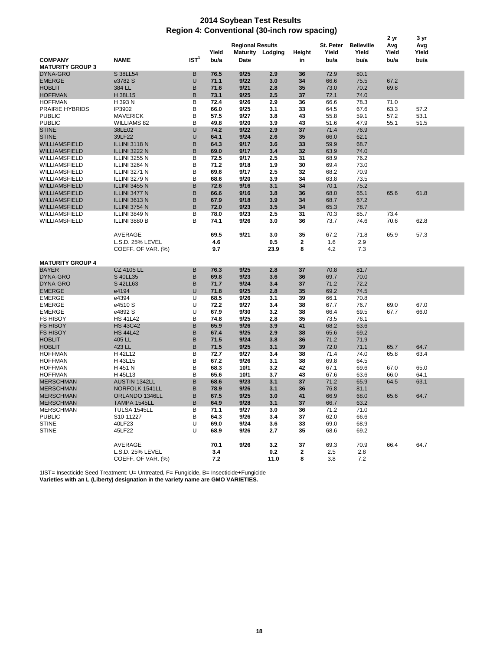## **2014 Soybean Test Results Region 4: Conventional (30-inch row spacing)**

|                                           | 2 yr<br>3 yr         |                  |              |                         |                  |              |                    |                            |              |              |  |
|-------------------------------------------|----------------------|------------------|--------------|-------------------------|------------------|--------------|--------------------|----------------------------|--------------|--------------|--|
|                                           |                      |                  | Yield        | <b>Regional Results</b> | Maturity Lodging | Height       | St. Peter<br>Yield | <b>Belleville</b><br>Yield | Avg<br>Yield | Avg<br>Yield |  |
| <b>COMPANY</b><br><b>MATURITY GROUP 3</b> | <b>NAME</b>          | IST <sup>1</sup> | bu/a         | Date                    |                  | in           | bu/a               | bu/a                       | bu/a         | bu/a         |  |
| DYNA-GRO                                  | S 38LL54             | в                | 76.5         | 9/25                    | 2.9              | 36           | 72.9               | 80.1                       |              |              |  |
| <b>EMERGE</b>                             | e3782 S              | U                | 71.1         | 9/22                    | 3.0              | 34           | 66.6               | 75.5                       | 67.2         |              |  |
| <b>HOBLIT</b>                             | 384 LL               | B                | 71.6         | 9/21                    | 2.8              | 35           | 73.0               | 70.2                       | 69.8         |              |  |
| <b>HOFFMAN</b>                            | H 38L15              | B                | 73.1         | 9/25                    | 2.5              | 37           | 72.1               | 74.0                       |              |              |  |
| <b>HOFFMAN</b>                            | H 393 N              | В                | 72.4         | 9/26                    | 2.9              | 36           | 66.6               | 78.3                       | 71.0         |              |  |
| <b>PRAIRIE HYBRIDS</b>                    | IP3902               | B                | 66.0         | 9/25                    | 3.1              | 33           | 64.5               | 67.6                       | 63.3         | 57.2         |  |
| <b>PUBLIC</b>                             | <b>MAVERICK</b>      | B                | 57.5         | 9/27                    | 3.8              | 43           | 55.8               | 59.1                       | 57.2         | 53.1         |  |
| <b>PUBLIC</b>                             | <b>WILLIAMS 82</b>   | B                | 49.8         | 9/20                    | 3.9              | 43           | 51.6               | 47.9                       | 55.1         | 51.5         |  |
| <b>STINE</b>                              | 38LE02               | U                | 74.2         | 9/22                    | 2.9              | 37           | 71.4               | 76.9                       |              |              |  |
| <b>STINE</b>                              | 39LF22               | U                | 64.1         | 9/24                    | 2.6              | 35           | 66.0               | 62.1                       |              |              |  |
| <b>WILLIAMSFIELD</b>                      | ILLINI 3118 N        | B                | 64.3         | 9/17                    | 3.6              | 33           | 59.9               | 68.7                       |              |              |  |
| WILLIAMSFIELD                             | ILLINI 3222 N        | B                | 69.0         | 9/17                    | 3.4              | 32           | 63.9               | 74.0                       |              |              |  |
| WILLIAMSFIELD                             | <b>ILLINI 3255 N</b> | B                | 72.5         | 9/17                    | 2.5              | 31           | 68.9               | 76.2                       |              |              |  |
| WILLIAMSFIELD                             | ILLINI 3264 N        | B                | 71.2         | 9/18                    | 1.9              | 30           | 69.4               | 73.0                       |              |              |  |
| WILLIAMSFIELD                             | ILLINI 3271 N        | B                | 69.6         | 9/17                    | 2.5              | 32           | 68.2               | 70.9                       |              |              |  |
| WILLIAMSFIELD                             | ILLINI 3279 N        | B                | 68.6         | 9/20                    | 3.9              | 34           | 63.8               | 73.5                       |              |              |  |
| <b>WILLIAMSFIELD</b>                      | <b>ILLINI 3455 N</b> | B                | 72.6         | 9/16                    | 3.1              | 34           | 70.1               | 75.2                       |              |              |  |
| <b>WILLIAMSFIELD</b>                      | ILLINI 3477 N        | B                | 66.6         | 9/16                    | 3.8              | 36           | 68.0               | 65.1                       | 65.6         | 61.8         |  |
| <b>WILLIAMSFIELD</b>                      | ILLINI 3613 N        | B                | 67.9         | 9/18                    | 3.9              | 34           | 68.7               | 67.2                       |              |              |  |
| WILLIAMSFIELD                             | ILLINI 3754 N        | B                | 72.0         | 9/23                    | 3.5              | 34           | 65.3               | 78.7                       |              |              |  |
| WILLIAMSFIELD                             | ILLINI 3849 N        | B                | 78.0         | 9/23                    | 2.5              | 31           | 70.3               | 85.7                       | 73.4         |              |  |
| WILLIAMSFIELD                             | ILLINI 3880 B        | в                | 74.1         | 9/26                    | 3.0              | 36           | 73.7               | 74.6                       | 70.6         | 62.8         |  |
|                                           | AVERAGE              |                  | 69.5         | 9/21                    | 3.0              | 35           | 67.2               | 71.8                       | 65.9         | 57.3         |  |
|                                           | L.S.D. 25% LEVEL     |                  | 4.6          |                         | 0.5              | $\mathbf 2$  | 1.6                | 2.9                        |              |              |  |
|                                           | COEFF. OF VAR. (%)   |                  | 9.7          |                         | 23.9             | 8            | 4.2                | 7.3                        |              |              |  |
|                                           |                      |                  |              |                         |                  |              |                    |                            |              |              |  |
| <b>MATURITY GROUP 4</b>                   |                      |                  |              |                         |                  |              |                    |                            |              |              |  |
| <b>BAYER</b>                              | CZ 4105 LL           | в                | 76.3         | 9/25                    | 2.8              | 37           | 70.8               | 81.7                       |              |              |  |
| DYNA-GRO                                  | S 40LL35             | в                | 69.8         | 9/23                    | 3.6              | 36           | 69.7               | 70.0                       |              |              |  |
| DYNA-GRO                                  | S 42LL63             | B                | 71.7         | 9/24                    | 3.4              | 37           | 71.2               | 72.2                       |              |              |  |
| <b>EMERGE</b>                             | e4194                | U                | 71.8         | 9/25                    | 2.8              | 35           | 69.2               | 74.5                       |              |              |  |
| <b>EMERGE</b>                             | e4394                | U                | 68.5         | 9/26                    | 3.1              | 39           | 66.1               | 70.8                       |              |              |  |
| <b>EMERGE</b>                             | e4510 S              | U                | 72.2         | 9/27                    | 3.4              | 38           | 67.7               | 76.7                       | 69.0         | 67.0         |  |
| <b>EMERGE</b>                             | e4892 S              | U                | 67.9         | 9/30                    | 3.2              | 38           | 66.4               | 69.5                       | 67.7         | 66.0         |  |
| <b>FS HISOY</b>                           | <b>HS 41L42</b>      | B                | 74.8         | 9/25                    | 2.8              | 35           | 73.5               | 76.1                       |              |              |  |
| <b>FS HISOY</b>                           | <b>HS 43C42</b>      | B                | 65.9         | 9/26                    | 3.9              | 41           | 68.2               | 63.6                       |              |              |  |
| <b>FS HISOY</b>                           | <b>HS 44L42</b>      | B                | 67.4         | 9/25                    | 2.9              | 38           | 65.6               | 69.2                       |              |              |  |
| <b>HOBLIT</b>                             | 405 LL               | B<br>B           | 71.5         | 9/24                    | 3.8              | 36           | 71.2               | 71.9                       |              |              |  |
| <b>HOBLIT</b><br><b>HOFFMAN</b>           | 423 LL               | В                | 71.5<br>72.7 | 9/25<br>9/27            | 3.1<br>3.4       | 39           | 72.0               | 71.1                       | 65.7<br>65.8 | 64.7         |  |
| <b>HOFFMAN</b>                            | H 42L12<br>H 43L15   | B                | 67.2         | 9/26                    | 3.1              | 38<br>38     | 71.4<br>69.8       | 74.0<br>64.5               |              | 63.4         |  |
| <b>HOFFMAN</b>                            | H 451 N              | B                | 68.3         | 10/1                    | 3.2              | 42           | 67.1               | 69.6                       | 67.0         | 65.0         |  |
| <b>HOFFMAN</b>                            | H 45L13              | B                | 65.6         | 10/1                    | 3.7              | 43           | 67.6               | 63.6                       | 66.0         | 64.1         |  |
| <b>MERSCHMAN</b>                          | <b>AUSTIN 1342LL</b> | B                | 68.6         | 9/23                    | 3.1              | 37           | 71.2               | 65.9                       | 64.5         | 63.1         |  |
| <b>MERSCHMAN</b>                          | NORFOLK 1541LL       | B                | 78.9         | 9/26                    | 3.1              | 36           | 76.8               | 81.1                       |              |              |  |
| <b>MERSCHMAN</b>                          | ORLANDO 1346LL       | B                | 67.5         | 9/25                    | 3.0              | 41           | 66.9               | 68.0                       | 65.6         | 64.7         |  |
| <b>MERSCHMAN</b>                          | <b>IAMPA 1545LL</b>  | в                | 64.9         | 9/28                    | 3.1              | 37           | 66.7               | 63.2                       |              |              |  |
| <b>MERSCHMAN</b>                          | TULSA 1545LL         | В                | 71.1         | 9/27                    | 3.0              | 36           | 71.2               | 71.0                       |              |              |  |
| <b>PUBLIC</b>                             | S10-11227            | В                | 64.3         | 9/26                    | 3.4              | 37           | 62.0               | 66.6                       |              |              |  |
| <b>STINE</b>                              | 40LF23               | U                | 69.0         | 9/24                    | 3.6              | 33           | 69.0               | 68.9                       |              |              |  |
| <b>STINE</b>                              | 45LF22               | U                | 68.9         | 9/26                    | 2.7              | 35           | 68.6               | 69.2                       |              |              |  |
|                                           |                      |                  |              |                         |                  |              |                    |                            |              |              |  |
|                                           | AVERAGE              |                  | 70.1         | 9/26                    | 3.2              | 37           | 69.3               | 70.9                       | 66.4         | 64.7         |  |
|                                           | L.S.D. 25% LEVEL     |                  | 3.4          |                         | 0.2              | $\mathbf{2}$ | 2.5                | 2.8                        |              |              |  |
|                                           | COEFF. OF VAR. (%)   |                  | 7.2          |                         | 11.0             | 8            | 3.8                | 7.2                        |              |              |  |

1IST= Insecticide Seed Treatment: U= Untreated, F= Fungicide, B= Insecticide+Fungicide **Varieties with an L (Liberty) designation in the variety name are GMO VARIETIES.**